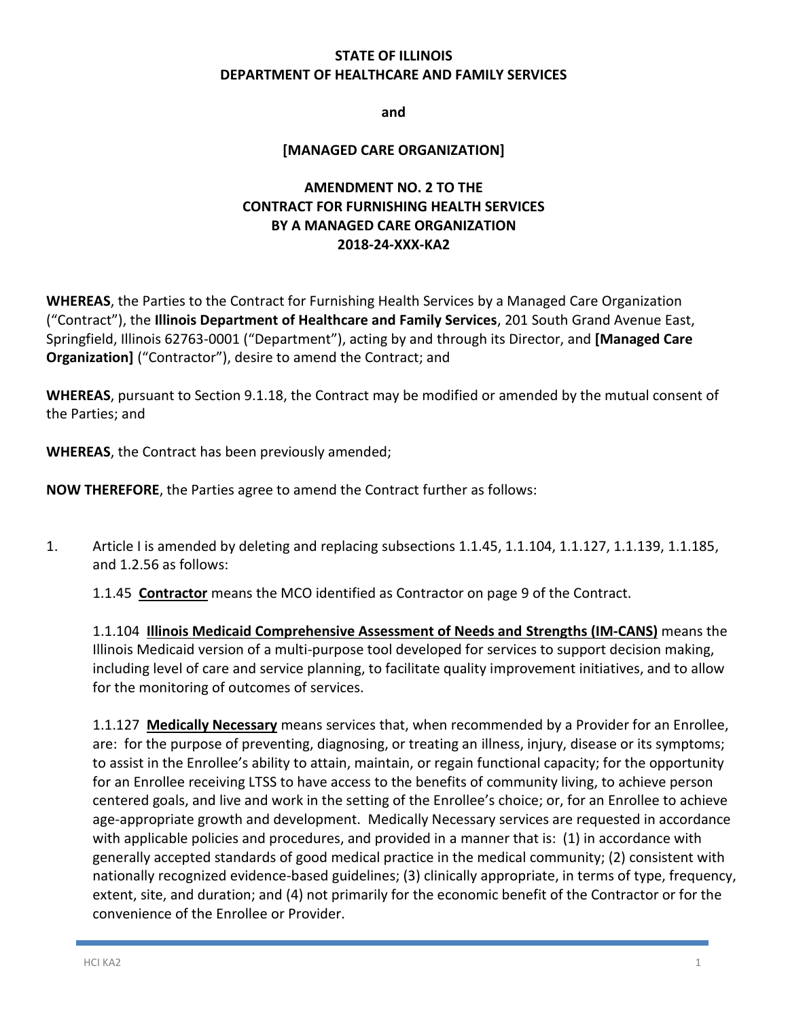### **STATE OF ILLINOIS DEPARTMENT OF HEALTHCARE AND FAMILY SERVICES**

**and**

### **[MANAGED CARE ORGANIZATION]**

### **AMENDMENT NO. 2 TO THE CONTRACT FOR FURNISHING HEALTH SERVICES BY A MANAGED CARE ORGANIZATION 2018-24-XXX-KA2**

**WHEREAS**, the Parties to the Contract for Furnishing Health Services by a Managed Care Organization ("Contract"), the **Illinois Department of Healthcare and Family Services**, 201 South Grand Avenue East, Springfield, Illinois 62763-0001 ("Department"), acting by and through its Director, and **[Managed Care Organization]** ("Contractor"), desire to amend the Contract; and

**WHEREAS**, pursuant to Section 9.1.18, the Contract may be modified or amended by the mutual consent of the Parties; and

**WHEREAS**, the Contract has been previously amended;

**NOW THEREFORE**, the Parties agree to amend the Contract further as follows:

1. Article I is amended by deleting and replacing subsections 1.1.45, 1.1.104, 1.1.127, 1.1.139, 1.1.185, and 1.2.56 as follows:

1.1.45 **Contractor** means the MCO identified as Contractor on page 9 of the Contract.

1.1.104 **Illinois Medicaid Comprehensive Assessment of Needs and Strengths (IM-CANS)** means the Illinois Medicaid version of a multi-purpose tool developed for services to support decision making, including level of care and service planning, to facilitate quality improvement initiatives, and to allow for the monitoring of outcomes of services.

1.1.127 **Medically Necessary** means services that, when recommended by a Provider for an Enrollee, are: for the purpose of preventing, diagnosing, or treating an illness, injury, disease or its symptoms; to assist in the Enrollee's ability to attain, maintain, or regain functional capacity; for the opportunity for an Enrollee receiving LTSS to have access to the benefits of community living, to achieve person centered goals, and live and work in the setting of the Enrollee's choice; or, for an Enrollee to achieve age-appropriate growth and development. Medically Necessary services are requested in accordance with applicable policies and procedures, and provided in a manner that is: (1) in accordance with generally accepted standards of good medical practice in the medical community; (2) consistent with nationally recognized evidence-based guidelines; (3) clinically appropriate, in terms of type, frequency, extent, site, and duration; and (4) not primarily for the economic benefit of the Contractor or for the convenience of the Enrollee or Provider.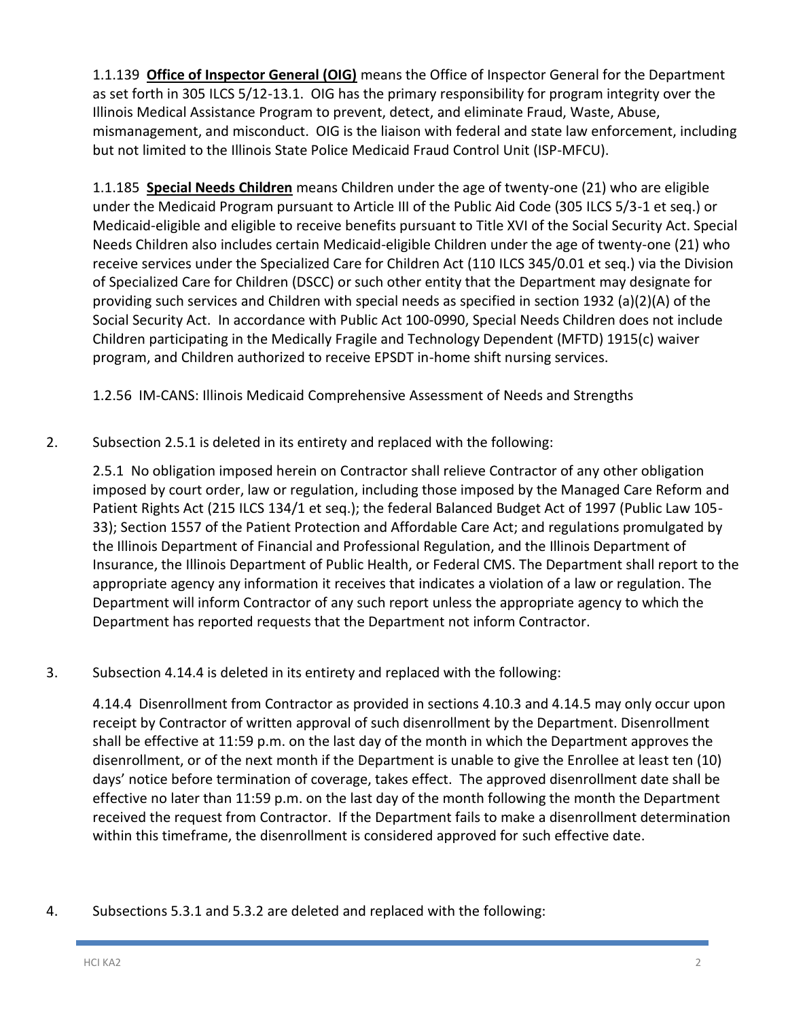1.1.139 **Office of Inspector General (OIG)** means the Office of Inspector General for the Department as set forth in 305 ILCS 5/12-13.1. OIG has the primary responsibility for program integrity over the Illinois Medical Assistance Program to prevent, detect, and eliminate Fraud, Waste, Abuse, mismanagement, and misconduct. OIG is the liaison with federal and state law enforcement, including but not limited to the Illinois State Police Medicaid Fraud Control Unit (ISP-MFCU).

1.1.185 **Special Needs Children** means Children under the age of twenty-one (21) who are eligible under the Medicaid Program pursuant to Article III of the Public Aid Code (305 ILCS 5/3-1 et seq.) or Medicaid-eligible and eligible to receive benefits pursuant to Title XVI of the Social Security Act. Special Needs Children also includes certain Medicaid-eligible Children under the age of twenty-one (21) who receive services under the Specialized Care for Children Act (110 ILCS 345/0.01 et seq.) via the Division of Specialized Care for Children (DSCC) or such other entity that the Department may designate for providing such services and Children with special needs as specified in section 1932 (a)(2)(A) of the Social Security Act. In accordance with Public Act 100-0990, Special Needs Children does not include Children participating in the Medically Fragile and Technology Dependent (MFTD) 1915(c) waiver program, and Children authorized to receive EPSDT in-home shift nursing services.

1.2.56 IM-CANS: Illinois Medicaid Comprehensive Assessment of Needs and Strengths

2. Subsection 2.5.1 is deleted in its entirety and replaced with the following:

2.5.1 No obligation imposed herein on Contractor shall relieve Contractor of any other obligation imposed by court order, law or regulation, including those imposed by the Managed Care Reform and Patient Rights Act (215 ILCS 134/1 et seq.); the federal Balanced Budget Act of 1997 (Public Law 105- 33); Section 1557 of the Patient Protection and Affordable Care Act; and regulations promulgated by the Illinois Department of Financial and Professional Regulation, and the Illinois Department of Insurance, the Illinois Department of Public Health, or Federal CMS. The Department shall report to the appropriate agency any information it receives that indicates a violation of a law or regulation. The Department will inform Contractor of any such report unless the appropriate agency to which the Department has reported requests that the Department not inform Contractor.

3. Subsection 4.14.4 is deleted in its entirety and replaced with the following:

4.14.4 Disenrollment from Contractor as provided in sections 4.10.3 and 4.14.5 may only occur upon receipt by Contractor of written approval of such disenrollment by the Department. Disenrollment shall be effective at 11:59 p.m. on the last day of the month in which the Department approves the disenrollment, or of the next month if the Department is unable to give the Enrollee at least ten (10) days' notice before termination of coverage, takes effect. The approved disenrollment date shall be effective no later than 11:59 p.m. on the last day of the month following the month the Department received the request from Contractor. If the Department fails to make a disenrollment determination within this timeframe, the disenrollment is considered approved for such effective date.

4. Subsections 5.3.1 and 5.3.2 are deleted and replaced with the following: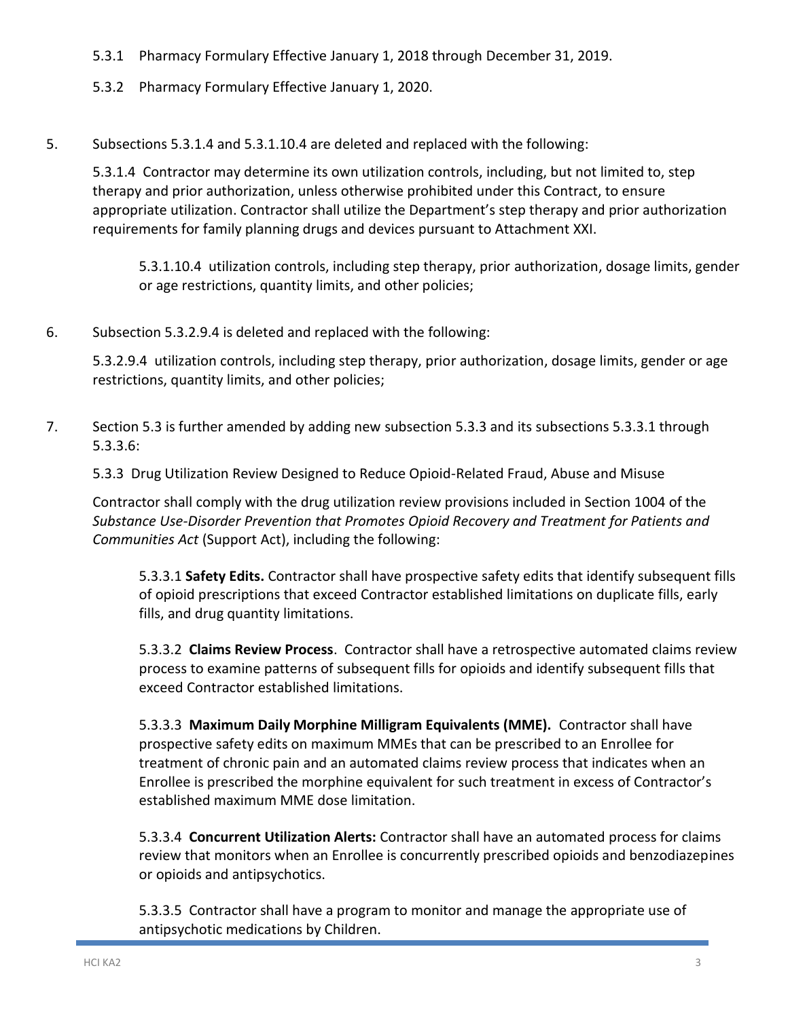- 5.3.1 Pharmacy Formulary Effective January 1, 2018 through December 31, 2019.
- 5.3.2 Pharmacy Formulary Effective January 1, 2020.
- 5. Subsections 5.3.1.4 and 5.3.1.10.4 are deleted and replaced with the following:

5.3.1.4 Contractor may determine its own utilization controls, including, but not limited to, step therapy and prior authorization, unless otherwise prohibited under this Contract, to ensure appropriate utilization. Contractor shall utilize the Department's step therapy and prior authorization requirements for family planning drugs and devices pursuant to Attachment XXI.

5.3.1.10.4 utilization controls, including step therapy, prior authorization, dosage limits, gender or age restrictions, quantity limits, and other policies;

6. Subsection 5.3.2.9.4 is deleted and replaced with the following:

5.3.2.9.4 utilization controls, including step therapy, prior authorization, dosage limits, gender or age restrictions, quantity limits, and other policies;

7. Section 5.3 is further amended by adding new subsection 5.3.3 and its subsections 5.3.3.1 through 5.3.3.6:

5.3.3 Drug Utilization Review Designed to Reduce Opioid-Related Fraud, Abuse and Misuse

Contractor shall comply with the drug utilization review provisions included in Section 1004 of the *Substance Use-Disorder Prevention that Promotes Opioid Recovery and Treatment for Patients and Communities Act* (Support Act), including the following:

5.3.3.1 **Safety Edits.** Contractor shall have prospective safety edits that identify subsequent fills of opioid prescriptions that exceed Contractor established limitations on duplicate fills, early fills, and drug quantity limitations.

5.3.3.2 **Claims Review Process**. Contractor shall have a retrospective automated claims review process to examine patterns of subsequent fills for opioids and identify subsequent fills that exceed Contractor established limitations.

5.3.3.3 **Maximum Daily Morphine Milligram Equivalents (MME).** Contractor shall have prospective safety edits on maximum MMEs that can be prescribed to an Enrollee for treatment of chronic pain and an automated claims review process that indicates when an Enrollee is prescribed the morphine equivalent for such treatment in excess of Contractor's established maximum MME dose limitation.

5.3.3.4 **Concurrent Utilization Alerts:** Contractor shall have an automated process for claims review that monitors when an Enrollee is concurrently prescribed opioids and benzodiazepines or opioids and antipsychotics.

5.3.3.5 Contractor shall have a program to monitor and manage the appropriate use of antipsychotic medications by Children.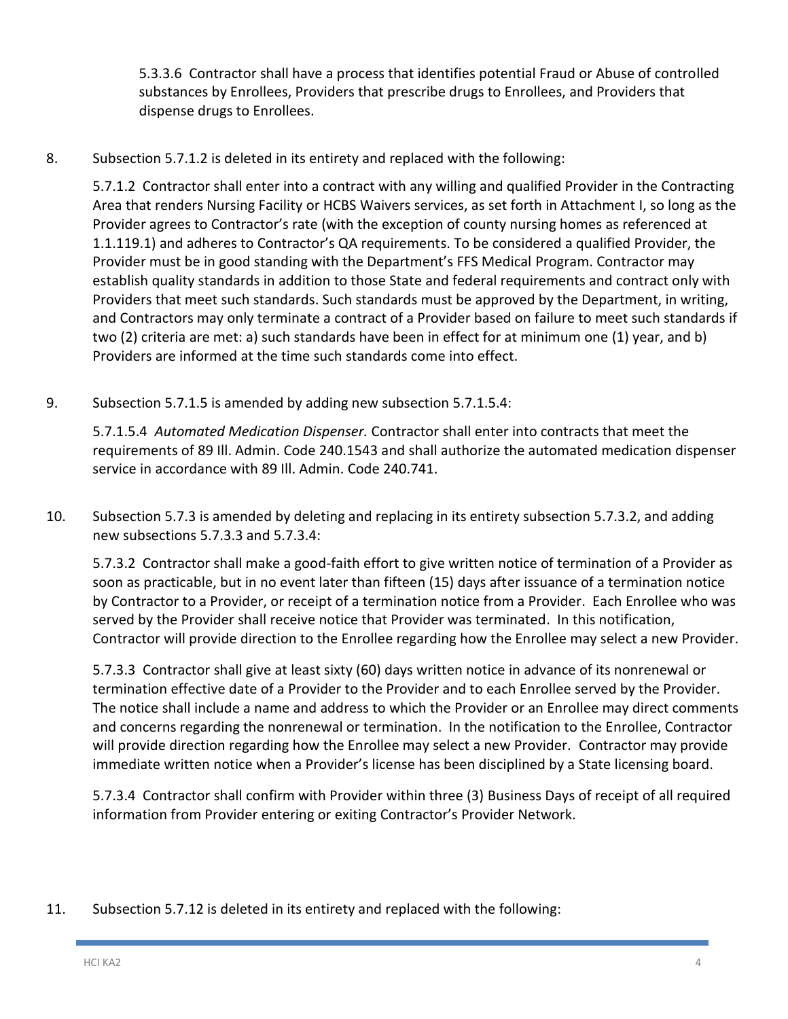5.3.3.6 Contractor shall have a process that identifies potential Fraud or Abuse of controlled substances by Enrollees, Providers that prescribe drugs to Enrollees, and Providers that dispense drugs to Enrollees.

8. Subsection 5.7.1.2 is deleted in its entirety and replaced with the following:

5.7.1.2 Contractor shall enter into a contract with any willing and qualified Provider in the Contracting Area that renders Nursing Facility or HCBS Waivers services, as set forth in Attachment I, so long as the Provider agrees to Contractor's rate (with the exception of county nursing homes as referenced at 1.1.119.1) and adheres to Contractor's QA requirements. To be considered a qualified Provider, the Provider must be in good standing with the Department's FFS Medical Program. Contractor may establish quality standards in addition to those State and federal requirements and contract only with Providers that meet such standards. Such standards must be approved by the Department, in writing, and Contractors may only terminate a contract of a Provider based on failure to meet such standards if two (2) criteria are met: a) such standards have been in effect for at minimum one (1) year, and b) Providers are informed at the time such standards come into effect.

9. Subsection 5.7.1.5 is amended by adding new subsection 5.7.1.5.4:

5.7.1.5.4 *Automated Medication Dispenser.* Contractor shall enter into contracts that meet the requirements of 89 Ill. Admin. Code 240.1543 and shall authorize the automated medication dispenser service in accordance with 89 Ill. Admin. Code 240.741.

10. Subsection 5.7.3 is amended by deleting and replacing in its entirety subsection 5.7.3.2, and adding new subsections 5.7.3.3 and 5.7.3.4:

5.7.3.2 Contractor shall make a good-faith effort to give written notice of termination of a Provider as soon as practicable, but in no event later than fifteen (15) days after issuance of a termination notice by Contractor to a Provider, or receipt of a termination notice from a Provider. Each Enrollee who was served by the Provider shall receive notice that Provider was terminated. In this notification, Contractor will provide direction to the Enrollee regarding how the Enrollee may select a new Provider.

5.7.3.3 Contractor shall give at least sixty (60) days written notice in advance of its nonrenewal or termination effective date of a Provider to the Provider and to each Enrollee served by the Provider. The notice shall include a name and address to which the Provider or an Enrollee may direct comments and concerns regarding the nonrenewal or termination. In the notification to the Enrollee, Contractor will provide direction regarding how the Enrollee may select a new Provider. Contractor may provide immediate written notice when a Provider's license has been disciplined by a State licensing board.

5.7.3.4 Contractor shall confirm with Provider within three (3) Business Days of receipt of all required information from Provider entering or exiting Contractor's Provider Network.

11. Subsection 5.7.12 is deleted in its entirety and replaced with the following: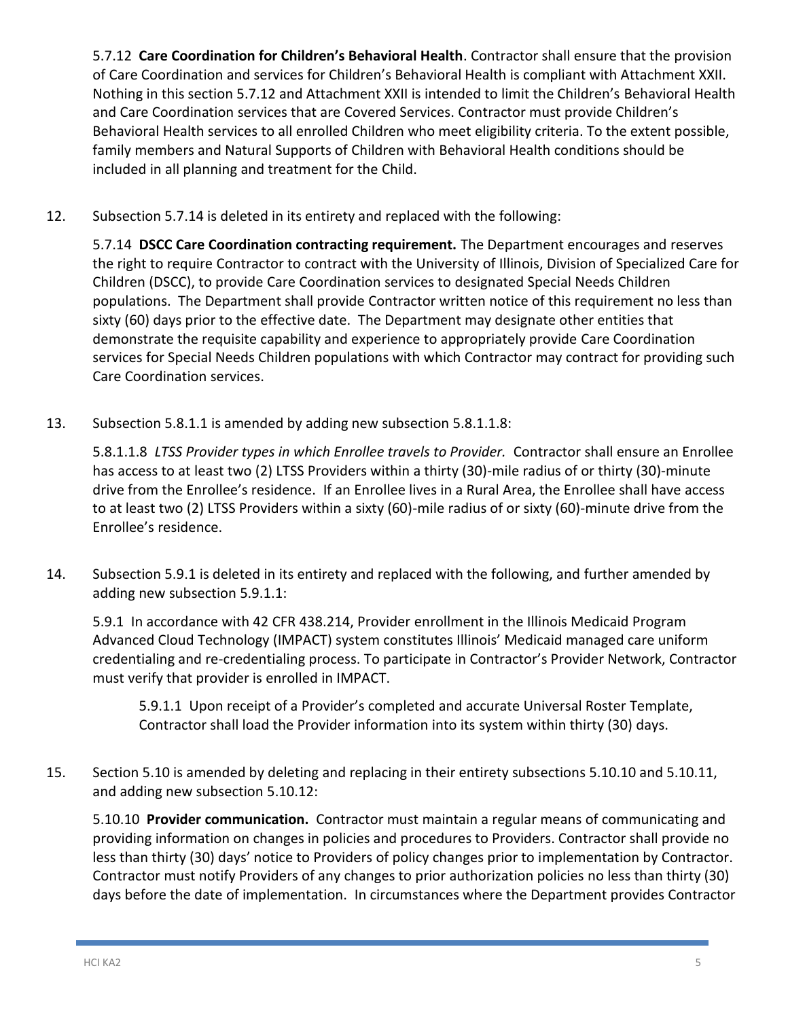5.7.12 **Care Coordination for Children's Behavioral Health**. Contractor shall ensure that the provision of Care Coordination and services for Children's Behavioral Health is compliant with Attachment XXII. Nothing in this section 5.7.12 and Attachment XXII is intended to limit the Children's Behavioral Health and Care Coordination services that are Covered Services. Contractor must provide Children's Behavioral Health services to all enrolled Children who meet eligibility criteria. To the extent possible, family members and Natural Supports of Children with Behavioral Health conditions should be included in all planning and treatment for the Child.

12. Subsection 5.7.14 is deleted in its entirety and replaced with the following:

5.7.14 **DSCC Care Coordination contracting requirement.** The Department encourages and reserves the right to require Contractor to contract with the University of Illinois, Division of Specialized Care for Children (DSCC), to provide Care Coordination services to designated Special Needs Children populations. The Department shall provide Contractor written notice of this requirement no less than sixty (60) days prior to the effective date. The Department may designate other entities that demonstrate the requisite capability and experience to appropriately provide Care Coordination services for Special Needs Children populations with which Contractor may contract for providing such Care Coordination services.

13. Subsection 5.8.1.1 is amended by adding new subsection 5.8.1.1.8:

5.8.1.1.8 *LTSS Provider types in which Enrollee travels to Provider.* Contractor shall ensure an Enrollee has access to at least two (2) LTSS Providers within a thirty (30)-mile radius of or thirty (30)-minute drive from the Enrollee's residence. If an Enrollee lives in a Rural Area, the Enrollee shall have access to at least two (2) LTSS Providers within a sixty (60)-mile radius of or sixty (60)-minute drive from the Enrollee's residence.

14. Subsection 5.9.1 is deleted in its entirety and replaced with the following, and further amended by adding new subsection 5.9.1.1:

5.9.1 In accordance with 42 CFR 438.214, Provider enrollment in the Illinois Medicaid Program Advanced Cloud Technology (IMPACT) system constitutes Illinois' Medicaid managed care uniform credentialing and re-credentialing process. To participate in Contractor's Provider Network, Contractor must verify that provider is enrolled in IMPACT.

5.9.1.1 Upon receipt of a Provider's completed and accurate Universal Roster Template, Contractor shall load the Provider information into its system within thirty (30) days.

15. Section 5.10 is amended by deleting and replacing in their entirety subsections 5.10.10 and 5.10.11, and adding new subsection 5.10.12:

5.10.10 **Provider communication.** Contractor must maintain a regular means of communicating and providing information on changes in policies and procedures to Providers. Contractor shall provide no less than thirty (30) days' notice to Providers of policy changes prior to implementation by Contractor. Contractor must notify Providers of any changes to prior authorization policies no less than thirty (30) days before the date of implementation. In circumstances where the Department provides Contractor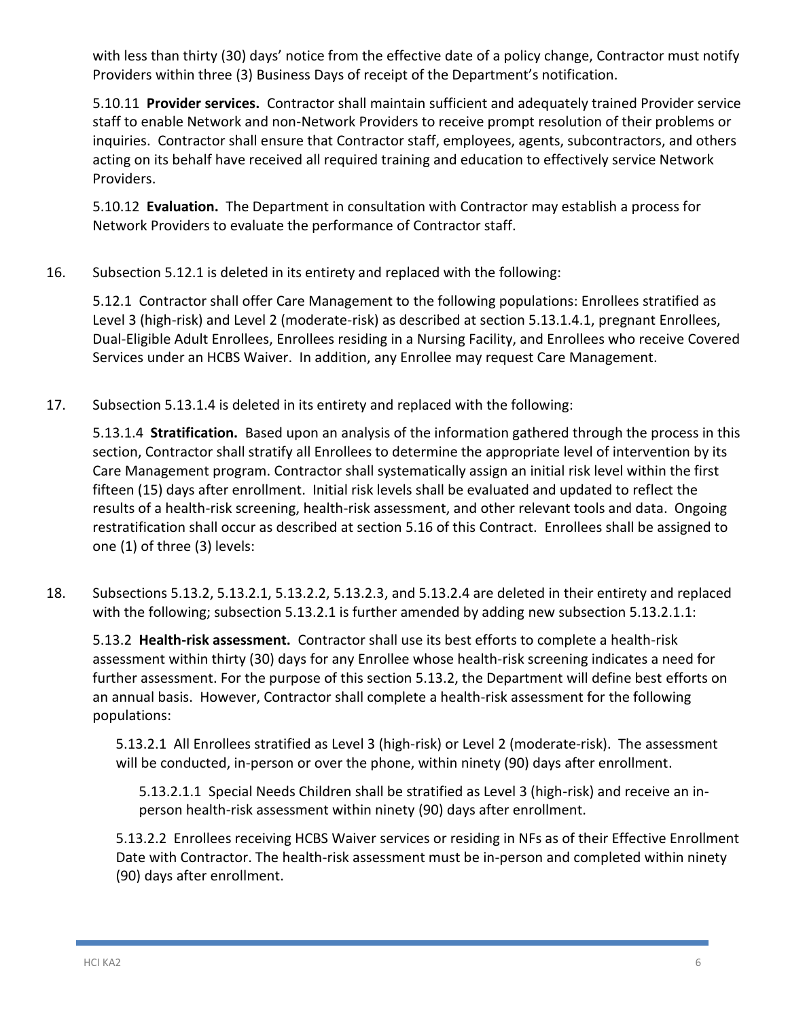with less than thirty (30) days' notice from the effective date of a policy change, Contractor must notify Providers within three (3) Business Days of receipt of the Department's notification.

5.10.11 **Provider services.** Contractor shall maintain sufficient and adequately trained Provider service staff to enable Network and non-Network Providers to receive prompt resolution of their problems or inquiries. Contractor shall ensure that Contractor staff, employees, agents, subcontractors, and others acting on its behalf have received all required training and education to effectively service Network Providers.

5.10.12 **Evaluation.** The Department in consultation with Contractor may establish a process for Network Providers to evaluate the performance of Contractor staff.

16. Subsection 5.12.1 is deleted in its entirety and replaced with the following:

5.12.1 Contractor shall offer Care Management to the following populations: Enrollees stratified as Level 3 (high-risk) and Level 2 (moderate-risk) as described at section 5.13.1.4.1, pregnant Enrollees, Dual-Eligible Adult Enrollees, Enrollees residing in a Nursing Facility, and Enrollees who receive Covered Services under an HCBS Waiver. In addition, any Enrollee may request Care Management.

17. Subsection 5.13.1.4 is deleted in its entirety and replaced with the following:

5.13.1.4 **Stratification.** Based upon an analysis of the information gathered through the process in this section, Contractor shall stratify all Enrollees to determine the appropriate level of intervention by its Care Management program. Contractor shall systematically assign an initial risk level within the first fifteen (15) days after enrollment. Initial risk levels shall be evaluated and updated to reflect the results of a health-risk screening, health-risk assessment, and other relevant tools and data. Ongoing restratification shall occur as described at section 5.16 of this Contract. Enrollees shall be assigned to one (1) of three (3) levels:

18. Subsections 5.13.2, 5.13.2.1, 5.13.2.2, 5.13.2.3, and 5.13.2.4 are deleted in their entirety and replaced with the following; subsection 5.13.2.1 is further amended by adding new subsection 5.13.2.1.1:

5.13.2 **Health-risk assessment.** Contractor shall use its best efforts to complete a health-risk assessment within thirty (30) days for any Enrollee whose health-risk screening indicates a need for further assessment. For the purpose of this section 5.13.2, the Department will define best efforts on an annual basis. However, Contractor shall complete a health-risk assessment for the following populations:

5.13.2.1 All Enrollees stratified as Level 3 (high-risk) or Level 2 (moderate-risk). The assessment will be conducted, in-person or over the phone, within ninety (90) days after enrollment.

5.13.2.1.1 Special Needs Children shall be stratified as Level 3 (high-risk) and receive an inperson health-risk assessment within ninety (90) days after enrollment.

5.13.2.2 Enrollees receiving HCBS Waiver services or residing in NFs as of their Effective Enrollment Date with Contractor. The health-risk assessment must be in-person and completed within ninety (90) days after enrollment.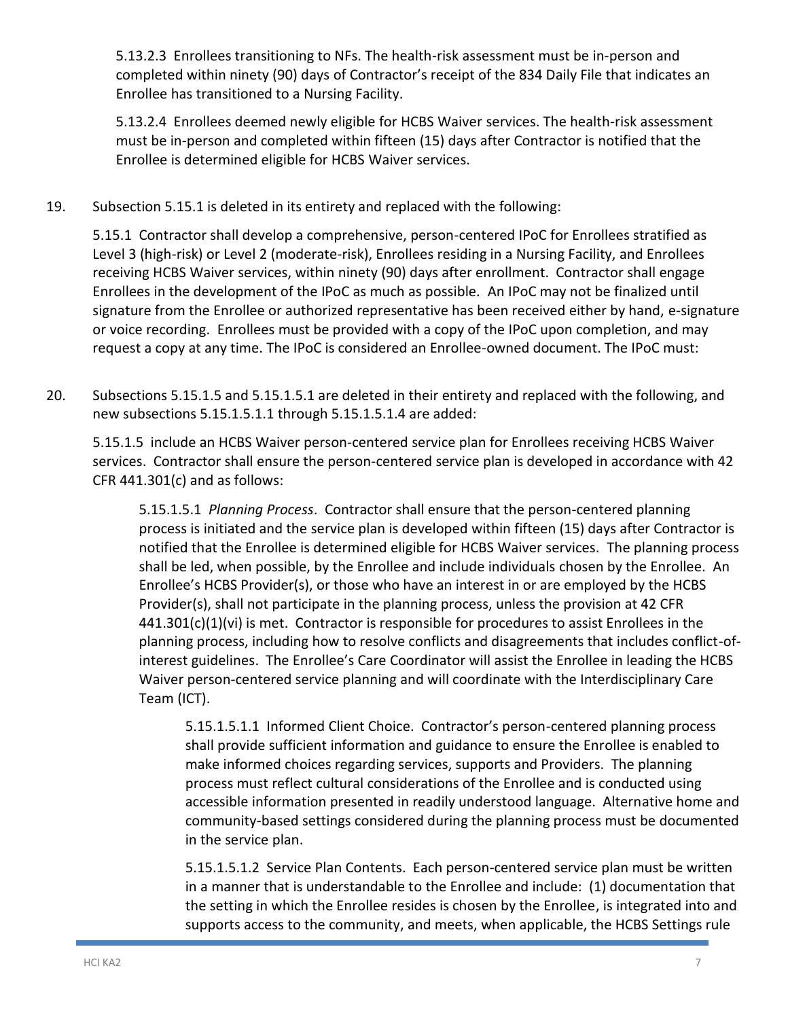5.13.2.3 Enrollees transitioning to NFs. The health-risk assessment must be in-person and completed within ninety (90) days of Contractor's receipt of the 834 Daily File that indicates an Enrollee has transitioned to a Nursing Facility.

5.13.2.4 Enrollees deemed newly eligible for HCBS Waiver services. The health-risk assessment must be in-person and completed within fifteen (15) days after Contractor is notified that the Enrollee is determined eligible for HCBS Waiver services.

19. Subsection 5.15.1 is deleted in its entirety and replaced with the following:

5.15.1 Contractor shall develop a comprehensive, person-centered IPoC for Enrollees stratified as Level 3 (high-risk) or Level 2 (moderate-risk), Enrollees residing in a Nursing Facility, and Enrollees receiving HCBS Waiver services, within ninety (90) days after enrollment. Contractor shall engage Enrollees in the development of the IPoC as much as possible. An IPoC may not be finalized until signature from the Enrollee or authorized representative has been received either by hand, e-signature or voice recording. Enrollees must be provided with a copy of the IPoC upon completion, and may request a copy at any time. The IPoC is considered an Enrollee-owned document. The IPoC must:

20. Subsections 5.15.1.5 and 5.15.1.5.1 are deleted in their entirety and replaced with the following, and new subsections 5.15.1.5.1.1 through 5.15.1.5.1.4 are added:

5.15.1.5 include an HCBS Waiver person-centered service plan for Enrollees receiving HCBS Waiver services. Contractor shall ensure the person-centered service plan is developed in accordance with 42 CFR 441.301(c) and as follows:

5.15.1.5.1 *Planning Process*. Contractor shall ensure that the person-centered planning process is initiated and the service plan is developed within fifteen (15) days after Contractor is notified that the Enrollee is determined eligible for HCBS Waiver services. The planning process shall be led, when possible, by the Enrollee and include individuals chosen by the Enrollee. An Enrollee's HCBS Provider(s), or those who have an interest in or are employed by the HCBS Provider(s), shall not participate in the planning process, unless the provision at 42 CFR 441.301(c)(1)(vi) is met. Contractor is responsible for procedures to assist Enrollees in the planning process, including how to resolve conflicts and disagreements that includes conflict-ofinterest guidelines. The Enrollee's Care Coordinator will assist the Enrollee in leading the HCBS Waiver person-centered service planning and will coordinate with the Interdisciplinary Care Team (ICT).

5.15.1.5.1.1 Informed Client Choice. Contractor's person-centered planning process shall provide sufficient information and guidance to ensure the Enrollee is enabled to make informed choices regarding services, supports and Providers. The planning process must reflect cultural considerations of the Enrollee and is conducted using accessible information presented in readily understood language. Alternative home and community-based settings considered during the planning process must be documented in the service plan.

5.15.1.5.1.2 Service Plan Contents. Each person-centered service plan must be written in a manner that is understandable to the Enrollee and include: (1) documentation that the setting in which the Enrollee resides is chosen by the Enrollee, is integrated into and supports access to the community, and meets, when applicable, the HCBS Settings rule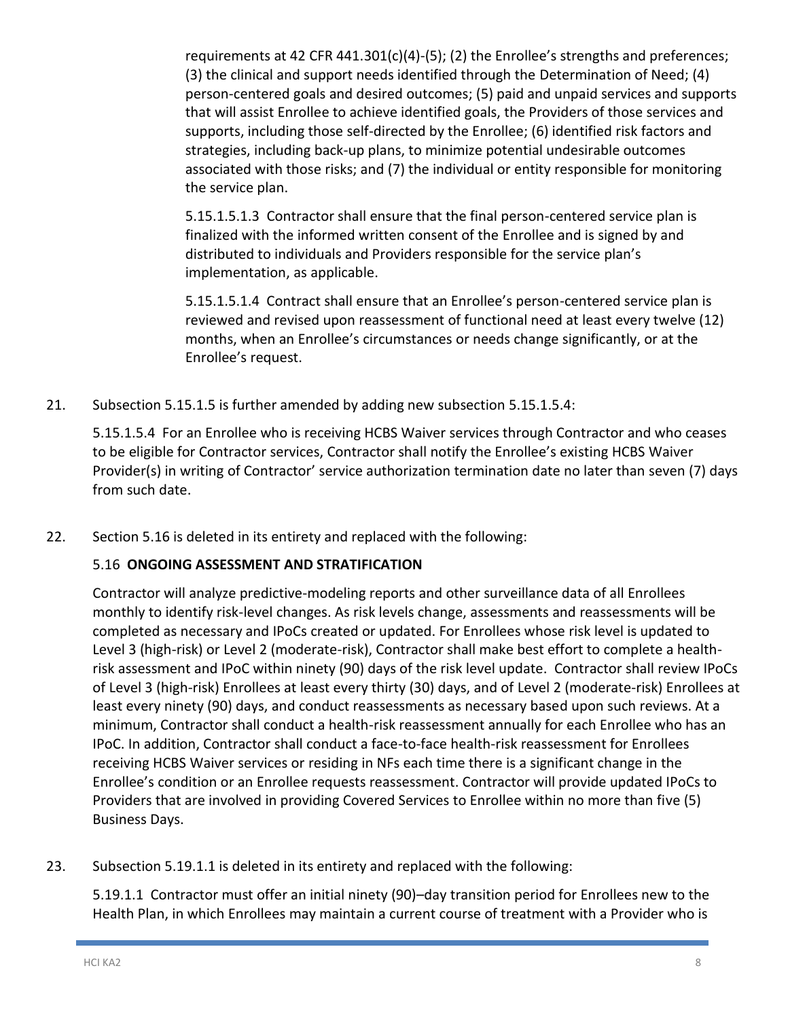requirements at 42 CFR 441.301(c)(4)-(5); (2) the Enrollee's strengths and preferences; (3) the clinical and support needs identified through the Determination of Need; (4) person-centered goals and desired outcomes; (5) paid and unpaid services and supports that will assist Enrollee to achieve identified goals, the Providers of those services and supports, including those self-directed by the Enrollee; (6) identified risk factors and strategies, including back-up plans, to minimize potential undesirable outcomes associated with those risks; and (7) the individual or entity responsible for monitoring the service plan.

5.15.1.5.1.3 Contractor shall ensure that the final person-centered service plan is finalized with the informed written consent of the Enrollee and is signed by and distributed to individuals and Providers responsible for the service plan's implementation, as applicable.

5.15.1.5.1.4 Contract shall ensure that an Enrollee's person-centered service plan is reviewed and revised upon reassessment of functional need at least every twelve (12) months, when an Enrollee's circumstances or needs change significantly, or at the Enrollee's request.

21. Subsection 5.15.1.5 is further amended by adding new subsection 5.15.1.5.4:

5.15.1.5.4 For an Enrollee who is receiving HCBS Waiver services through Contractor and who ceases to be eligible for Contractor services, Contractor shall notify the Enrollee's existing HCBS Waiver Provider(s) in writing of Contractor' service authorization termination date no later than seven (7) days from such date.

22. Section 5.16 is deleted in its entirety and replaced with the following:

### 5.16 **ONGOING ASSESSMENT AND STRATIFICATION**

Contractor will analyze predictive-modeling reports and other surveillance data of all Enrollees monthly to identify risk-level changes. As risk levels change, assessments and reassessments will be completed as necessary and IPoCs created or updated. For Enrollees whose risk level is updated to Level 3 (high-risk) or Level 2 (moderate-risk), Contractor shall make best effort to complete a healthrisk assessment and IPoC within ninety (90) days of the risk level update. Contractor shall review IPoCs of Level 3 (high-risk) Enrollees at least every thirty (30) days, and of Level 2 (moderate-risk) Enrollees at least every ninety (90) days, and conduct reassessments as necessary based upon such reviews. At a minimum, Contractor shall conduct a health-risk reassessment annually for each Enrollee who has an IPoC. In addition, Contractor shall conduct a face-to-face health-risk reassessment for Enrollees receiving HCBS Waiver services or residing in NFs each time there is a significant change in the Enrollee's condition or an Enrollee requests reassessment. Contractor will provide updated IPoCs to Providers that are involved in providing Covered Services to Enrollee within no more than five (5) Business Days.

23. Subsection 5.19.1.1 is deleted in its entirety and replaced with the following:

5.19.1.1 Contractor must offer an initial ninety (90)–day transition period for Enrollees new to the Health Plan, in which Enrollees may maintain a current course of treatment with a Provider who is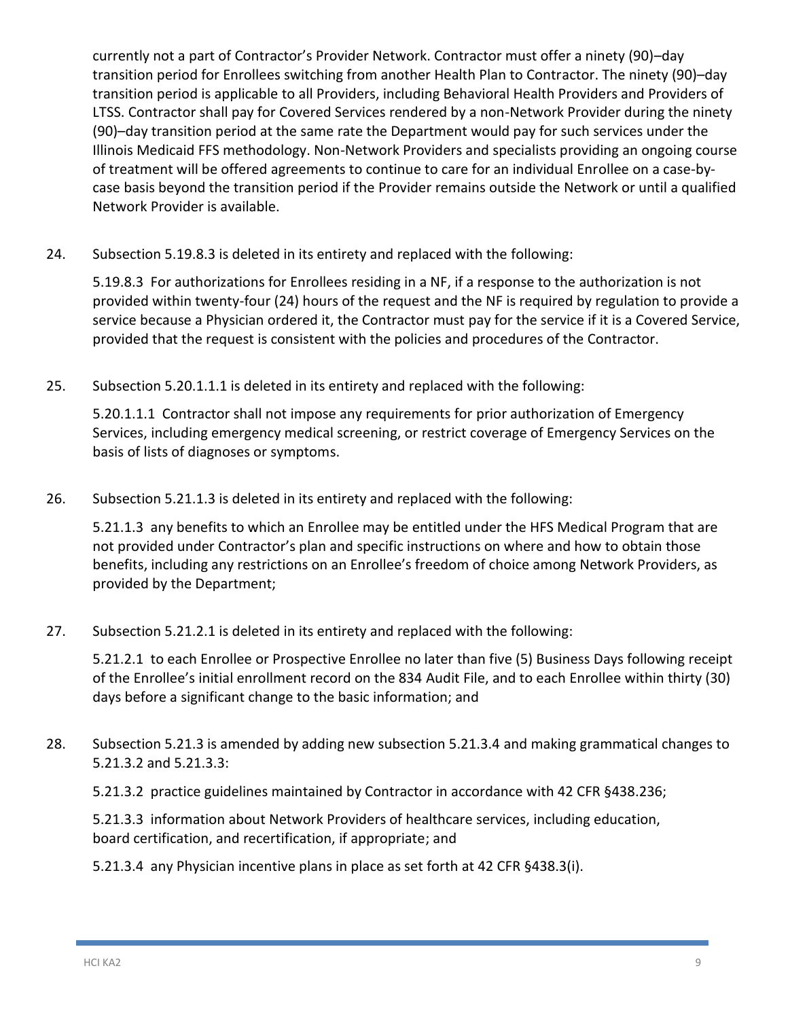currently not a part of Contractor's Provider Network. Contractor must offer a ninety (90)–day transition period for Enrollees switching from another Health Plan to Contractor. The ninety (90)–day transition period is applicable to all Providers, including Behavioral Health Providers and Providers of LTSS. Contractor shall pay for Covered Services rendered by a non-Network Provider during the ninety (90)–day transition period at the same rate the Department would pay for such services under the Illinois Medicaid FFS methodology. Non-Network Providers and specialists providing an ongoing course of treatment will be offered agreements to continue to care for an individual Enrollee on a case-bycase basis beyond the transition period if the Provider remains outside the Network or until a qualified Network Provider is available.

24. Subsection 5.19.8.3 is deleted in its entirety and replaced with the following:

5.19.8.3 For authorizations for Enrollees residing in a NF, if a response to the authorization is not provided within twenty-four (24) hours of the request and the NF is required by regulation to provide a service because a Physician ordered it, the Contractor must pay for the service if it is a Covered Service, provided that the request is consistent with the policies and procedures of the Contractor.

25. Subsection 5.20.1.1.1 is deleted in its entirety and replaced with the following:

5.20.1.1.1 Contractor shall not impose any requirements for prior authorization of Emergency Services, including emergency medical screening, or restrict coverage of Emergency Services on the basis of lists of diagnoses or symptoms.

26. Subsection 5.21.1.3 is deleted in its entirety and replaced with the following:

5.21.1.3 any benefits to which an Enrollee may be entitled under the HFS Medical Program that are not provided under Contractor's plan and specific instructions on where and how to obtain those benefits, including any restrictions on an Enrollee's freedom of choice among Network Providers, as provided by the Department;

27. Subsection 5.21.2.1 is deleted in its entirety and replaced with the following:

5.21.2.1 to each Enrollee or Prospective Enrollee no later than five (5) Business Days following receipt of the Enrollee's initial enrollment record on the 834 Audit File, and to each Enrollee within thirty (30) days before a significant change to the basic information; and

28. Subsection 5.21.3 is amended by adding new subsection 5.21.3.4 and making grammatical changes to 5.21.3.2 and 5.21.3.3:

5.21.3.2 practice guidelines maintained by Contractor in accordance with 42 CFR §438.236;

5.21.3.3 information about Network Providers of healthcare services, including education, board certification, and recertification, if appropriate; and

5.21.3.4 any Physician incentive plans in place as set forth at 42 CFR §438.3(i).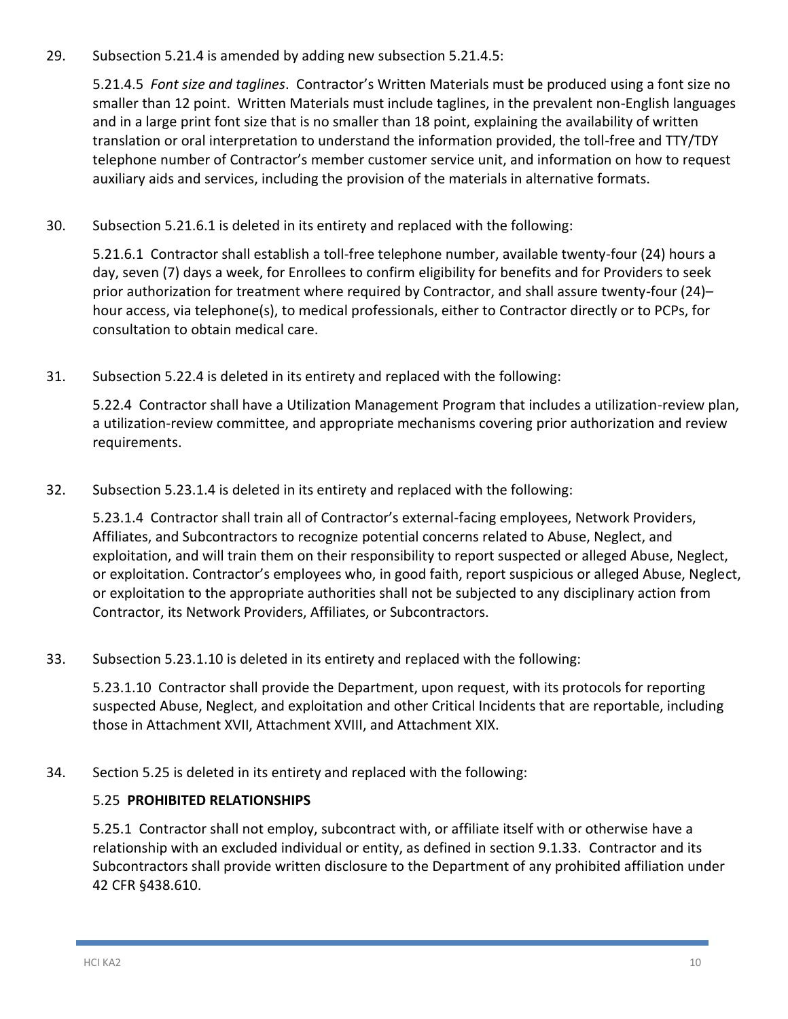29. Subsection 5.21.4 is amended by adding new subsection 5.21.4.5:

5.21.4.5 *Font size and taglines*. Contractor's Written Materials must be produced using a font size no smaller than 12 point. Written Materials must include taglines, in the prevalent non-English languages and in a large print font size that is no smaller than 18 point, explaining the availability of written translation or oral interpretation to understand the information provided, the toll-free and TTY/TDY telephone number of Contractor's member customer service unit, and information on how to request auxiliary aids and services, including the provision of the materials in alternative formats.

30. Subsection 5.21.6.1 is deleted in its entirety and replaced with the following:

5.21.6.1 Contractor shall establish a toll-free telephone number, available twenty-four (24) hours a day, seven (7) days a week, for Enrollees to confirm eligibility for benefits and for Providers to seek prior authorization for treatment where required by Contractor, and shall assure twenty-four (24)– hour access, via telephone(s), to medical professionals, either to Contractor directly or to PCPs, for consultation to obtain medical care.

31. Subsection 5.22.4 is deleted in its entirety and replaced with the following:

5.22.4 Contractor shall have a Utilization Management Program that includes a utilization-review plan, a utilization-review committee, and appropriate mechanisms covering prior authorization and review requirements.

32. Subsection 5.23.1.4 is deleted in its entirety and replaced with the following:

5.23.1.4 Contractor shall train all of Contractor's external-facing employees, Network Providers, Affiliates, and Subcontractors to recognize potential concerns related to Abuse, Neglect, and exploitation, and will train them on their responsibility to report suspected or alleged Abuse, Neglect, or exploitation. Contractor's employees who, in good faith, report suspicious or alleged Abuse, Neglect, or exploitation to the appropriate authorities shall not be subjected to any disciplinary action from Contractor, its Network Providers, Affiliates, or Subcontractors.

33. Subsection 5.23.1.10 is deleted in its entirety and replaced with the following:

5.23.1.10 Contractor shall provide the Department, upon request, with its protocols for reporting suspected Abuse, Neglect, and exploitation and other Critical Incidents that are reportable, including those in Attachment XVII, Attachment XVIII, and Attachment XIX.

34. Section 5.25 is deleted in its entirety and replaced with the following:

### 5.25 **PROHIBITED RELATIONSHIPS**

5.25.1 Contractor shall not employ, subcontract with, or affiliate itself with or otherwise have a relationship with an excluded individual or entity, as defined in section 9.1.33. Contractor and its Subcontractors shall provide written disclosure to the Department of any prohibited affiliation under 42 CFR §438.610.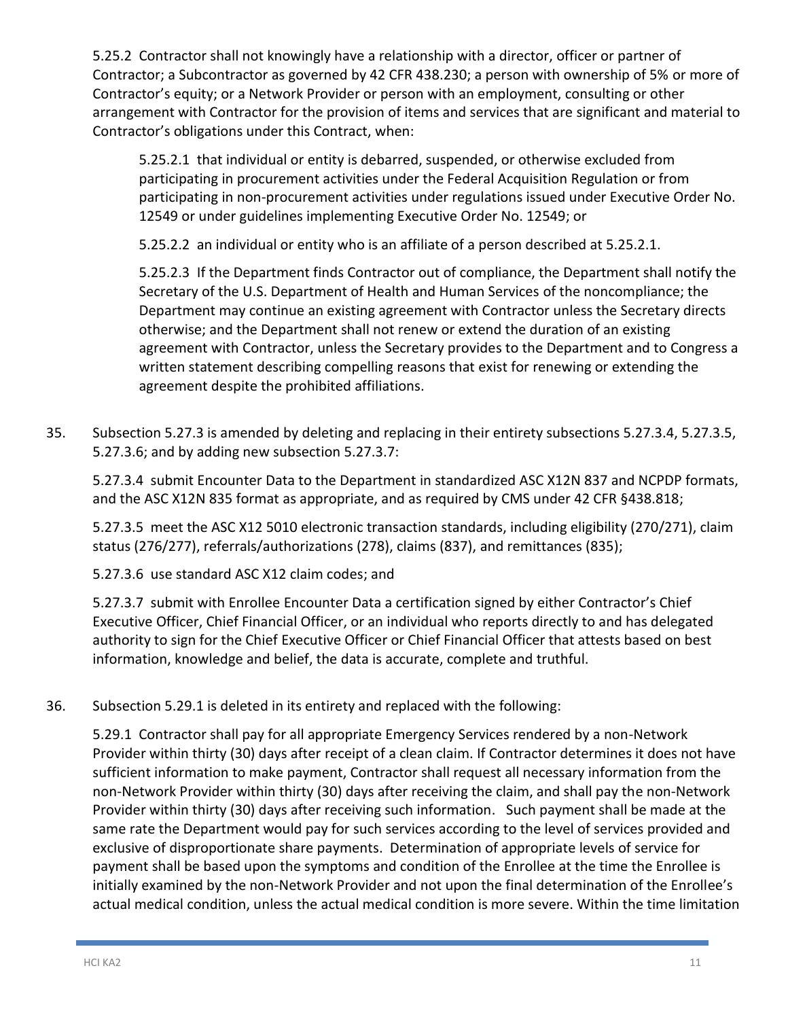5.25.2 Contractor shall not knowingly have a relationship with a director, officer or partner of Contractor; a Subcontractor as governed by 42 CFR 438.230; a person with ownership of 5% or more of Contractor's equity; or a Network Provider or person with an employment, consulting or other arrangement with Contractor for the provision of items and services that are significant and material to Contractor's obligations under this Contract, when:

5.25.2.1 that individual or entity is debarred, suspended, or otherwise excluded from participating in procurement activities under the Federal Acquisition Regulation or from participating in non-procurement activities under regulations issued under Executive Order No. 12549 or under guidelines implementing Executive Order No. 12549; or

5.25.2.2 an individual or entity who is an affiliate of a person described at 5.25.2.1.

5.25.2.3 If the Department finds Contractor out of compliance, the Department shall notify the Secretary of the U.S. Department of Health and Human Services of the noncompliance; the Department may continue an existing agreement with Contractor unless the Secretary directs otherwise; and the Department shall not renew or extend the duration of an existing agreement with Contractor, unless the Secretary provides to the Department and to Congress a written statement describing compelling reasons that exist for renewing or extending the agreement despite the prohibited affiliations.

35. Subsection 5.27.3 is amended by deleting and replacing in their entirety subsections 5.27.3.4, 5.27.3.5, 5.27.3.6; and by adding new subsection 5.27.3.7:

5.27.3.4 submit Encounter Data to the Department in standardized ASC X12N 837 and NCPDP formats, and the ASC X12N 835 format as appropriate, and as required by CMS under 42 CFR §438.818;

5.27.3.5 meet the ASC X12 5010 electronic transaction standards, including eligibility (270/271), claim status (276/277), referrals/authorizations (278), claims (837), and remittances (835);

5.27.3.6 use standard ASC X12 claim codes; and

5.27.3.7 submit with Enrollee Encounter Data a certification signed by either Contractor's Chief Executive Officer, Chief Financial Officer, or an individual who reports directly to and has delegated authority to sign for the Chief Executive Officer or Chief Financial Officer that attests based on best information, knowledge and belief, the data is accurate, complete and truthful.

36. Subsection 5.29.1 is deleted in its entirety and replaced with the following:

5.29.1 Contractor shall pay for all appropriate Emergency Services rendered by a non-Network Provider within thirty (30) days after receipt of a clean claim. If Contractor determines it does not have sufficient information to make payment, Contractor shall request all necessary information from the non-Network Provider within thirty (30) days after receiving the claim, and shall pay the non-Network Provider within thirty (30) days after receiving such information. Such payment shall be made at the same rate the Department would pay for such services according to the level of services provided and exclusive of disproportionate share payments. Determination of appropriate levels of service for payment shall be based upon the symptoms and condition of the Enrollee at the time the Enrollee is initially examined by the non-Network Provider and not upon the final determination of the Enrollee's actual medical condition, unless the actual medical condition is more severe. Within the time limitation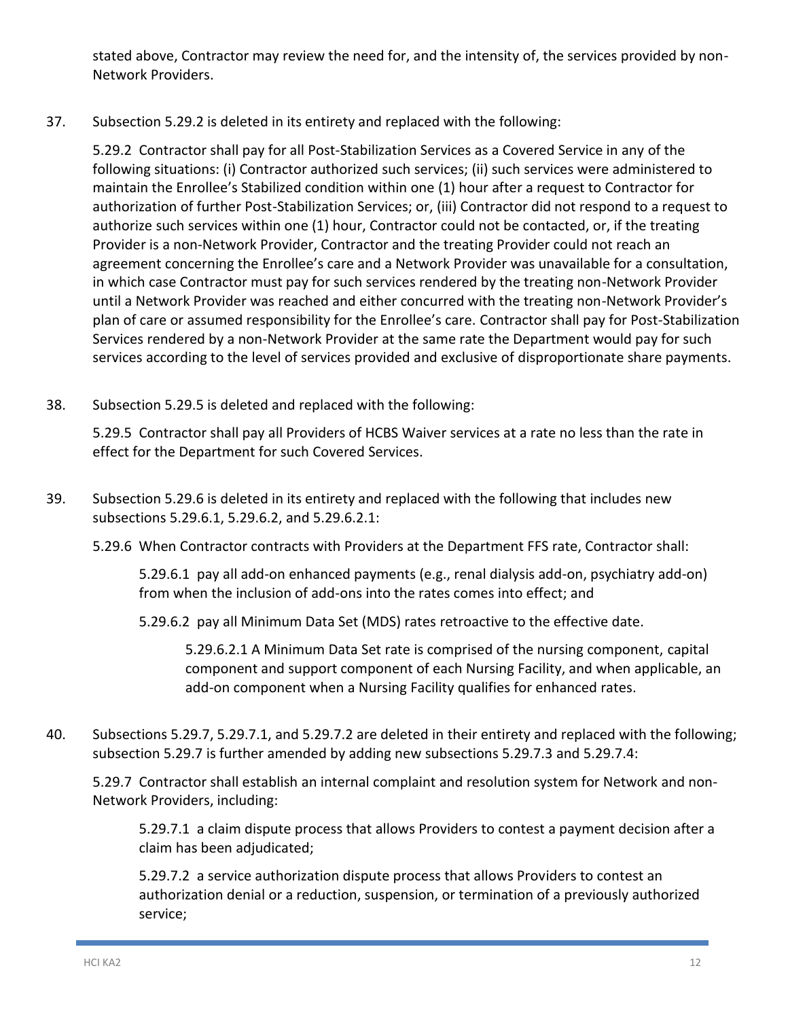stated above, Contractor may review the need for, and the intensity of, the services provided by non-Network Providers.

37. Subsection 5.29.2 is deleted in its entirety and replaced with the following:

5.29.2 Contractor shall pay for all Post-Stabilization Services as a Covered Service in any of the following situations: (i) Contractor authorized such services; (ii) such services were administered to maintain the Enrollee's Stabilized condition within one (1) hour after a request to Contractor for authorization of further Post-Stabilization Services; or, (iii) Contractor did not respond to a request to authorize such services within one (1) hour, Contractor could not be contacted, or, if the treating Provider is a non-Network Provider, Contractor and the treating Provider could not reach an agreement concerning the Enrollee's care and a Network Provider was unavailable for a consultation, in which case Contractor must pay for such services rendered by the treating non-Network Provider until a Network Provider was reached and either concurred with the treating non-Network Provider's plan of care or assumed responsibility for the Enrollee's care. Contractor shall pay for Post-Stabilization Services rendered by a non-Network Provider at the same rate the Department would pay for such services according to the level of services provided and exclusive of disproportionate share payments.

38. Subsection 5.29.5 is deleted and replaced with the following:

5.29.5 Contractor shall pay all Providers of HCBS Waiver services at a rate no less than the rate in effect for the Department for such Covered Services.

- 39. Subsection 5.29.6 is deleted in its entirety and replaced with the following that includes new subsections 5.29.6.1, 5.29.6.2, and 5.29.6.2.1:
	- 5.29.6 When Contractor contracts with Providers at the Department FFS rate, Contractor shall:

5.29.6.1 pay all add-on enhanced payments (e.g., renal dialysis add-on, psychiatry add-on) from when the inclusion of add-ons into the rates comes into effect; and

5.29.6.2 pay all Minimum Data Set (MDS) rates retroactive to the effective date.

5.29.6.2.1 A Minimum Data Set rate is comprised of the nursing component, capital component and support component of each Nursing Facility, and when applicable, an add-on component when a Nursing Facility qualifies for enhanced rates.

40. Subsections 5.29.7, 5.29.7.1, and 5.29.7.2 are deleted in their entirety and replaced with the following; subsection 5.29.7 is further amended by adding new subsections 5.29.7.3 and 5.29.7.4:

5.29.7 Contractor shall establish an internal complaint and resolution system for Network and non-Network Providers, including:

5.29.7.1 a claim dispute process that allows Providers to contest a payment decision after a claim has been adjudicated;

5.29.7.2 a service authorization dispute process that allows Providers to contest an authorization denial or a reduction, suspension, or termination of a previously authorized service;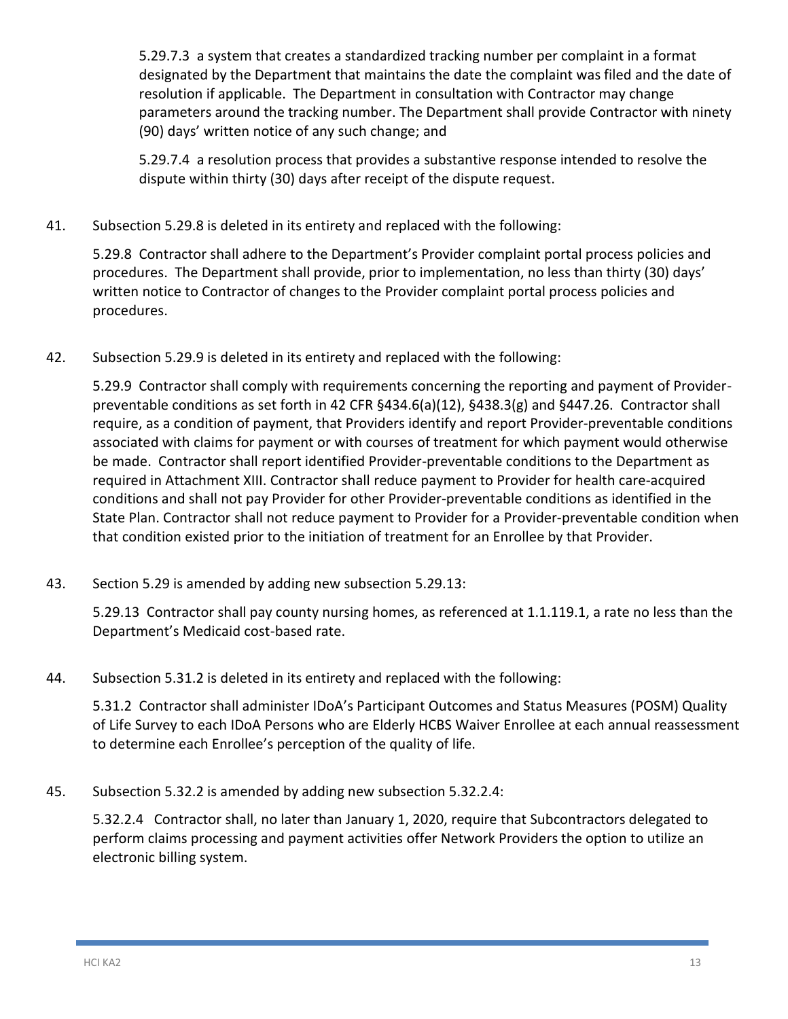5.29.7.3 a system that creates a standardized tracking number per complaint in a format designated by the Department that maintains the date the complaint was filed and the date of resolution if applicable. The Department in consultation with Contractor may change parameters around the tracking number. The Department shall provide Contractor with ninety (90) days' written notice of any such change; and

5.29.7.4 a resolution process that provides a substantive response intended to resolve the dispute within thirty (30) days after receipt of the dispute request.

41. Subsection 5.29.8 is deleted in its entirety and replaced with the following:

5.29.8 Contractor shall adhere to the Department's Provider complaint portal process policies and procedures. The Department shall provide, prior to implementation, no less than thirty (30) days' written notice to Contractor of changes to the Provider complaint portal process policies and procedures.

42. Subsection 5.29.9 is deleted in its entirety and replaced with the following:

5.29.9 Contractor shall comply with requirements concerning the reporting and payment of Providerpreventable conditions as set forth in 42 CFR §434.6(a)(12), §438.3(g) and §447.26. Contractor shall require, as a condition of payment, that Providers identify and report Provider-preventable conditions associated with claims for payment or with courses of treatment for which payment would otherwise be made. Contractor shall report identified Provider-preventable conditions to the Department as required in Attachment XIII. Contractor shall reduce payment to Provider for health care-acquired conditions and shall not pay Provider for other Provider-preventable conditions as identified in the State Plan. Contractor shall not reduce payment to Provider for a Provider-preventable condition when that condition existed prior to the initiation of treatment for an Enrollee by that Provider.

43. Section 5.29 is amended by adding new subsection 5.29.13:

5.29.13 Contractor shall pay county nursing homes, as referenced at 1.1.119.1, a rate no less than the Department's Medicaid cost-based rate.

44. Subsection 5.31.2 is deleted in its entirety and replaced with the following:

5.31.2 Contractor shall administer IDoA's Participant Outcomes and Status Measures (POSM) Quality of Life Survey to each IDoA Persons who are Elderly HCBS Waiver Enrollee at each annual reassessment to determine each Enrollee's perception of the quality of life.

45. Subsection 5.32.2 is amended by adding new subsection 5.32.2.4:

5.32.2.4 Contractor shall, no later than January 1, 2020, require that Subcontractors delegated to perform claims processing and payment activities offer Network Providers the option to utilize an electronic billing system.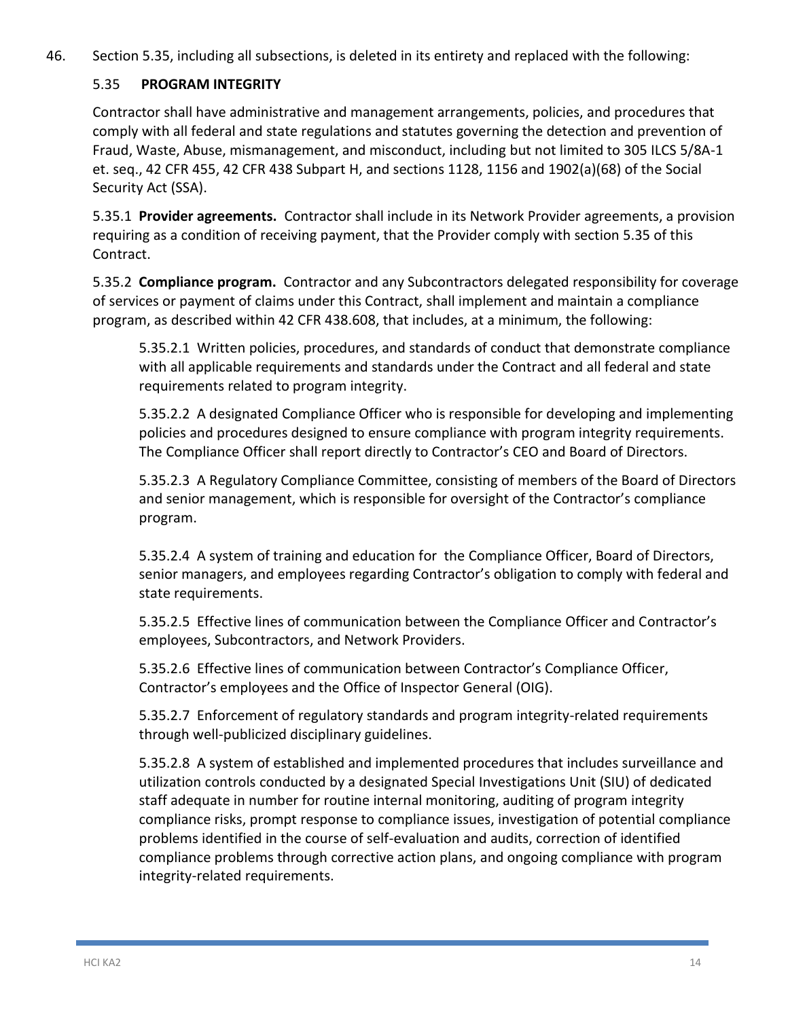46. Section 5.35, including all subsections, is deleted in its entirety and replaced with the following:

### 5.35 **PROGRAM INTEGRITY**

Contractor shall have administrative and management arrangements, policies, and procedures that comply with all federal and state regulations and statutes governing the detection and prevention of Fraud, Waste, Abuse, mismanagement, and misconduct, including but not limited to 305 ILCS 5/8A-1 et. seq., 42 CFR 455, 42 CFR 438 Subpart H, and sections 1128, 1156 and 1902(a)(68) of the Social Security Act (SSA).

5.35.1 **Provider agreements.** Contractor shall include in its Network Provider agreements, a provision requiring as a condition of receiving payment, that the Provider comply with section 5.35 of this Contract.

5.35.2 **Compliance program.** Contractor and any Subcontractors delegated responsibility for coverage of services or payment of claims under this Contract, shall implement and maintain a compliance program, as described within 42 CFR 438.608, that includes, at a minimum, the following:

5.35.2.1 Written policies, procedures, and standards of conduct that demonstrate compliance with all applicable requirements and standards under the Contract and all federal and state requirements related to program integrity.

5.35.2.2 A designated Compliance Officer who is responsible for developing and implementing policies and procedures designed to ensure compliance with program integrity requirements. The Compliance Officer shall report directly to Contractor's CEO and Board of Directors.

5.35.2.3 A Regulatory Compliance Committee, consisting of members of the Board of Directors and senior management, which is responsible for oversight of the Contractor's compliance program.

5.35.2.4 A system of training and education for the Compliance Officer, Board of Directors, senior managers, and employees regarding Contractor's obligation to comply with federal and state requirements.

5.35.2.5 Effective lines of communication between the Compliance Officer and Contractor's employees, Subcontractors, and Network Providers.

5.35.2.6 Effective lines of communication between Contractor's Compliance Officer, Contractor's employees and the Office of Inspector General (OIG).

5.35.2.7 Enforcement of regulatory standards and program integrity-related requirements through well-publicized disciplinary guidelines.

5.35.2.8 A system of established and implemented procedures that includes surveillance and utilization controls conducted by a designated Special Investigations Unit (SIU) of dedicated staff adequate in number for routine internal monitoring, auditing of program integrity compliance risks, prompt response to compliance issues, investigation of potential compliance problems identified in the course of self-evaluation and audits, correction of identified compliance problems through corrective action plans, and ongoing compliance with program integrity-related requirements.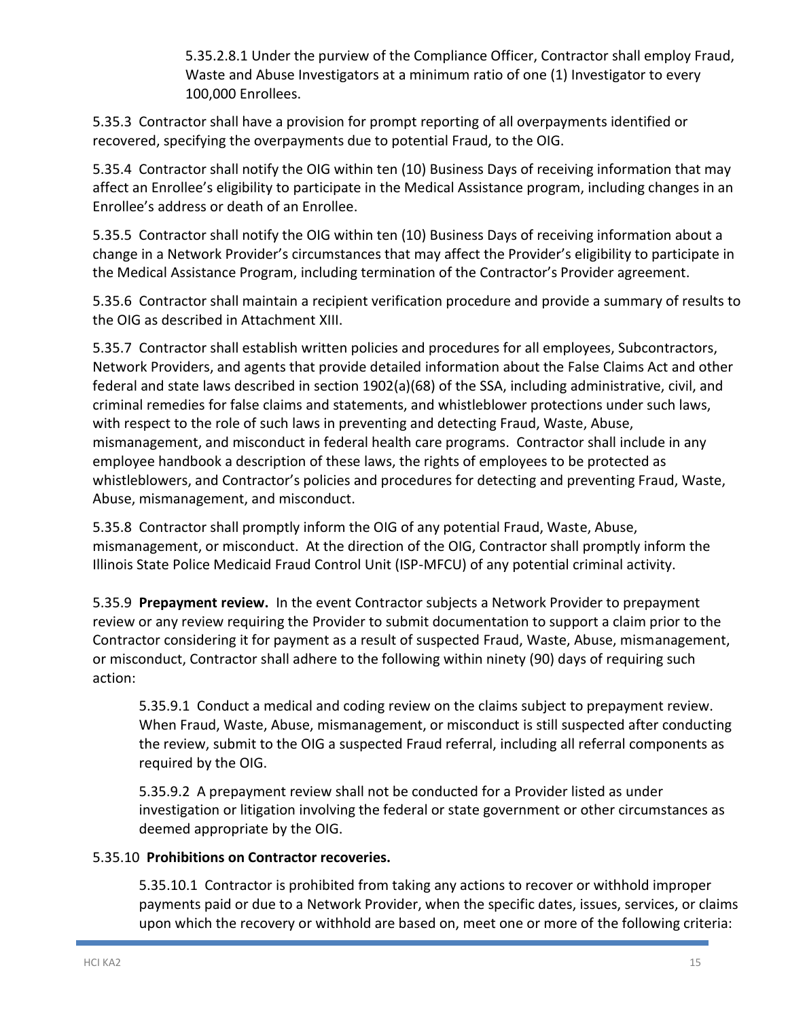5.35.2.8.1 Under the purview of the Compliance Officer, Contractor shall employ Fraud, Waste and Abuse Investigators at a minimum ratio of one (1) Investigator to every 100,000 Enrollees.

5.35.3 Contractor shall have a provision for prompt reporting of all overpayments identified or recovered, specifying the overpayments due to potential Fraud, to the OIG.

5.35.4 Contractor shall notify the OIG within ten (10) Business Days of receiving information that may affect an Enrollee's eligibility to participate in the Medical Assistance program, including changes in an Enrollee's address or death of an Enrollee.

5.35.5 Contractor shall notify the OIG within ten (10) Business Days of receiving information about a change in a Network Provider's circumstances that may affect the Provider's eligibility to participate in the Medical Assistance Program, including termination of the Contractor's Provider agreement.

5.35.6 Contractor shall maintain a recipient verification procedure and provide a summary of results to the OIG as described in Attachment XIII.

5.35.7 Contractor shall establish written policies and procedures for all employees, Subcontractors, Network Providers, and agents that provide detailed information about the False Claims Act and other federal and state laws described in section 1902(a)(68) of the SSA, including administrative, civil, and criminal remedies for false claims and statements, and whistleblower protections under such laws, with respect to the role of such laws in preventing and detecting Fraud, Waste, Abuse, mismanagement, and misconduct in federal health care programs. Contractor shall include in any employee handbook a description of these laws, the rights of employees to be protected as whistleblowers, and Contractor's policies and procedures for detecting and preventing Fraud, Waste, Abuse, mismanagement, and misconduct.

5.35.8 Contractor shall promptly inform the OIG of any potential Fraud, Waste, Abuse, mismanagement, or misconduct. At the direction of the OIG, Contractor shall promptly inform the Illinois State Police Medicaid Fraud Control Unit (ISP-MFCU) of any potential criminal activity.

5.35.9 **Prepayment review.** In the event Contractor subjects a Network Provider to prepayment review or any review requiring the Provider to submit documentation to support a claim prior to the Contractor considering it for payment as a result of suspected Fraud, Waste, Abuse, mismanagement, or misconduct, Contractor shall adhere to the following within ninety (90) days of requiring such action:

5.35.9.1 Conduct a medical and coding review on the claims subject to prepayment review. When Fraud, Waste, Abuse, mismanagement, or misconduct is still suspected after conducting the review, submit to the OIG a suspected Fraud referral, including all referral components as required by the OIG.

5.35.9.2 A prepayment review shall not be conducted for a Provider listed as under investigation or litigation involving the federal or state government or other circumstances as deemed appropriate by the OIG.

### 5.35.10 **Prohibitions on Contractor recoveries.**

5.35.10.1 Contractor is prohibited from taking any actions to recover or withhold improper payments paid or due to a Network Provider, when the specific dates, issues, services, or claims upon which the recovery or withhold are based on, meet one or more of the following criteria: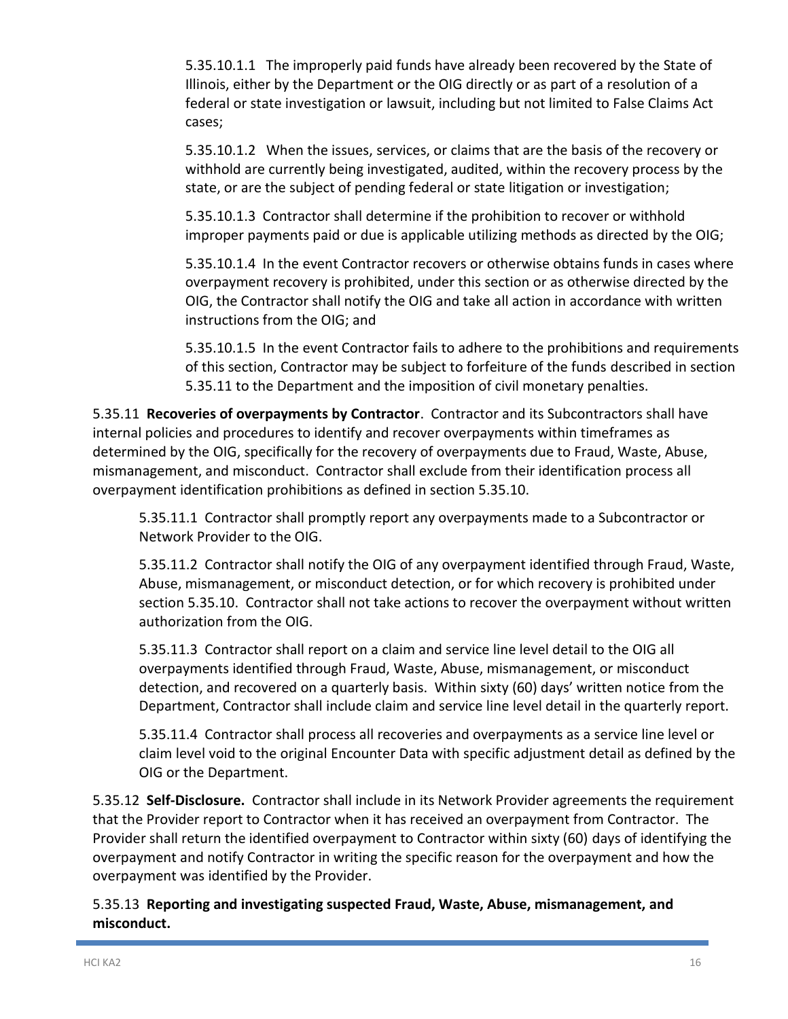5.35.10.1.1 The improperly paid funds have already been recovered by the State of Illinois, either by the Department or the OIG directly or as part of a resolution of a federal or state investigation or lawsuit, including but not limited to False Claims Act cases;

5.35.10.1.2 When the issues, services, or claims that are the basis of the recovery or withhold are currently being investigated, audited, within the recovery process by the state, or are the subject of pending federal or state litigation or investigation;

5.35.10.1.3 Contractor shall determine if the prohibition to recover or withhold improper payments paid or due is applicable utilizing methods as directed by the OIG;

5.35.10.1.4 In the event Contractor recovers or otherwise obtains funds in cases where overpayment recovery is prohibited, under this section or as otherwise directed by the OIG, the Contractor shall notify the OIG and take all action in accordance with written instructions from the OIG; and

5.35.10.1.5 In the event Contractor fails to adhere to the prohibitions and requirements of this section, Contractor may be subject to forfeiture of the funds described in section 5.35.11 to the Department and the imposition of civil monetary penalties.

5.35.11 **Recoveries of overpayments by Contractor**. Contractor and its Subcontractors shall have internal policies and procedures to identify and recover overpayments within timeframes as determined by the OIG, specifically for the recovery of overpayments due to Fraud, Waste, Abuse, mismanagement, and misconduct. Contractor shall exclude from their identification process all overpayment identification prohibitions as defined in section 5.35.10.

5.35.11.1 Contractor shall promptly report any overpayments made to a Subcontractor or Network Provider to the OIG.

5.35.11.2 Contractor shall notify the OIG of any overpayment identified through Fraud, Waste, Abuse, mismanagement, or misconduct detection, or for which recovery is prohibited under section 5.35.10. Contractor shall not take actions to recover the overpayment without written authorization from the OIG.

5.35.11.3 Contractor shall report on a claim and service line level detail to the OIG all overpayments identified through Fraud, Waste, Abuse, mismanagement, or misconduct detection, and recovered on a quarterly basis. Within sixty (60) days' written notice from the Department, Contractor shall include claim and service line level detail in the quarterly report.

5.35.11.4 Contractor shall process all recoveries and overpayments as a service line level or claim level void to the original Encounter Data with specific adjustment detail as defined by the OIG or the Department.

5.35.12 **Self-Disclosure.** Contractor shall include in its Network Provider agreements the requirement that the Provider report to Contractor when it has received an overpayment from Contractor. The Provider shall return the identified overpayment to Contractor within sixty (60) days of identifying the overpayment and notify Contractor in writing the specific reason for the overpayment and how the overpayment was identified by the Provider.

5.35.13 **Reporting and investigating suspected Fraud, Waste, Abuse, mismanagement, and misconduct.**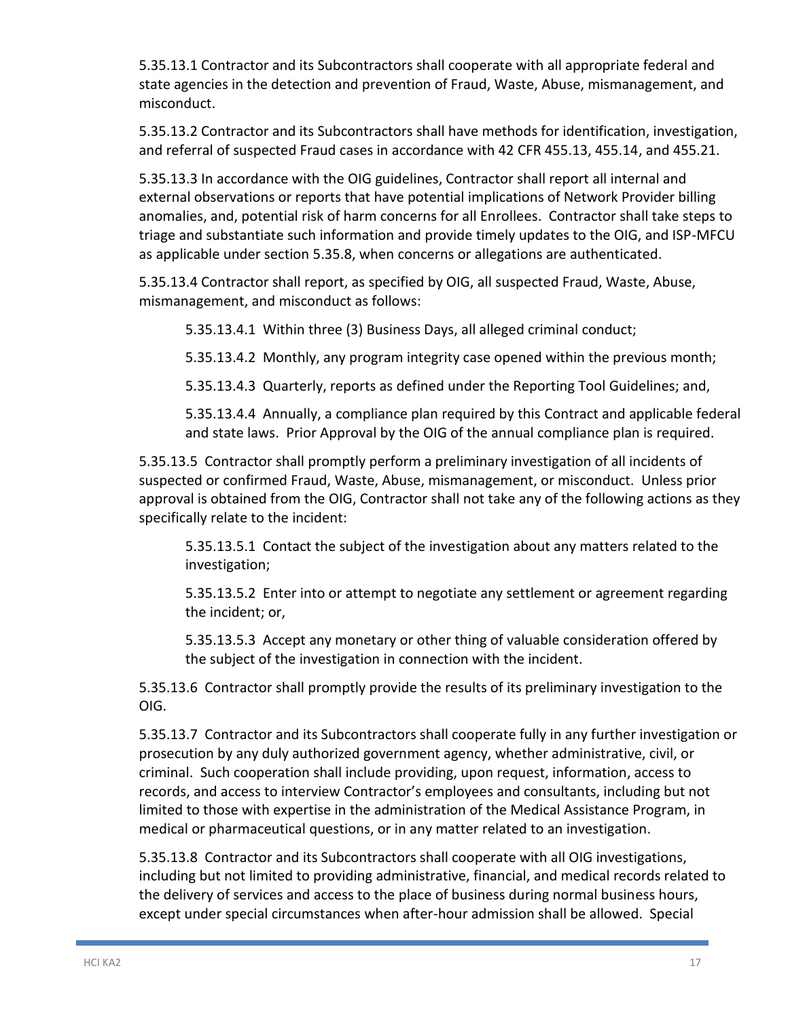5.35.13.1 Contractor and its Subcontractors shall cooperate with all appropriate federal and state agencies in the detection and prevention of Fraud, Waste, Abuse, mismanagement, and misconduct.

5.35.13.2 Contractor and its Subcontractors shall have methods for identification, investigation, and referral of suspected Fraud cases in accordance with 42 CFR 455.13, 455.14, and 455.21.

5.35.13.3 In accordance with the OIG guidelines, Contractor shall report all internal and external observations or reports that have potential implications of Network Provider billing anomalies, and, potential risk of harm concerns for all Enrollees. Contractor shall take steps to triage and substantiate such information and provide timely updates to the OIG, and ISP-MFCU as applicable under section 5.35.8, when concerns or allegations are authenticated.

5.35.13.4 Contractor shall report, as specified by OIG, all suspected Fraud, Waste, Abuse, mismanagement, and misconduct as follows:

5.35.13.4.1 Within three (3) Business Days, all alleged criminal conduct;

5.35.13.4.2 Monthly, any program integrity case opened within the previous month;

5.35.13.4.3 Quarterly, reports as defined under the Reporting Tool Guidelines; and,

5.35.13.4.4 Annually, a compliance plan required by this Contract and applicable federal and state laws. Prior Approval by the OIG of the annual compliance plan is required.

5.35.13.5 Contractor shall promptly perform a preliminary investigation of all incidents of suspected or confirmed Fraud, Waste, Abuse, mismanagement, or misconduct. Unless prior approval is obtained from the OIG, Contractor shall not take any of the following actions as they specifically relate to the incident:

5.35.13.5.1 Contact the subject of the investigation about any matters related to the investigation;

5.35.13.5.2 Enter into or attempt to negotiate any settlement or agreement regarding the incident; or,

5.35.13.5.3 Accept any monetary or other thing of valuable consideration offered by the subject of the investigation in connection with the incident.

5.35.13.6 Contractor shall promptly provide the results of its preliminary investigation to the OIG.

5.35.13.7 Contractor and its Subcontractors shall cooperate fully in any further investigation or prosecution by any duly authorized government agency, whether administrative, civil, or criminal. Such cooperation shall include providing, upon request, information, access to records, and access to interview Contractor's employees and consultants, including but not limited to those with expertise in the administration of the Medical Assistance Program, in medical or pharmaceutical questions, or in any matter related to an investigation.

5.35.13.8 Contractor and its Subcontractors shall cooperate with all OIG investigations, including but not limited to providing administrative, financial, and medical records related to the delivery of services and access to the place of business during normal business hours, except under special circumstances when after-hour admission shall be allowed. Special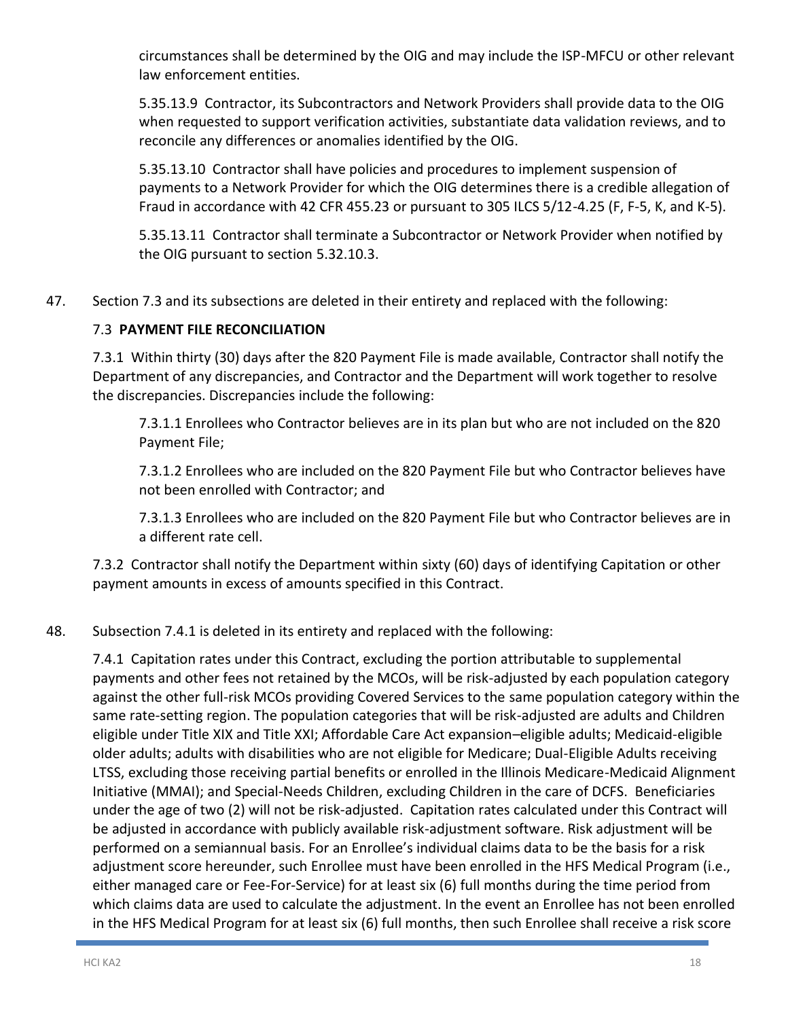circumstances shall be determined by the OIG and may include the ISP-MFCU or other relevant law enforcement entities.

5.35.13.9 Contractor, its Subcontractors and Network Providers shall provide data to the OIG when requested to support verification activities, substantiate data validation reviews, and to reconcile any differences or anomalies identified by the OIG.

5.35.13.10 Contractor shall have policies and procedures to implement suspension of payments to a Network Provider for which the OIG determines there is a credible allegation of Fraud in accordance with 42 CFR 455.23 or pursuant to 305 ILCS 5/12-4.25 (F, F-5, K, and K-5).

5.35.13.11 Contractor shall terminate a Subcontractor or Network Provider when notified by the OIG pursuant to section 5.32.10.3.

47. Section 7.3 and its subsections are deleted in their entirety and replaced with the following:

### 7.3 **PAYMENT FILE RECONCILIATION**

7.3.1 Within thirty (30) days after the 820 Payment File is made available, Contractor shall notify the Department of any discrepancies, and Contractor and the Department will work together to resolve the discrepancies. Discrepancies include the following:

7.3.1.1 Enrollees who Contractor believes are in its plan but who are not included on the 820 Payment File;

7.3.1.2 Enrollees who are included on the 820 Payment File but who Contractor believes have not been enrolled with Contractor; and

7.3.1.3 Enrollees who are included on the 820 Payment File but who Contractor believes are in a different rate cell.

7.3.2 Contractor shall notify the Department within sixty (60) days of identifying Capitation or other payment amounts in excess of amounts specified in this Contract.

### 48. Subsection 7.4.1 is deleted in its entirety and replaced with the following:

7.4.1 Capitation rates under this Contract, excluding the portion attributable to supplemental payments and other fees not retained by the MCOs, will be risk-adjusted by each population category against the other full-risk MCOs providing Covered Services to the same population category within the same rate-setting region. The population categories that will be risk-adjusted are adults and Children eligible under Title XIX and Title XXI; Affordable Care Act expansion–eligible adults; Medicaid-eligible older adults; adults with disabilities who are not eligible for Medicare; Dual-Eligible Adults receiving LTSS, excluding those receiving partial benefits or enrolled in the Illinois Medicare-Medicaid Alignment Initiative (MMAI); and Special-Needs Children, excluding Children in the care of DCFS. Beneficiaries under the age of two (2) will not be risk-adjusted. Capitation rates calculated under this Contract will be adjusted in accordance with publicly available risk-adjustment software. Risk adjustment will be performed on a semiannual basis. For an Enrollee's individual claims data to be the basis for a risk adjustment score hereunder, such Enrollee must have been enrolled in the HFS Medical Program (i.e., either managed care or Fee-For-Service) for at least six (6) full months during the time period from which claims data are used to calculate the adjustment. In the event an Enrollee has not been enrolled in the HFS Medical Program for at least six (6) full months, then such Enrollee shall receive a risk score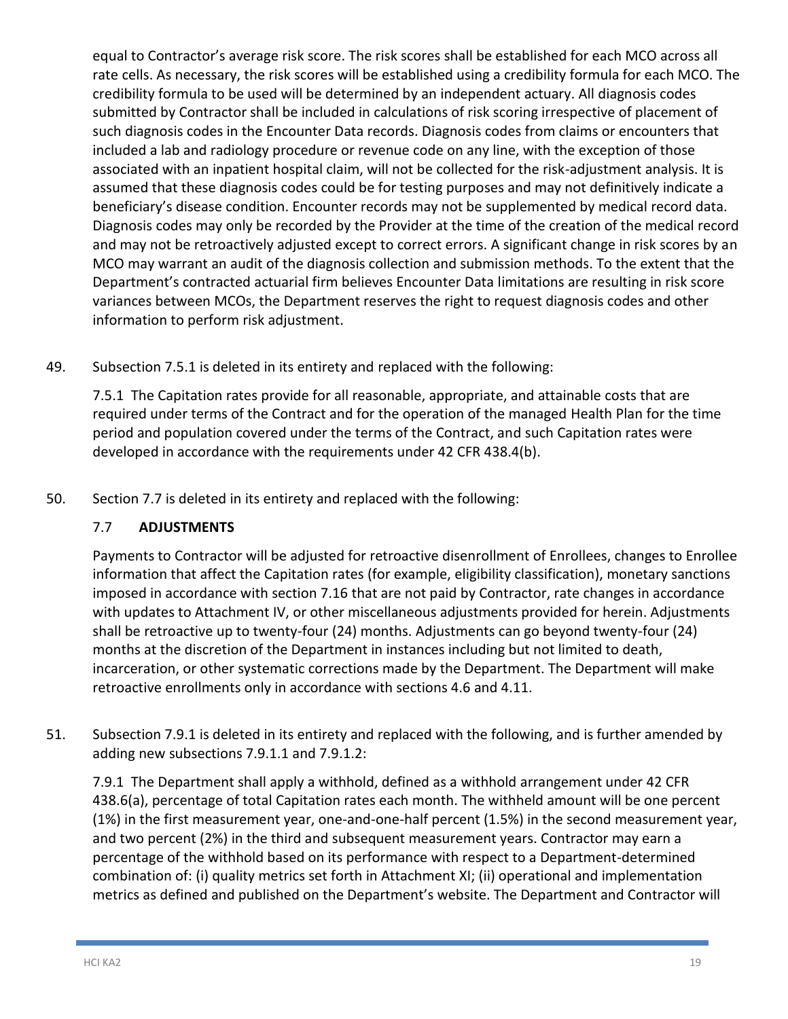equal to Contractor's average risk score. The risk scores shall be established for each MCO across all rate cells. As necessary, the risk scores will be established using a credibility formula for each MCO. The credibility formula to be used will be determined by an independent actuary. All diagnosis codes submitted by Contractor shall be included in calculations of risk scoring irrespective of placement of such diagnosis codes in the Encounter Data records. Diagnosis codes from claims or encounters that included a lab and radiology procedure or revenue code on any line, with the exception of those associated with an inpatient hospital claim, will not be collected for the risk-adjustment analysis. It is assumed that these diagnosis codes could be for testing purposes and may not definitively indicate a beneficiary's disease condition. Encounter records may not be supplemented by medical record data. Diagnosis codes may only be recorded by the Provider at the time of the creation of the medical record and may not be retroactively adjusted except to correct errors. A significant change in risk scores by an MCO may warrant an audit of the diagnosis collection and submission methods. To the extent that the Department's contracted actuarial firm believes Encounter Data limitations are resulting in risk score variances between MCOs, the Department reserves the right to request diagnosis codes and other information to perform risk adjustment.

49. Subsection 7.5.1 is deleted in its entirety and replaced with the following:

7.5.1 The Capitation rates provide for all reasonable, appropriate, and attainable costs that are required under terms of the Contract and for the operation of the managed Health Plan for the time period and population covered under the terms of the Contract, and such Capitation rates were developed in accordance with the requirements under 42 CFR 438.4(b).

50. Section 7.7 is deleted in its entirety and replaced with the following:

### 7.7 **ADJUSTMENTS**

Payments to Contractor will be adjusted for retroactive disenrollment of Enrollees, changes to Enrollee information that affect the Capitation rates (for example, eligibility classification), monetary sanctions imposed in accordance with section 7.16 that are not paid by Contractor, rate changes in accordance with updates to Attachment IV, or other miscellaneous adjustments provided for herein. Adjustments shall be retroactive up to twenty-four (24) months. Adjustments can go beyond twenty-four (24) months at the discretion of the Department in instances including but not limited to death, incarceration, or other systematic corrections made by the Department. The Department will make retroactive enrollments only in accordance with sections 4.6 and 4.11.

51. Subsection 7.9.1 is deleted in its entirety and replaced with the following, and is further amended by adding new subsections 7.9.1.1 and 7.9.1.2:

7.9.1 The Department shall apply a withhold, defined as a withhold arrangement under 42 CFR 438.6(a), percentage of total Capitation rates each month. The withheld amount will be one percent (1%) in the first measurement year, one-and-one-half percent (1.5%) in the second measurement year, and two percent (2%) in the third and subsequent measurement years. Contractor may earn a percentage of the withhold based on its performance with respect to a Department-determined combination of: (i) quality metrics set forth in Attachment XI; (ii) operational and implementation metrics as defined and published on the Department's website. The Department and Contractor will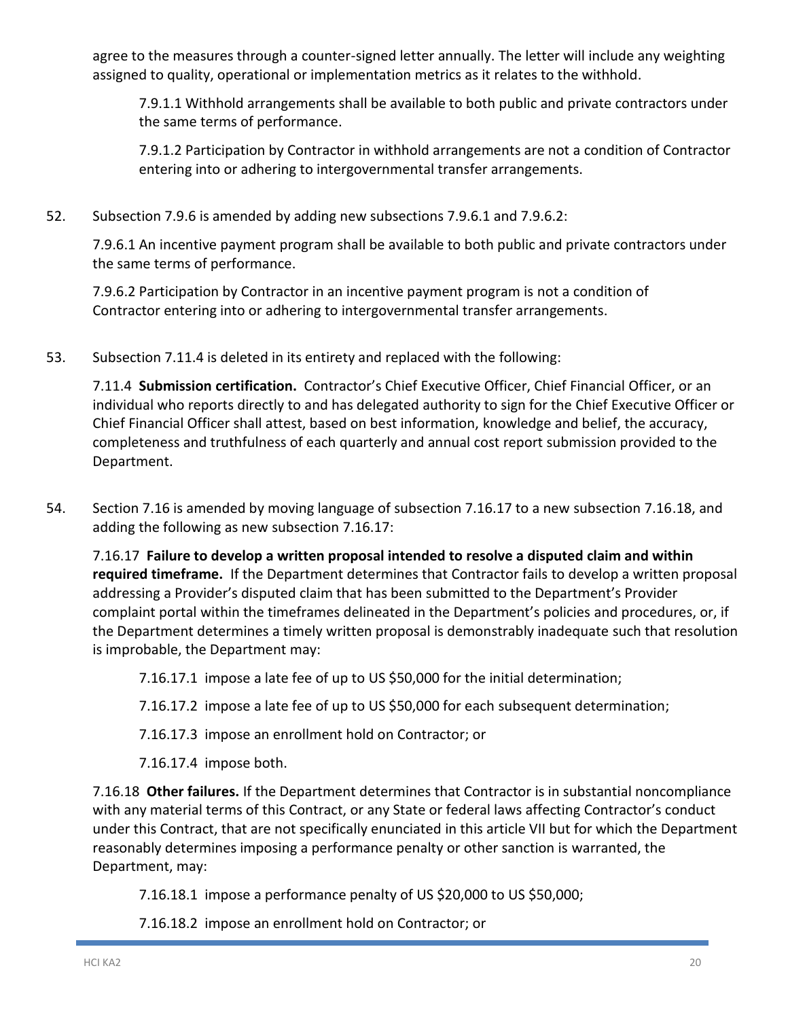agree to the measures through a counter-signed letter annually. The letter will include any weighting assigned to quality, operational or implementation metrics as it relates to the withhold.

7.9.1.1 Withhold arrangements shall be available to both public and private contractors under the same terms of performance.

7.9.1.2 Participation by Contractor in withhold arrangements are not a condition of Contractor entering into or adhering to intergovernmental transfer arrangements.

52. Subsection 7.9.6 is amended by adding new subsections 7.9.6.1 and 7.9.6.2:

7.9.6.1 An incentive payment program shall be available to both public and private contractors under the same terms of performance.

7.9.6.2 Participation by Contractor in an incentive payment program is not a condition of Contractor entering into or adhering to intergovernmental transfer arrangements.

53. Subsection 7.11.4 is deleted in its entirety and replaced with the following:

7.11.4 **Submission certification.** Contractor's Chief Executive Officer, Chief Financial Officer, or an individual who reports directly to and has delegated authority to sign for the Chief Executive Officer or Chief Financial Officer shall attest, based on best information, knowledge and belief, the accuracy, completeness and truthfulness of each quarterly and annual cost report submission provided to the Department.

54. Section 7.16 is amended by moving language of subsection 7.16.17 to a new subsection 7.16.18, and adding the following as new subsection 7.16.17:

7.16.17 **Failure to develop a written proposal intended to resolve a disputed claim and within required timeframe.** If the Department determines that Contractor fails to develop a written proposal addressing a Provider's disputed claim that has been submitted to the Department's Provider complaint portal within the timeframes delineated in the Department's policies and procedures, or, if the Department determines a timely written proposal is demonstrably inadequate such that resolution is improbable, the Department may:

7.16.17.1 impose a late fee of up to US \$50,000 for the initial determination;

7.16.17.2 impose a late fee of up to US \$50,000 for each subsequent determination;

7.16.17.3 impose an enrollment hold on Contractor; or

7.16.17.4 impose both.

7.16.18 **Other failures.** If the Department determines that Contractor is in substantial noncompliance with any material terms of this Contract, or any State or federal laws affecting Contractor's conduct under this Contract, that are not specifically enunciated in this article VII but for which the Department reasonably determines imposing a performance penalty or other sanction is warranted, the Department, may:

7.16.18.1 impose a performance penalty of US \$20,000 to US \$50,000;

7.16.18.2 impose an enrollment hold on Contractor; or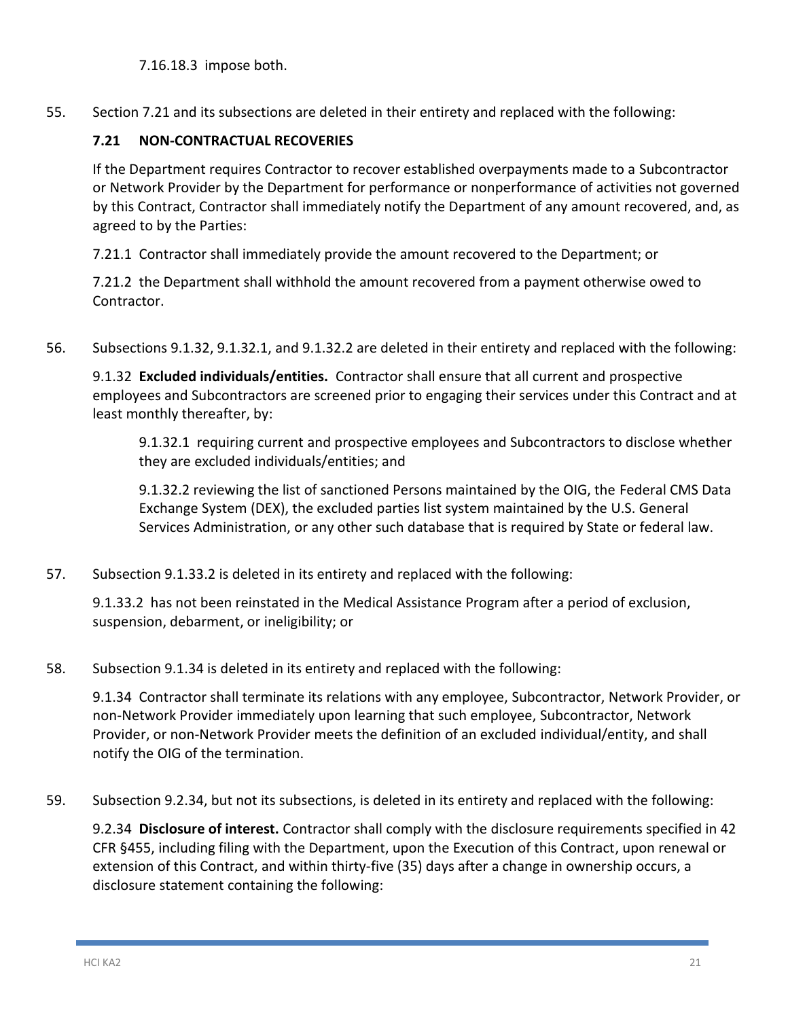7.16.18.3 impose both.

55. Section 7.21 and its subsections are deleted in their entirety and replaced with the following:

### **7.21 NON-CONTRACTUAL RECOVERIES**

If the Department requires Contractor to recover established overpayments made to a Subcontractor or Network Provider by the Department for performance or nonperformance of activities not governed by this Contract, Contractor shall immediately notify the Department of any amount recovered, and, as agreed to by the Parties:

7.21.1 Contractor shall immediately provide the amount recovered to the Department; or

7.21.2 the Department shall withhold the amount recovered from a payment otherwise owed to Contractor.

56. Subsections 9.1.32, 9.1.32.1, and 9.1.32.2 are deleted in their entirety and replaced with the following:

9.1.32 **Excluded individuals/entities.** Contractor shall ensure that all current and prospective employees and Subcontractors are screened prior to engaging their services under this Contract and at least monthly thereafter, by:

9.1.32.1 requiring current and prospective employees and Subcontractors to disclose whether they are excluded individuals/entities; and

9.1.32.2 reviewing the list of sanctioned Persons maintained by the OIG, the Federal CMS Data Exchange System (DEX), the excluded parties list system maintained by the U.S. General Services Administration, or any other such database that is required by State or federal law.

57. Subsection 9.1.33.2 is deleted in its entirety and replaced with the following:

9.1.33.2 has not been reinstated in the Medical Assistance Program after a period of exclusion, suspension, debarment, or ineligibility; or

58. Subsection 9.1.34 is deleted in its entirety and replaced with the following:

9.1.34 Contractor shall terminate its relations with any employee, Subcontractor, Network Provider, or non-Network Provider immediately upon learning that such employee, Subcontractor, Network Provider, or non-Network Provider meets the definition of an excluded individual/entity, and shall notify the OIG of the termination.

59. Subsection 9.2.34, but not its subsections, is deleted in its entirety and replaced with the following:

9.2.34 **Disclosure of interest.** Contractor shall comply with the disclosure requirements specified in 42 CFR §455, including filing with the Department, upon the Execution of this Contract, upon renewal or extension of this Contract, and within thirty-five (35) days after a change in ownership occurs, a disclosure statement containing the following: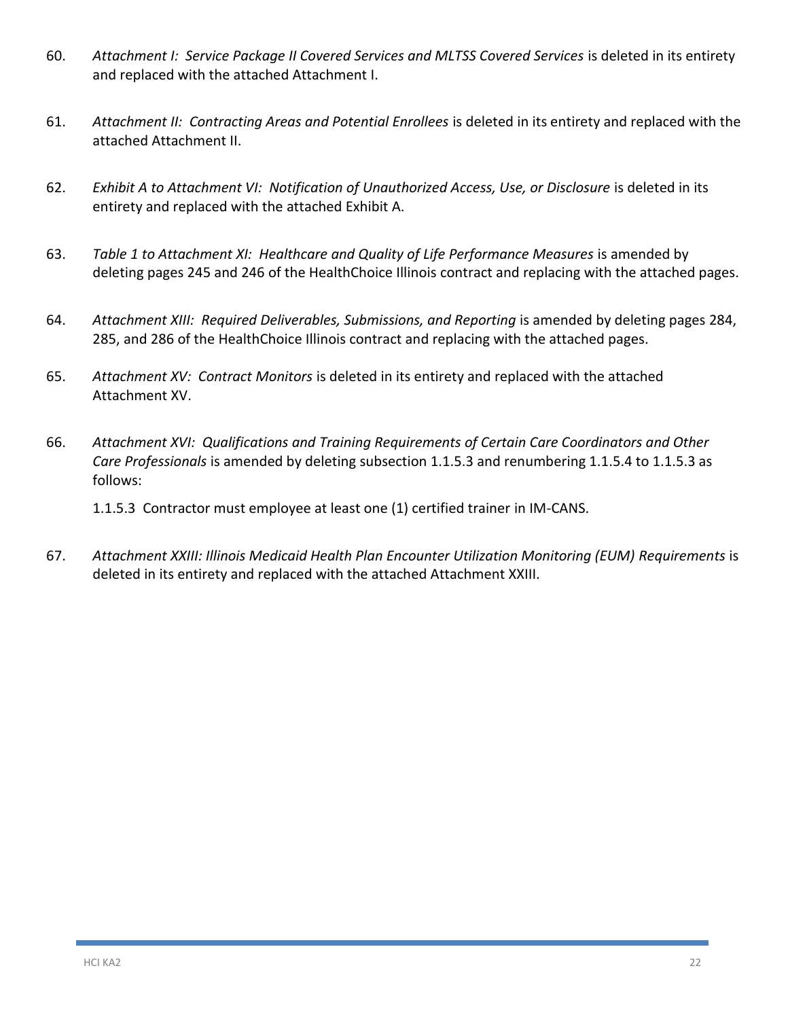- 60. *Attachment I: Service Package II Covered Services and MLTSS Covered Services* is deleted in its entirety and replaced with the attached Attachment I.
- 61. *Attachment II: Contracting Areas and Potential Enrollees* is deleted in its entirety and replaced with the attached Attachment II.
- 62. *Exhibit A to Attachment VI: Notification of Unauthorized Access, Use, or Disclosure* is deleted in its entirety and replaced with the attached Exhibit A.
- 63. *Table 1 to Attachment XI: Healthcare and Quality of Life Performance Measures* is amended by deleting pages 245 and 246 of the HealthChoice Illinois contract and replacing with the attached pages.
- 64. *Attachment XIII: Required Deliverables, Submissions, and Reporting* is amended by deleting pages 284, 285, and 286 of the HealthChoice Illinois contract and replacing with the attached pages.
- 65. *Attachment XV: Contract Monitors* is deleted in its entirety and replaced with the attached Attachment XV.
- 66. *Attachment XVI: Qualifications and Training Requirements of Certain Care Coordinators and Other Care Professionals* is amended by deleting subsection 1.1.5.3 and renumbering 1.1.5.4 to 1.1.5.3 as follows:

1.1.5.3 Contractor must employee at least one (1) certified trainer in IM-CANS.

67. *Attachment XXIII: Illinois Medicaid Health Plan Encounter Utilization Monitoring (EUM) Requirements* is deleted in its entirety and replaced with the attached Attachment XXIII.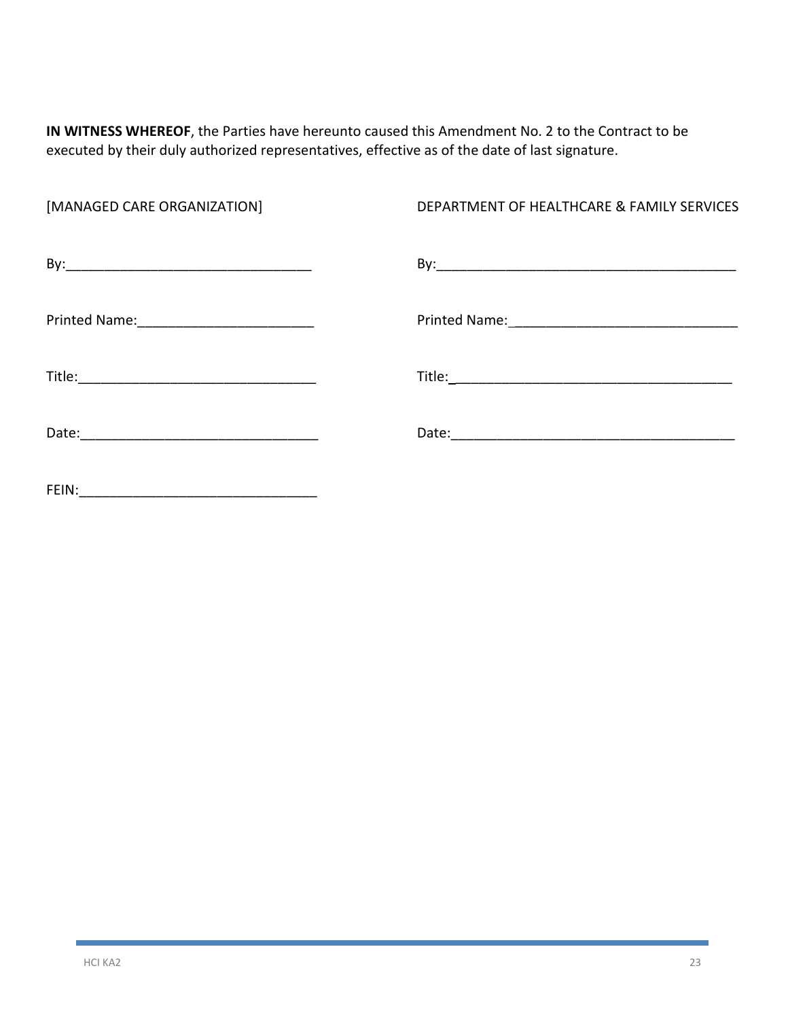**IN WITNESS WHEREOF**, the Parties have hereunto caused this Amendment No. 2 to the Contract to be executed by their duly authorized representatives, effective as of the date of last signature.

| [MANAGED CARE ORGANIZATION] | DEPARTMENT OF HEALTHCARE & FAMILY SERVICES |
|-----------------------------|--------------------------------------------|
|                             |                                            |
|                             |                                            |
|                             |                                            |
|                             |                                            |
|                             |                                            |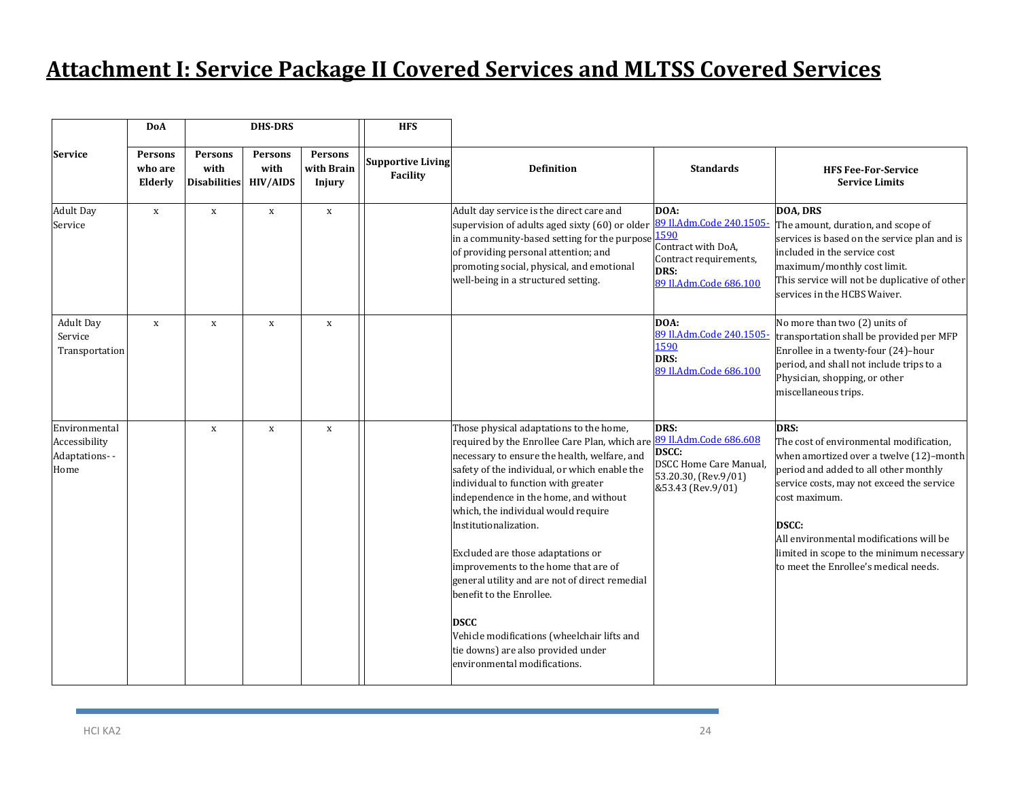## **Attachment I: Service Package II Covered Services and MLTSS Covered Services**

|                                                         | <b>DoA</b>                           |                                               | <b>DHS-DRS</b>                            |                                        | <b>HFS</b>                           |                                                                                                                                                                                                                                                                                                                                                                                                                                                                                                                                                                                                                                          |                                                                                                                            |                                                                                                                                                                                                                                                                                                                                             |
|---------------------------------------------------------|--------------------------------------|-----------------------------------------------|-------------------------------------------|----------------------------------------|--------------------------------------|------------------------------------------------------------------------------------------------------------------------------------------------------------------------------------------------------------------------------------------------------------------------------------------------------------------------------------------------------------------------------------------------------------------------------------------------------------------------------------------------------------------------------------------------------------------------------------------------------------------------------------------|----------------------------------------------------------------------------------------------------------------------------|---------------------------------------------------------------------------------------------------------------------------------------------------------------------------------------------------------------------------------------------------------------------------------------------------------------------------------------------|
| <b>Service</b>                                          | <b>Persons</b><br>who are<br>Elderly | <b>Persons</b><br>with<br><b>Disabilities</b> | <b>Persons</b><br>with<br><b>HIV/AIDS</b> | <b>Persons</b><br>with Brain<br>Injury | <b>Supportive Living</b><br>Facility | <b>Definition</b>                                                                                                                                                                                                                                                                                                                                                                                                                                                                                                                                                                                                                        | <b>Standards</b>                                                                                                           | <b>HFS Fee-For-Service</b><br><b>Service Limits</b>                                                                                                                                                                                                                                                                                         |
| <b>Adult Day</b><br>Service                             | $\,$ X                               | $\mathbf x$                                   | $\mathbf x$                               | $\mathbf x$                            |                                      | Adult day service is the direct care and<br>supervision of adults aged sixty (60) or older<br>in a community-based setting for the purpose<br>of providing personal attention; and<br>promoting social, physical, and emotional<br>well-being in a structured setting.                                                                                                                                                                                                                                                                                                                                                                   | DOA:<br>89 Il.Adm.Code 240.1505-<br>1590<br>Contract with DoA,<br>Contract requirements,<br>DRS:<br>89 Il.Adm.Code 686.100 | <b>DOA, DRS</b><br>The amount, duration, and scope of<br>services is based on the service plan and is<br>included in the service cost<br>maximum/monthly cost limit.<br>This service will not be duplicative of other<br>services in the HCBS Waiver.                                                                                       |
| <b>Adult Day</b><br>Service<br>Transportation           | X                                    | X                                             | X                                         | X                                      |                                      |                                                                                                                                                                                                                                                                                                                                                                                                                                                                                                                                                                                                                                          | DOA:<br>89 Il.Adm.Code 240.1505-<br>1590<br>DRS:<br>89 Il.Adm.Code 686.100                                                 | No more than two (2) units of<br>transportation shall be provided per MFP<br>Enrollee in a twenty-four (24)-hour<br>period, and shall not include trips to a<br>Physician, shopping, or other<br>miscellaneous trips.                                                                                                                       |
| Environmental<br>Accessibility<br>Adaptations--<br>Home |                                      | $\mathbf x$                                   | $\mathbf x$                               | X                                      |                                      | Those physical adaptations to the home,<br>required by the Enrollee Care Plan, which are<br>necessary to ensure the health, welfare, and<br>safety of the individual, or which enable the<br>individual to function with greater<br>independence in the home, and without<br>which, the individual would require<br>Institutionalization.<br>Excluded are those adaptations or<br>improvements to the home that are of<br>general utility and are not of direct remedial<br>benefit to the Enrollee.<br><b>DSCC</b><br>Vehicle modifications (wheelchair lifts and<br>tie downs) are also provided under<br>environmental modifications. | DRS:<br>89 Il.Adm.Code 686.608<br>DSCC:<br><b>DSCC Home Care Manual,</b><br>53.20.30, (Rev.9/01)<br>&53.43 (Rev.9/01)      | DRS:<br>The cost of environmental modification,<br>when amortized over a twelve (12)-month<br>period and added to all other monthly<br>service costs, may not exceed the service<br>cost maximum.<br>DSCC:<br>All environmental modifications will be<br>limited in scope to the minimum necessary<br>to meet the Enrollee's medical needs. |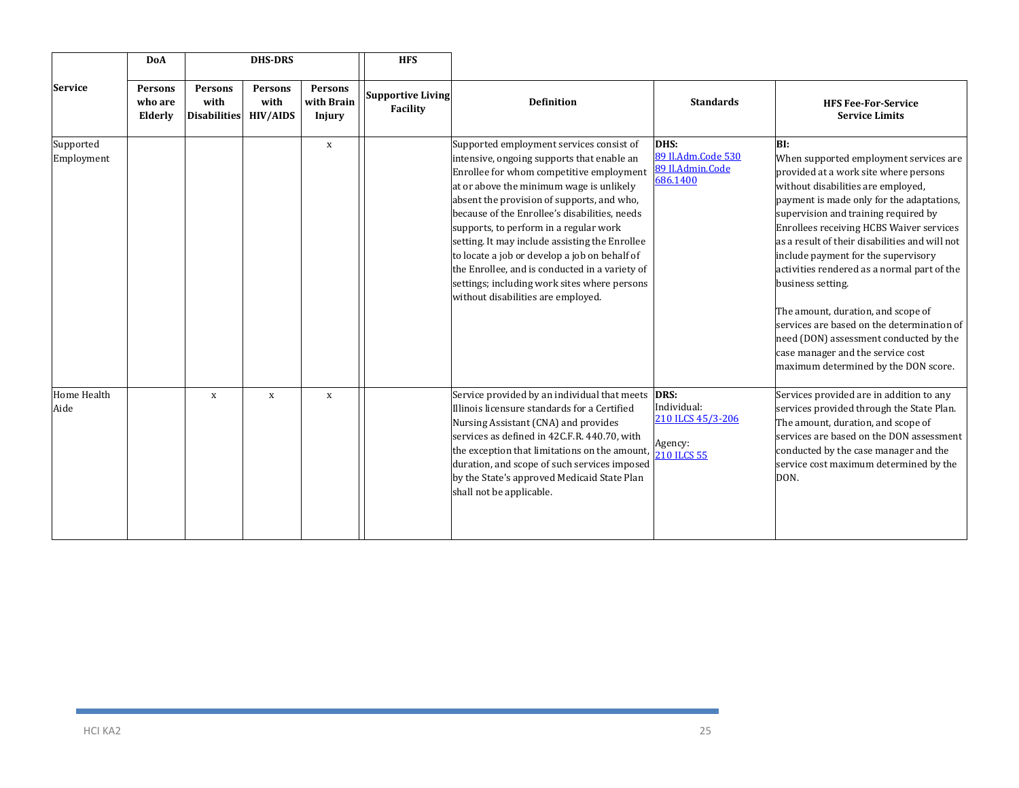|                            | <b>DoA</b>                    | <b>DHS-DRS</b>                                |                                    |                                 | <b>HFS</b>                           |                                                                                                                                                                                                                                                                                                                                                                                                                                                                                                                                                                    |                                                                           |                                                                                                                                                                                                                                                                                                                                                                                                                                                                                                                                                                                                                                       |
|----------------------------|-------------------------------|-----------------------------------------------|------------------------------------|---------------------------------|--------------------------------------|--------------------------------------------------------------------------------------------------------------------------------------------------------------------------------------------------------------------------------------------------------------------------------------------------------------------------------------------------------------------------------------------------------------------------------------------------------------------------------------------------------------------------------------------------------------------|---------------------------------------------------------------------------|---------------------------------------------------------------------------------------------------------------------------------------------------------------------------------------------------------------------------------------------------------------------------------------------------------------------------------------------------------------------------------------------------------------------------------------------------------------------------------------------------------------------------------------------------------------------------------------------------------------------------------------|
| <b>Service</b>             | Persons<br>who are<br>Elderly | <b>Persons</b><br>with<br><b>Disabilities</b> | Persons<br>with<br><b>HIV/AIDS</b> | Persons<br>with Brain<br>Injury | <b>Supportive Living</b><br>Facility | <b>Definition</b>                                                                                                                                                                                                                                                                                                                                                                                                                                                                                                                                                  | <b>Standards</b>                                                          | <b>HFS Fee-For-Service</b><br><b>Service Limits</b>                                                                                                                                                                                                                                                                                                                                                                                                                                                                                                                                                                                   |
| Supported<br>Employment    |                               |                                               |                                    | $\mathbf X$                     |                                      | Supported employment services consist of<br>intensive, ongoing supports that enable an<br>Enrollee for whom competitive employment<br>at or above the minimum wage is unlikely<br>absent the provision of supports, and who,<br>because of the Enrollee's disabilities, needs<br>supports, to perform in a regular work<br>setting. It may include assisting the Enrollee<br>to locate a job or develop a job on behalf of<br>the Enrollee, and is conducted in a variety of<br>settings; including work sites where persons<br>without disabilities are employed. | DHS:<br>89 Il.Adm.Code 530<br>89 Il.Admin.Code<br>686.1400                | BI:<br>When supported employment services are<br>provided at a work site where persons<br>without disabilities are employed,<br>payment is made only for the adaptations,<br>supervision and training required by<br>Enrollees receiving HCBS Waiver services<br>as a result of their disabilities and will not<br>include payment for the supervisory<br>activities rendered as a normal part of the<br>business setting.<br>The amount, duration, and scope of<br>services are based on the determination of<br>need (DON) assessment conducted by the<br>case manager and the service cost<br>maximum determined by the DON score. |
| <b>Home Health</b><br>Aide |                               | $\mathbf x$                                   | $\mathbf X$                        | $\mathbf X$                     |                                      | Service provided by an individual that meets<br>Illinois licensure standards for a Certified<br>Nursing Assistant (CNA) and provides<br>services as defined in 42C.F.R. 440.70, with<br>the exception that limitations on the amount,<br>duration, and scope of such services imposed<br>by the State's approved Medicaid State Plan<br>shall not be applicable.                                                                                                                                                                                                   | DRS:<br>Individual:<br>210 ILCS 45/3-206<br>Agency:<br><b>210 ILCS 55</b> | Services provided are in addition to any<br>services provided through the State Plan.<br>The amount, duration, and scope of<br>services are based on the DON assessment<br>conducted by the case manager and the<br>service cost maximum determined by the<br>DON.                                                                                                                                                                                                                                                                                                                                                                    |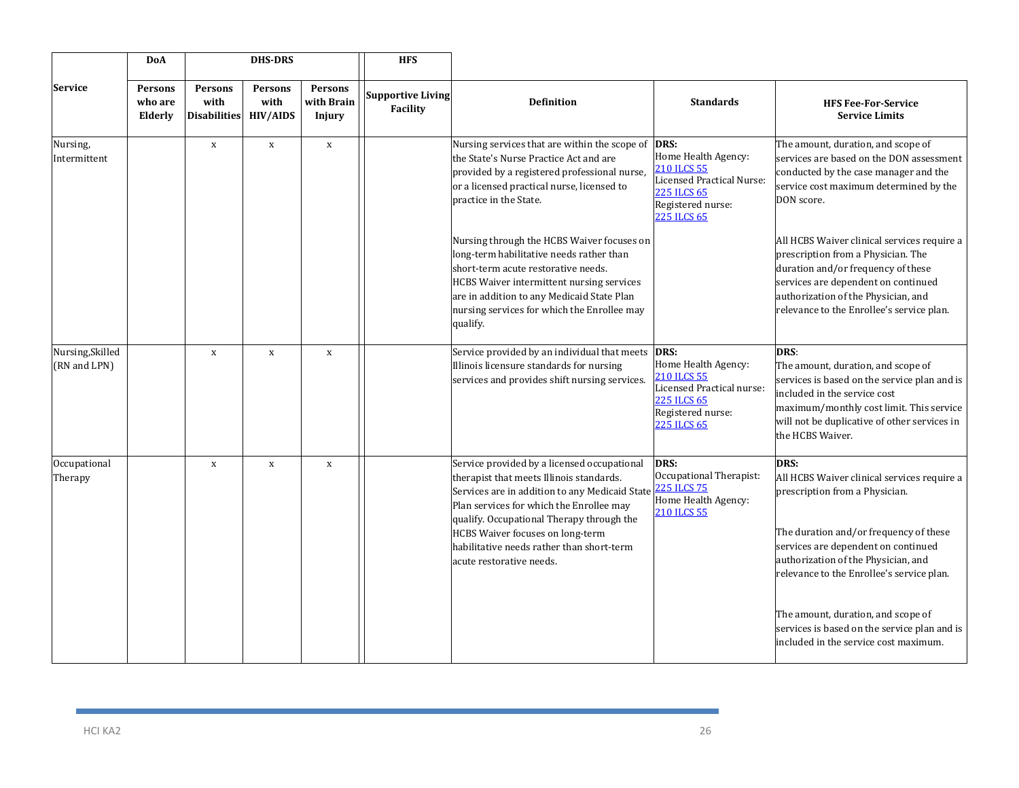|                                  | <b>DoA</b>                           |                                               | <b>DHS-DRS</b>                            |                                 | <b>HFS</b>                           |                                                                                                                                                                                                                                                                                                                                                        |                                                                                                                                          |                                                                                                                                                                                                                                                                                                                                                                                           |
|----------------------------------|--------------------------------------|-----------------------------------------------|-------------------------------------------|---------------------------------|--------------------------------------|--------------------------------------------------------------------------------------------------------------------------------------------------------------------------------------------------------------------------------------------------------------------------------------------------------------------------------------------------------|------------------------------------------------------------------------------------------------------------------------------------------|-------------------------------------------------------------------------------------------------------------------------------------------------------------------------------------------------------------------------------------------------------------------------------------------------------------------------------------------------------------------------------------------|
| <b>Service</b>                   | <b>Persons</b><br>who are<br>Elderly | <b>Persons</b><br>with<br><b>Disabilities</b> | <b>Persons</b><br>with<br><b>HIV/AIDS</b> | Persons<br>with Brain<br>Injury | <b>Supportive Living</b><br>Facility | <b>Definition</b>                                                                                                                                                                                                                                                                                                                                      | <b>Standards</b>                                                                                                                         | <b>HFS Fee-For-Service</b><br><b>Service Limits</b>                                                                                                                                                                                                                                                                                                                                       |
| Nursing,<br>Intermittent         |                                      | $\mathbf X$                                   | $\mathbf x$                               | $\,$ X                          |                                      | Nursing services that are within the scope of DRS:<br>the State's Nurse Practice Act and are<br>provided by a registered professional nurse,<br>or a licensed practical nurse, licensed to<br>practice in the State.                                                                                                                                   | Home Health Agency:<br>210 ILCS 55<br>Licensed Practical Nurse:<br>225 ILCS 65<br>Registered nurse:<br><b>225 ILCS 65</b>                | The amount, duration, and scope of<br>services are based on the DON assessment<br>conducted by the case manager and the<br>service cost maximum determined by the<br>DON score.                                                                                                                                                                                                           |
|                                  |                                      |                                               |                                           |                                 |                                      | Nursing through the HCBS Waiver focuses on<br>long-term habilitative needs rather than<br>short-term acute restorative needs.<br>HCBS Waiver intermittent nursing services<br>are in addition to any Medicaid State Plan<br>nursing services for which the Enrollee may<br>qualify.                                                                    |                                                                                                                                          | All HCBS Waiver clinical services require a<br>prescription from a Physician. The<br>duration and/or frequency of these<br>services are dependent on continued<br>authorization of the Physician, and<br>relevance to the Enrollee's service plan.                                                                                                                                        |
| Nursing, Skilled<br>(RN and LPN) |                                      | $\mathbf X$                                   | $\mathbf X$                               | $\mathbf X$                     |                                      | Service provided by an individual that meets<br>Illinois licensure standards for nursing<br>services and provides shift nursing services.                                                                                                                                                                                                              | DRS:<br>Home Health Agency:<br>210 ILCS 55<br>Licensed Practical nurse:<br><b>225 ILCS 65</b><br>Registered nurse:<br><b>225 ILCS 65</b> | DRS:<br>The amount, duration, and scope of<br>services is based on the service plan and is<br>included in the service cost<br>maximum/monthly cost limit. This service<br>will not be duplicative of other services in<br>the HCBS Waiver.                                                                                                                                                |
| Occupational<br>Therapy          |                                      | $\mathbf{x}$                                  | $\mathbf x$                               | $\mathbf{x}$                    |                                      | Service provided by a licensed occupational<br>therapist that meets Illinois standards.<br>Services are in addition to any Medicaid State<br>Plan services for which the Enrollee may<br>qualify. Occupational Therapy through the<br><b>HCBS Waiver focuses on long-term</b><br>habilitative needs rather than short-term<br>acute restorative needs. | DRS:<br>Occupational Therapist:<br><b>225 ILCS 75</b><br>Home Health Agency:<br><b>210 ILCS 55</b>                                       | DRS:<br>All HCBS Waiver clinical services require a<br>prescription from a Physician.<br>The duration and/or frequency of these<br>services are dependent on continued<br>authorization of the Physician, and<br>relevance to the Enrollee's service plan.<br>The amount, duration, and scope of<br>services is based on the service plan and is<br>included in the service cost maximum. |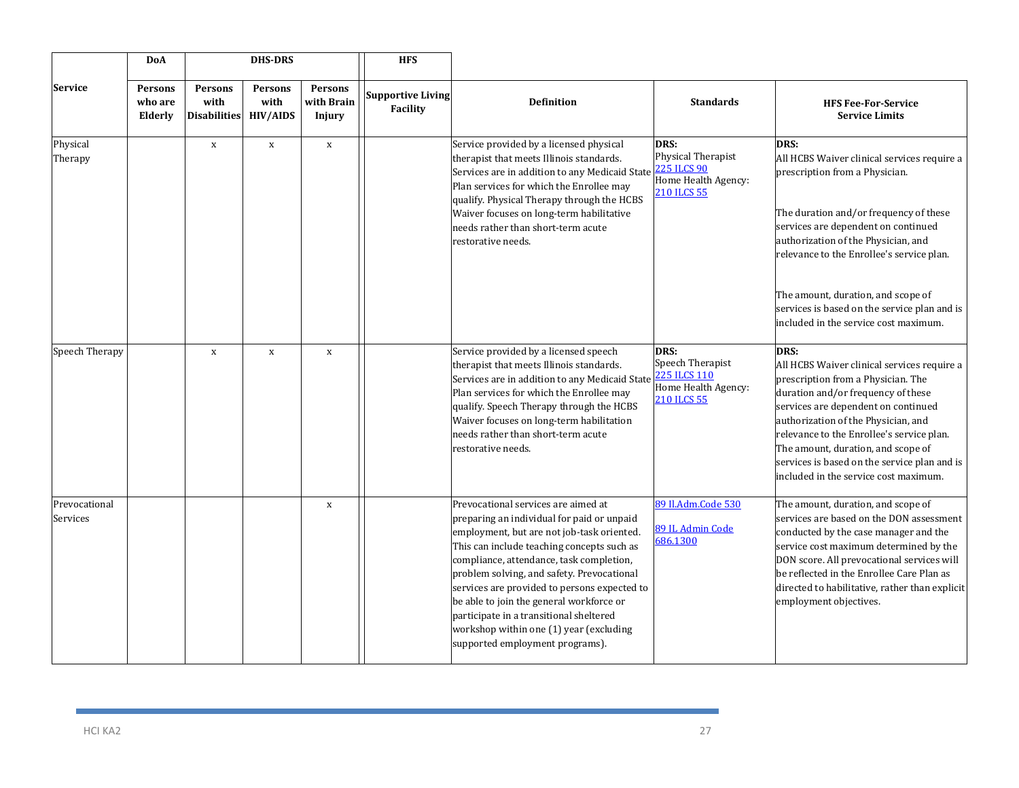|                           | <b>DoA</b>                           | <b>DHS-DRS</b>                                |                                           | <b>HFS</b>                             |                                      |                                                                                                                                                                                                                                                                                                                                                                                                                                                                                              |                                                                                 |                                                                                                                                                                                                                                                                                                                                                                                           |
|---------------------------|--------------------------------------|-----------------------------------------------|-------------------------------------------|----------------------------------------|--------------------------------------|----------------------------------------------------------------------------------------------------------------------------------------------------------------------------------------------------------------------------------------------------------------------------------------------------------------------------------------------------------------------------------------------------------------------------------------------------------------------------------------------|---------------------------------------------------------------------------------|-------------------------------------------------------------------------------------------------------------------------------------------------------------------------------------------------------------------------------------------------------------------------------------------------------------------------------------------------------------------------------------------|
| <b>Service</b>            | <b>Persons</b><br>who are<br>Elderly | <b>Persons</b><br>with<br><b>Disabilities</b> | <b>Persons</b><br>with<br><b>HIV/AIDS</b> | <b>Persons</b><br>with Brain<br>Injury | <b>Supportive Living</b><br>Facility | <b>Definition</b>                                                                                                                                                                                                                                                                                                                                                                                                                                                                            | <b>Standards</b>                                                                | <b>HFS Fee-For-Service</b><br><b>Service Limits</b>                                                                                                                                                                                                                                                                                                                                       |
| Physical<br>Therapy       |                                      | $\mathbf X$                                   | $\mathbf x$                               | $\mathbf X$                            |                                      | Service provided by a licensed physical<br>therapist that meets Illinois standards.<br>Services are in addition to any Medicaid State<br>Plan services for which the Enrollee may<br>qualify. Physical Therapy through the HCBS<br>Waiver focuses on long-term habilitative<br>needs rather than short-term acute<br>estorative needs.                                                                                                                                                       | DRS:<br>Physical Therapist<br>225 ILCS 90<br>Home Health Agency:<br>210 ILCS 55 | DRS:<br>All HCBS Waiver clinical services require a<br>prescription from a Physician.<br>The duration and/or frequency of these<br>services are dependent on continued<br>authorization of the Physician, and<br>relevance to the Enrollee's service plan.<br>The amount, duration, and scope of<br>services is based on the service plan and is<br>included in the service cost maximum. |
| Speech Therapy            |                                      | $\mathbf x$                                   | $\mathbf X$                               | $\mathbf x$                            |                                      | Service provided by a licensed speech<br>therapist that meets Illinois standards.<br>Services are in addition to any Medicaid State<br>Plan services for which the Enrollee may<br>qualify. Speech Therapy through the HCBS<br>Waiver focuses on long-term habilitation<br>needs rather than short-term acute<br>estorative needs.                                                                                                                                                           | DRS:<br>Speech Therapist<br>225 ILCS 110<br>Home Health Agency:<br>210 ILCS 55  | DRS:<br>All HCBS Waiver clinical services require a<br>prescription from a Physician. The<br>duration and/or frequency of these<br>services are dependent on continued<br>authorization of the Physician, and<br>relevance to the Enrollee's service plan.<br>The amount, duration, and scope of<br>services is based on the service plan and is<br>included in the service cost maximum. |
| Prevocational<br>Services |                                      |                                               |                                           | $\mathbf x$                            |                                      | Prevocational services are aimed at<br>preparing an individual for paid or unpaid<br>employment, but are not job-task oriented.<br>This can include teaching concepts such as<br>compliance, attendance, task completion,<br>problem solving, and safety. Prevocational<br>services are provided to persons expected to<br>be able to join the general workforce or<br>participate in a transitional sheltered<br>workshop within one (1) year (excluding<br>supported employment programs). | 89 Il.Adm.Code 530<br>89 IL Admin Code<br>686.1300                              | The amount, duration, and scope of<br>services are based on the DON assessment<br>conducted by the case manager and the<br>service cost maximum determined by the<br>DON score. All prevocational services will<br>be reflected in the Enrollee Care Plan as<br>directed to habilitative, rather than explicit<br>employment objectives.                                                  |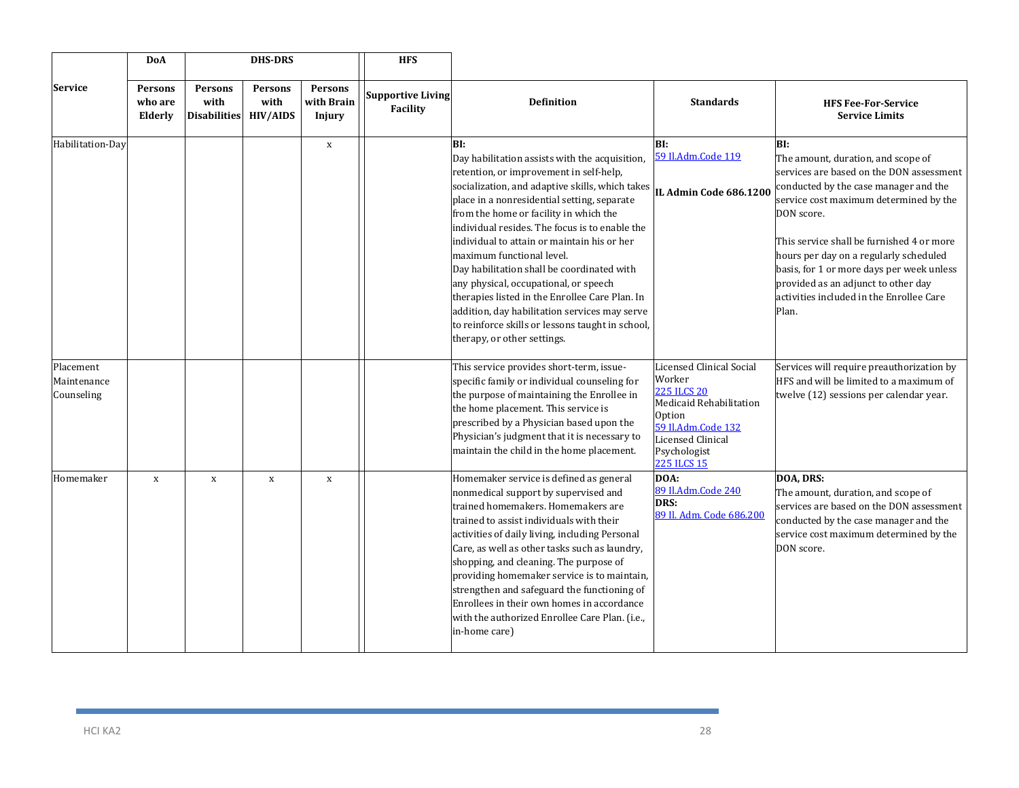|                                        | <b>DoA</b>                    |                                               | <b>DHS-DRS</b>                     |                                        | <b>HFS</b>                           |                                                                                                                                                                                                                                                                                                                                                                                                                                                                                                                                                                                                                                                         |                                                                                                                                                                                       |                                                                                                                                                                                                                                                                                                                                                                                                                        |
|----------------------------------------|-------------------------------|-----------------------------------------------|------------------------------------|----------------------------------------|--------------------------------------|---------------------------------------------------------------------------------------------------------------------------------------------------------------------------------------------------------------------------------------------------------------------------------------------------------------------------------------------------------------------------------------------------------------------------------------------------------------------------------------------------------------------------------------------------------------------------------------------------------------------------------------------------------|---------------------------------------------------------------------------------------------------------------------------------------------------------------------------------------|------------------------------------------------------------------------------------------------------------------------------------------------------------------------------------------------------------------------------------------------------------------------------------------------------------------------------------------------------------------------------------------------------------------------|
| <b>Service</b>                         | Persons<br>who are<br>Elderly | <b>Persons</b><br>with<br><b>Disabilities</b> | Persons<br>with<br><b>HIV/AIDS</b> | <b>Persons</b><br>with Brain<br>Injury | <b>Supportive Living</b><br>Facility | <b>Definition</b>                                                                                                                                                                                                                                                                                                                                                                                                                                                                                                                                                                                                                                       | <b>Standards</b>                                                                                                                                                                      | <b>HFS Fee-For-Service</b><br><b>Service Limits</b>                                                                                                                                                                                                                                                                                                                                                                    |
| Habilitation-Day                       |                               |                                               |                                    | $\mathbf X$                            |                                      | BI:<br>Day habilitation assists with the acquisition,<br>retention, or improvement in self-help,<br>socialization, and adaptive skills, which takes<br>place in a nonresidential setting, separate<br>from the home or facility in which the<br>individual resides. The focus is to enable the<br>individual to attain or maintain his or her<br>maximum functional level.<br>Day habilitation shall be coordinated with<br>any physical, occupational, or speech<br>therapies listed in the Enrollee Care Plan. In<br>addition, day habilitation services may serve<br>to reinforce skills or lessons taught in school,<br>therapy, or other settings. | BI:<br>59 Il.Adm.Code 119<br>IL Admin Code 686.1200                                                                                                                                   | BI:<br>The amount, duration, and scope of<br>services are based on the DON assessment<br>conducted by the case manager and the<br>service cost maximum determined by the<br>DON score.<br>This service shall be furnished 4 or more<br>hours per day on a regularly scheduled<br>basis, for 1 or more days per week unless<br>provided as an adjunct to other day<br>activities included in the Enrollee Care<br>Plan. |
| Placement<br>Maintenance<br>Counseling |                               |                                               |                                    |                                        |                                      | This service provides short-term, issue-<br>specific family or individual counseling for<br>the purpose of maintaining the Enrollee in<br>the home placement. This service is<br>prescribed by a Physician based upon the<br>Physician's judgment that it is necessary to<br>maintain the child in the home placement.                                                                                                                                                                                                                                                                                                                                  | <b>Licensed Clinical Social</b><br>Worker<br><b>225 ILCS 20</b><br>Medicaid Rehabilitation<br>Option<br>59 Il.Adm.Code 132<br>Licensed Clinical<br>Psychologist<br><b>225 ILCS 15</b> | Services will require preauthorization by<br>HFS and will be limited to a maximum of<br>twelve (12) sessions per calendar year.                                                                                                                                                                                                                                                                                        |
| Homemaker                              | $\mathbf x$                   | $\mathbf x$                                   | $\mathbf X$                        | $\mathbf x$                            |                                      | Homemaker service is defined as general<br>nonmedical support by supervised and<br>trained homemakers. Homemakers are<br>trained to assist individuals with their<br>activities of daily living, including Personal<br>Care, as well as other tasks such as laundry,<br>shopping, and cleaning. The purpose of<br>providing homemaker service is to maintain,<br>strengthen and safeguard the functioning of<br>Enrollees in their own homes in accordance<br>with the authorized Enrollee Care Plan. (i.e.,<br>in-home care)                                                                                                                           | DOA:<br>89 Il.Adm.Code 240<br>DRS:<br>89 Il. Adm. Code 686.200                                                                                                                        | DOA, DRS:<br>The amount, duration, and scope of<br>services are based on the DON assessment<br>conducted by the case manager and the<br>service cost maximum determined by the<br>DON score.                                                                                                                                                                                                                           |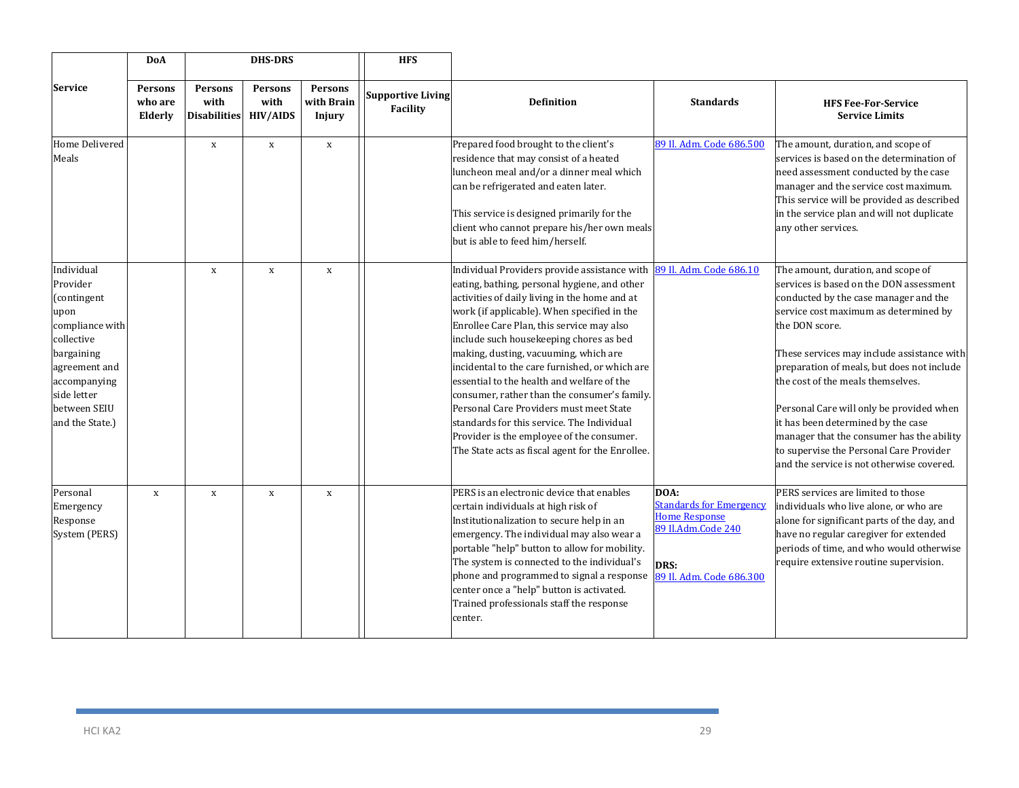|                                                                                                                                                                                 | DoA                           |                                                 | <b>DHS-DRS</b>         |                                 | <b>HFS</b>                           |                                                                                                                                                                                                                                                                                                                                                                                                                                                                                                                                                                                                                                                                         |                                                                                                                          |                                                                                                                                                                                                                                                                                                                                                                                                                                                                                                                                           |
|---------------------------------------------------------------------------------------------------------------------------------------------------------------------------------|-------------------------------|-------------------------------------------------|------------------------|---------------------------------|--------------------------------------|-------------------------------------------------------------------------------------------------------------------------------------------------------------------------------------------------------------------------------------------------------------------------------------------------------------------------------------------------------------------------------------------------------------------------------------------------------------------------------------------------------------------------------------------------------------------------------------------------------------------------------------------------------------------------|--------------------------------------------------------------------------------------------------------------------------|-------------------------------------------------------------------------------------------------------------------------------------------------------------------------------------------------------------------------------------------------------------------------------------------------------------------------------------------------------------------------------------------------------------------------------------------------------------------------------------------------------------------------------------------|
| <b>Service</b>                                                                                                                                                                  | Persons<br>who are<br>Elderly | <b>Persons</b><br>with<br>Disabilities HIV/AIDS | <b>Persons</b><br>with | Persons<br>with Brain<br>Injury | <b>Supportive Living</b><br>Facility | <b>Definition</b>                                                                                                                                                                                                                                                                                                                                                                                                                                                                                                                                                                                                                                                       | <b>Standards</b>                                                                                                         | <b>HFS Fee-For-Service</b><br><b>Service Limits</b>                                                                                                                                                                                                                                                                                                                                                                                                                                                                                       |
| Home Delivered<br>Meals                                                                                                                                                         |                               | $\mathbf x$                                     | $\mathbf X$            | $\mathbf x$                     |                                      | Prepared food brought to the client's<br>residence that may consist of a heated<br>luncheon meal and/or a dinner meal which<br>can be refrigerated and eaten later.<br>This service is designed primarily for the<br>client who cannot prepare his/her own meals<br>but is able to feed him/herself.                                                                                                                                                                                                                                                                                                                                                                    | 89 Il. Adm. Code 686.500                                                                                                 | The amount, duration, and scope of<br>services is based on the determination of<br>need assessment conducted by the case<br>manager and the service cost maximum.<br>This service will be provided as described<br>in the service plan and will not duplicate<br>any other services.                                                                                                                                                                                                                                                      |
| Individual<br>Provider<br>(contingent<br>upon<br>compliance with<br>collective<br>bargaining<br>agreement and<br>accompanying<br>side letter<br>between SEIU<br>and the State.) |                               | $\mathbf x$                                     | $\mathbf X$            | $\mathbf X$                     |                                      | Individual Providers provide assistance with<br>eating, bathing, personal hygiene, and other<br>activities of daily living in the home and at<br>work (if applicable). When specified in the<br>Enrollee Care Plan, this service may also<br>include such housekeeping chores as bed<br>making, dusting, vacuuming, which are<br>incidental to the care furnished, or which are<br>essential to the health and welfare of the<br>consumer, rather than the consumer's family.<br>Personal Care Providers must meet State<br>standards for this service. The Individual<br>Provider is the employee of the consumer.<br>The State acts as fiscal agent for the Enrollee. | 89 Il. Adm. Code 686.10                                                                                                  | The amount, duration, and scope of<br>services is based on the DON assessment<br>conducted by the case manager and the<br>service cost maximum as determined by<br>the DON score.<br>These services may include assistance with<br>preparation of meals, but does not include<br>the cost of the meals themselves.<br>Personal Care will only be provided when<br>it has been determined by the case<br>manager that the consumer has the ability<br>to supervise the Personal Care Provider<br>and the service is not otherwise covered. |
| Personal<br>Emergency<br>Response<br>System (PERS)                                                                                                                              | $\mathbf x$                   | $\mathbf X$                                     | $\mathbf X$            | $\, {\bf X}$                    |                                      | PERS is an electronic device that enables<br>certain individuals at high risk of<br>Institutionalization to secure help in an<br>emergency. The individual may also wear a<br>portable "help" button to allow for mobility.<br>The system is connected to the individual's<br>phone and programmed to signal a response<br>center once a "help" button is activated.<br>Trained professionals staff the response<br>center.                                                                                                                                                                                                                                             | DOA:<br><b>Standards for Emergency</b><br><b>Home Response</b><br>89 Il.Adm.Code 240<br>DRS:<br>89 Il. Adm. Code 686.300 | PERS services are limited to those<br>individuals who live alone, or who are<br>alone for significant parts of the day, and<br>have no regular caregiver for extended<br>periods of time, and who would otherwise<br>require extensive routine supervision.                                                                                                                                                                                                                                                                               |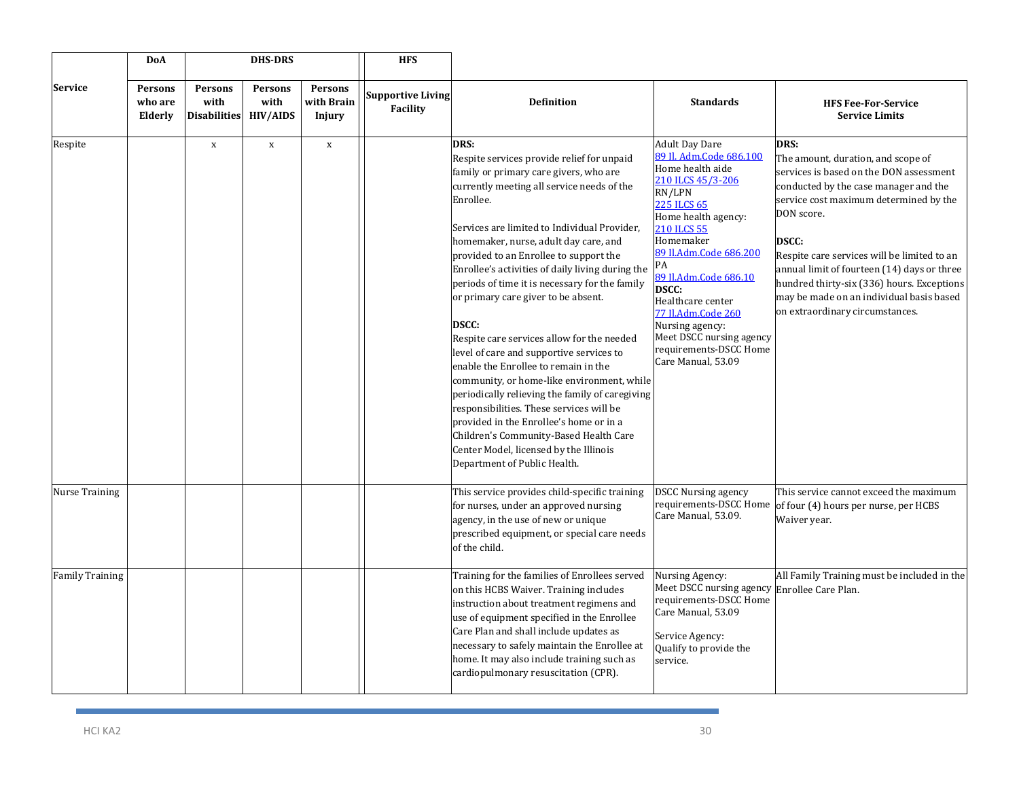| <b>DoA</b>             |                                      |                                        | <b>DHS-DRS</b>                            |                                        | <b>HFS</b>                                  |                                                                                                                                                                                                                                                                                                                                                                                                                                                                                                                                                                                                                                                                                                                                                                                                                                                                                                       |                                                                                                                                                                                                                                                                                                                                                                                                 |                                                                                                                                                                                                                                                                                                                                                                                                                                          |
|------------------------|--------------------------------------|----------------------------------------|-------------------------------------------|----------------------------------------|---------------------------------------------|-------------------------------------------------------------------------------------------------------------------------------------------------------------------------------------------------------------------------------------------------------------------------------------------------------------------------------------------------------------------------------------------------------------------------------------------------------------------------------------------------------------------------------------------------------------------------------------------------------------------------------------------------------------------------------------------------------------------------------------------------------------------------------------------------------------------------------------------------------------------------------------------------------|-------------------------------------------------------------------------------------------------------------------------------------------------------------------------------------------------------------------------------------------------------------------------------------------------------------------------------------------------------------------------------------------------|------------------------------------------------------------------------------------------------------------------------------------------------------------------------------------------------------------------------------------------------------------------------------------------------------------------------------------------------------------------------------------------------------------------------------------------|
| <b>Service</b>         | <b>Persons</b><br>who are<br>Elderly | Persons<br>with<br><b>Disabilities</b> | <b>Persons</b><br>with<br><b>HIV/AIDS</b> | <b>Persons</b><br>with Brain<br>Injury | <b>Supportive Living</b><br><b>Facility</b> | <b>Definition</b>                                                                                                                                                                                                                                                                                                                                                                                                                                                                                                                                                                                                                                                                                                                                                                                                                                                                                     | <b>Standards</b>                                                                                                                                                                                                                                                                                                                                                                                | <b>HFS Fee-For-Service</b><br><b>Service Limits</b>                                                                                                                                                                                                                                                                                                                                                                                      |
| Respite                |                                      | $\mathbf X$                            | $\mathbf X$                               | $\mathbf x$                            |                                             | DRS:<br>Respite services provide relief for unpaid<br>family or primary care givers, who are<br>currently meeting all service needs of the<br>Enrollee.<br>Services are limited to Individual Provider,<br>homemaker, nurse, adult day care, and<br>provided to an Enrollee to support the<br>Enrollee's activities of daily living during the<br>periods of time it is necessary for the family<br>or primary care giver to be absent.<br><b>DSCC:</b><br>Respite care services allow for the needed<br>level of care and supportive services to<br>enable the Enrollee to remain in the<br>community, or home-like environment, while<br>periodically relieving the family of caregiving<br>responsibilities. These services will be<br>provided in the Enrollee's home or in a<br>Children's Community-Based Health Care<br>Center Model, licensed by the Illinois<br>Department of Public Health. | <b>Adult Day Dare</b><br>89 Il. Adm.Code 686.100<br>Home health aide<br>210 ILCS 45/3-206<br>RN/LPN<br>225 ILCS 65<br>Home health agency:<br><b>210 ILCS 55</b><br>Homemaker<br>89 Il.Adm.Code 686.200<br>PА<br>89 Il.Adm.Code 686.10<br><b>DSCC:</b><br>Healthcare center<br>77 Il.Adm.Code 260<br>Nursing agency:<br>Meet DSCC nursing agency<br>requirements-DSCC Home<br>Care Manual, 53.09 | <b>DRS:</b><br>The amount, duration, and scope of<br>services is based on the DON assessment<br>conducted by the case manager and the<br>service cost maximum determined by the<br>DON score.<br><b>DSCC:</b><br>Respite care services will be limited to an<br>annual limit of fourteen (14) days or three<br>hundred thirty-six (336) hours. Exceptions<br>may be made on an individual basis based<br>on extraordinary circumstances. |
| <b>Nurse Training</b>  |                                      |                                        |                                           |                                        |                                             | This service provides child-specific training<br>for nurses, under an approved nursing<br>agency, in the use of new or unique<br>prescribed equipment, or special care needs<br>of the child.                                                                                                                                                                                                                                                                                                                                                                                                                                                                                                                                                                                                                                                                                                         | <b>DSCC Nursing agency</b><br>Care Manual, 53.09.                                                                                                                                                                                                                                                                                                                                               | This service cannot exceed the maximum<br>requirements-DSCC Home of four (4) hours per nurse, per HCBS<br>Waiver year.                                                                                                                                                                                                                                                                                                                   |
| <b>Family Training</b> |                                      |                                        |                                           |                                        |                                             | Training for the families of Enrollees served<br>on this HCBS Waiver. Training includes<br>instruction about treatment regimens and<br>use of equipment specified in the Enrollee<br>Care Plan and shall include updates as<br>necessary to safely maintain the Enrollee at<br>home. It may also include training such as<br>cardiopulmonary resuscitation (CPR).                                                                                                                                                                                                                                                                                                                                                                                                                                                                                                                                     | Nursing Agency:<br>Meet DSCC nursing agency Enrollee Care Plan.<br>requirements-DSCC Home<br>Care Manual, 53.09<br>Service Agency:<br>Qualify to provide the<br>service.                                                                                                                                                                                                                        | All Family Training must be included in the                                                                                                                                                                                                                                                                                                                                                                                              |

**Service**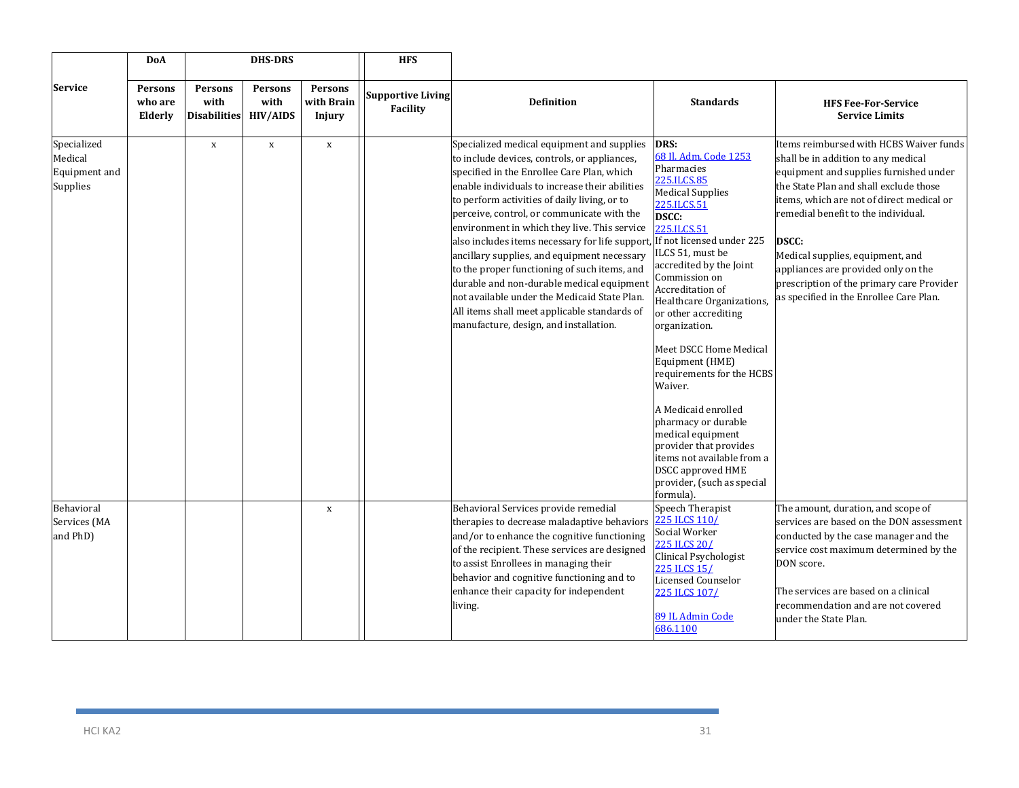|                                                     | DoA                           |                                               | <b>DHS-DRS</b>                     |                                 | <b>HFS</b>                                  |                                                                                                                                                                                                                                                                                                                                                                                                                                                                                                                                                                                                                                                                                                             |                                                                                                                                                                                                                                                                                                                                                                                                                                                                                                                                                                               |                                                                                                                                                                                                                                                                                                                                                                                                                                           |
|-----------------------------------------------------|-------------------------------|-----------------------------------------------|------------------------------------|---------------------------------|---------------------------------------------|-------------------------------------------------------------------------------------------------------------------------------------------------------------------------------------------------------------------------------------------------------------------------------------------------------------------------------------------------------------------------------------------------------------------------------------------------------------------------------------------------------------------------------------------------------------------------------------------------------------------------------------------------------------------------------------------------------------|-------------------------------------------------------------------------------------------------------------------------------------------------------------------------------------------------------------------------------------------------------------------------------------------------------------------------------------------------------------------------------------------------------------------------------------------------------------------------------------------------------------------------------------------------------------------------------|-------------------------------------------------------------------------------------------------------------------------------------------------------------------------------------------------------------------------------------------------------------------------------------------------------------------------------------------------------------------------------------------------------------------------------------------|
| Service                                             | Persons<br>who are<br>Elderly | <b>Persons</b><br>with<br><b>Disabilities</b> | Persons<br>with<br><b>HIV/AIDS</b> | Persons<br>with Brain<br>Injury | <b>Supportive Living</b><br><b>Facility</b> | <b>Definition</b>                                                                                                                                                                                                                                                                                                                                                                                                                                                                                                                                                                                                                                                                                           | <b>Standards</b>                                                                                                                                                                                                                                                                                                                                                                                                                                                                                                                                                              | <b>HFS Fee-For-Service</b><br><b>Service Limits</b>                                                                                                                                                                                                                                                                                                                                                                                       |
| Specialized<br>Medical<br>Equipment and<br>Supplies |                               | $\mathbf X$                                   | $\mathbf X$                        | $\mathbf X$                     |                                             | Specialized medical equipment and supplies<br>to include devices, controls, or appliances,<br>specified in the Enrollee Care Plan, which<br>enable individuals to increase their abilities<br>to perform activities of daily living, or to<br>perceive, control, or communicate with the<br>environment in which they live. This service<br>also includes items necessary for life support, If not licensed under 225<br>ancillary supplies, and equipment necessary<br>to the proper functioning of such items, and<br>durable and non-durable medical equipment<br>not available under the Medicaid State Plan.<br>All items shall meet applicable standards of<br>manufacture, design, and installation. | DRS:<br>68 Il. Adm. Code 1253<br>Pharmacies<br>225.ILCS.85<br><b>Medical Supplies</b><br>225.ILCS.51<br><b>DSCC:</b><br>225.ILCS.51<br>ILCS 51, must be<br>accredited by the Joint<br>Commission on<br>Accreditation of<br>Healthcare Organizations,<br>or other accrediting<br>organization.<br>Meet DSCC Home Medical<br>Equipment (HME)<br>requirements for the HCBS<br>Waiver.<br>A Medicaid enrolled<br>pharmacy or durable<br>medical equipment<br>provider that provides<br>items not available from a<br>DSCC approved HME<br>provider, (such as special<br>formula). | Items reimbursed with HCBS Waiver funds<br>shall be in addition to any medical<br>equipment and supplies furnished under<br>the State Plan and shall exclude those<br>items, which are not of direct medical or<br>remedial benefit to the individual.<br><b>DSCC:</b><br>Medical supplies, equipment, and<br>appliances are provided only on the<br>prescription of the primary care Provider<br>as specified in the Enrollee Care Plan. |
| Behavioral<br>Services (MA<br>and PhD)              |                               |                                               |                                    | $\mathbf X$                     |                                             | Behavioral Services provide remedial<br>therapies to decrease maladaptive behaviors<br>and/or to enhance the cognitive functioning<br>of the recipient. These services are designed<br>to assist Enrollees in managing their<br>behavior and cognitive functioning and to<br>enhance their capacity for independent<br>living.                                                                                                                                                                                                                                                                                                                                                                              | Speech Therapist<br>225 ILCS 110/<br>Social Worker<br>225 ILCS 20/<br>Clinical Psychologist<br>225 ILCS 15/<br><b>Licensed Counselor</b><br>225 ILCS 107/<br>89 IL Admin Code<br>686.1100                                                                                                                                                                                                                                                                                                                                                                                     | The amount, duration, and scope of<br>services are based on the DON assessment<br>conducted by the case manager and the<br>service cost maximum determined by the<br>DON score.<br>The services are based on a clinical<br>recommendation and are not covered<br>under the State Plan.                                                                                                                                                    |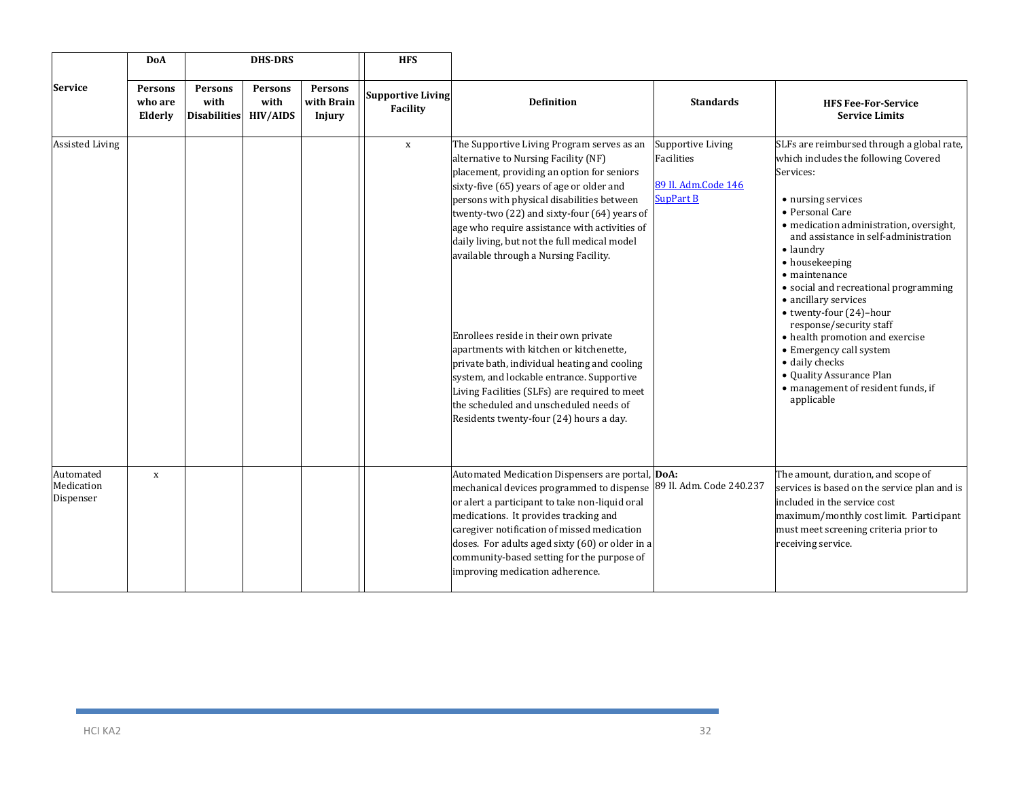|                                      | <b>DoA</b>                           |                                        | <b>DHS-DRS</b>                            |                                 | <b>HFS</b>                           |                                                                                                                                                                                                                                                                                                                                                                                                                                                                                                                                                                                                                                                                                                                                              |                                                                                   |                                                                                                                                                                                                                                                                                                                                                                                                                                                                                                                                                                                     |
|--------------------------------------|--------------------------------------|----------------------------------------|-------------------------------------------|---------------------------------|--------------------------------------|----------------------------------------------------------------------------------------------------------------------------------------------------------------------------------------------------------------------------------------------------------------------------------------------------------------------------------------------------------------------------------------------------------------------------------------------------------------------------------------------------------------------------------------------------------------------------------------------------------------------------------------------------------------------------------------------------------------------------------------------|-----------------------------------------------------------------------------------|-------------------------------------------------------------------------------------------------------------------------------------------------------------------------------------------------------------------------------------------------------------------------------------------------------------------------------------------------------------------------------------------------------------------------------------------------------------------------------------------------------------------------------------------------------------------------------------|
| Service                              | <b>Persons</b><br>who are<br>Elderly | Persons<br>with<br><b>Disabilities</b> | <b>Persons</b><br>with<br><b>HIV/AIDS</b> | Persons<br>with Brain<br>Injury | <b>Supportive Living</b><br>Facility | <b>Definition</b>                                                                                                                                                                                                                                                                                                                                                                                                                                                                                                                                                                                                                                                                                                                            | <b>Standards</b>                                                                  | <b>HFS Fee-For-Service</b><br><b>Service Limits</b>                                                                                                                                                                                                                                                                                                                                                                                                                                                                                                                                 |
| <b>Assisted Living</b>               |                                      |                                        |                                           |                                 | $\mathbf{x}$                         | The Supportive Living Program serves as an<br>alternative to Nursing Facility (NF)<br>placement, providing an option for seniors<br>sixty-five (65) years of age or older and<br>persons with physical disabilities between<br>twenty-two (22) and sixty-four (64) years of<br>age who require assistance with activities of<br>daily living, but not the full medical model<br>available through a Nursing Facility.<br>Enrollees reside in their own private<br>apartments with kitchen or kitchenette,<br>private bath, individual heating and cooling<br>system, and lockable entrance. Supportive<br>Living Facilities (SLFs) are required to meet<br>the scheduled and unscheduled needs of<br>Residents twenty-four (24) hours a day. | Supportive Living<br><b>Facilities</b><br>89 Il. Adm.Code 146<br><b>SupPart B</b> | SLFs are reimbursed through a global rate,<br>which includes the following Covered<br>Services:<br>• nursing services<br>• Personal Care<br>• medication administration, oversight,<br>and assistance in self-administration<br>$\bullet$ laundry<br>• housekeeping<br>$\bullet$ maintenance<br>· social and recreational programming<br>• ancillary services<br>• twenty-four (24)-hour<br>response/security staff<br>• health promotion and exercise<br>• Emergency call system<br>· daily checks<br>• Quality Assurance Plan<br>· management of resident funds, if<br>applicable |
| Automated<br>Medication<br>Dispenser | $\mathbf x$                          |                                        |                                           |                                 |                                      | Automated Medication Dispensers are portal, DoA:<br>mechanical devices programmed to dispense 89 Il. Adm. Code 240.237<br>or alert a participant to take non-liquid oral<br>medications. It provides tracking and<br>caregiver notification of missed medication<br>doses. For adults aged sixty (60) or older in a<br>community-based setting for the purpose of<br>improving medication adherence.                                                                                                                                                                                                                                                                                                                                         |                                                                                   | The amount, duration, and scope of<br>services is based on the service plan and is<br>included in the service cost<br>maximum/monthly cost limit. Participant<br>must meet screening criteria prior to<br>receiving service.                                                                                                                                                                                                                                                                                                                                                        |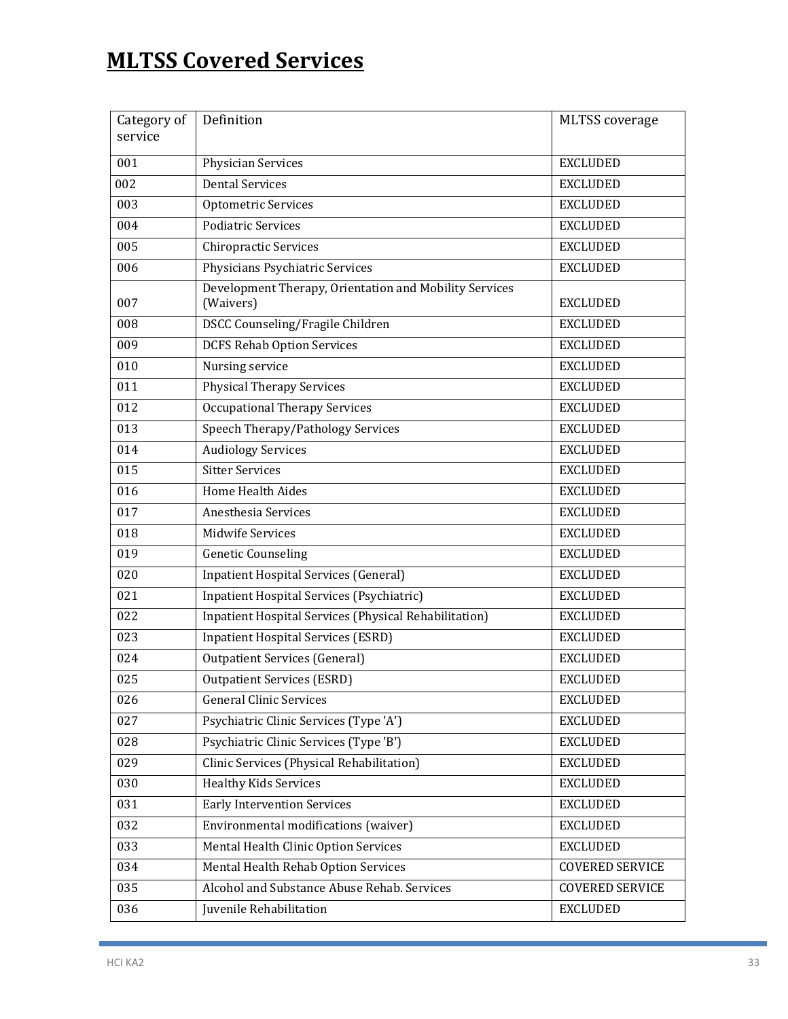# **MLTSS Covered Services**

| Category of | Definition                                                          | <b>MLTSS</b> coverage  |
|-------------|---------------------------------------------------------------------|------------------------|
| service     |                                                                     |                        |
| 001         | Physician Services                                                  | <b>EXCLUDED</b>        |
| 002         | <b>Dental Services</b>                                              | <b>EXCLUDED</b>        |
| 003         | Optometric Services                                                 | <b>EXCLUDED</b>        |
| 004         | <b>Podiatric Services</b>                                           | <b>EXCLUDED</b>        |
| 005         | <b>Chiropractic Services</b>                                        | <b>EXCLUDED</b>        |
| 006         | Physicians Psychiatric Services                                     | <b>EXCLUDED</b>        |
| 007         | Development Therapy, Orientation and Mobility Services<br>(Waivers) | <b>EXCLUDED</b>        |
| 008         | DSCC Counseling/Fragile Children                                    | <b>EXCLUDED</b>        |
| 009         | <b>DCFS Rehab Option Services</b>                                   | <b>EXCLUDED</b>        |
| 010         | Nursing service                                                     | <b>EXCLUDED</b>        |
| 011         | <b>Physical Therapy Services</b>                                    | <b>EXCLUDED</b>        |
| 012         | <b>Occupational Therapy Services</b>                                | <b>EXCLUDED</b>        |
| 013         | Speech Therapy/Pathology Services                                   | <b>EXCLUDED</b>        |
| 014         | <b>Audiology Services</b>                                           | <b>EXCLUDED</b>        |
| 015         | <b>Sitter Services</b>                                              | <b>EXCLUDED</b>        |
| 016         | <b>Home Health Aides</b>                                            | <b>EXCLUDED</b>        |
| 017         | Anesthesia Services                                                 | <b>EXCLUDED</b>        |
| 018         | <b>Midwife Services</b>                                             | <b>EXCLUDED</b>        |
| 019         | <b>Genetic Counseling</b>                                           | <b>EXCLUDED</b>        |
| 020         | <b>Inpatient Hospital Services (General)</b>                        | <b>EXCLUDED</b>        |
| 021         | Inpatient Hospital Services (Psychiatric)                           | <b>EXCLUDED</b>        |
| 022         | Inpatient Hospital Services (Physical Rehabilitation)               | <b>EXCLUDED</b>        |
| 023         | <b>Inpatient Hospital Services (ESRD)</b>                           | <b>EXCLUDED</b>        |
| 024         | <b>Outpatient Services (General)</b>                                | <b>EXCLUDED</b>        |
| 025         | <b>Outpatient Services (ESRD)</b>                                   | <b>EXCLUDED</b>        |
| 026         | <b>General Clinic Services</b>                                      | <b>EXCLUDED</b>        |
| 027         | Psychiatric Clinic Services (Type 'A')                              | <b>EXCLUDED</b>        |
| 028         | Psychiatric Clinic Services (Type 'B')                              | <b>EXCLUDED</b>        |
| 029         | Clinic Services (Physical Rehabilitation)                           | <b>EXCLUDED</b>        |
| 030         | <b>Healthy Kids Services</b>                                        | <b>EXCLUDED</b>        |
| 031         | <b>Early Intervention Services</b>                                  | <b>EXCLUDED</b>        |
| 032         | Environmental modifications (waiver)                                | <b>EXCLUDED</b>        |
| 033         | Mental Health Clinic Option Services                                | <b>EXCLUDED</b>        |
| 034         | Mental Health Rehab Option Services                                 | <b>COVERED SERVICE</b> |
| 035         | Alcohol and Substance Abuse Rehab. Services                         | <b>COVERED SERVICE</b> |
| 036         | Juvenile Rehabilitation                                             | <b>EXCLUDED</b>        |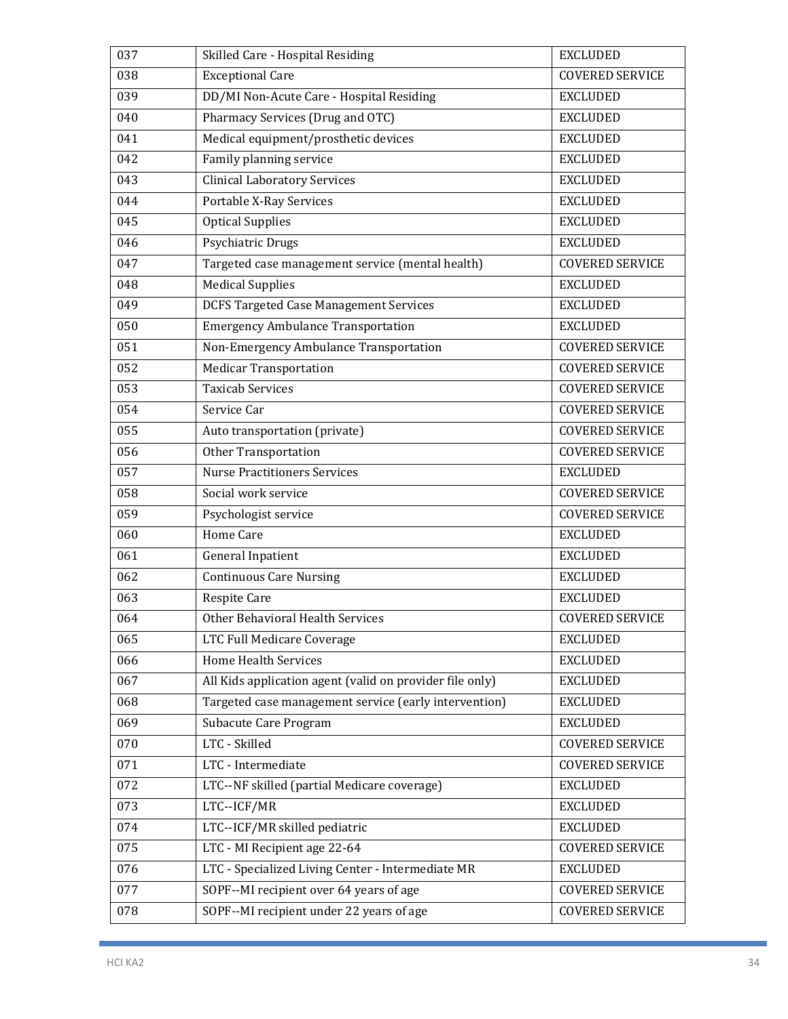| 037 | Skilled Care - Hospital Residing                         | <b>EXCLUDED</b>        |
|-----|----------------------------------------------------------|------------------------|
| 038 | <b>Exceptional Care</b>                                  | <b>COVERED SERVICE</b> |
| 039 | DD/MI Non-Acute Care - Hospital Residing                 | <b>EXCLUDED</b>        |
| 040 | Pharmacy Services (Drug and OTC)                         | <b>EXCLUDED</b>        |
| 041 | Medical equipment/prosthetic devices                     | <b>EXCLUDED</b>        |
| 042 | Family planning service                                  | <b>EXCLUDED</b>        |
| 043 | <b>Clinical Laboratory Services</b>                      | <b>EXCLUDED</b>        |
| 044 | <b>Portable X-Ray Services</b>                           | <b>EXCLUDED</b>        |
| 045 | <b>Optical Supplies</b>                                  | <b>EXCLUDED</b>        |
| 046 | Psychiatric Drugs                                        | <b>EXCLUDED</b>        |
| 047 | Targeted case management service (mental health)         | <b>COVERED SERVICE</b> |
| 048 | <b>Medical Supplies</b>                                  | <b>EXCLUDED</b>        |
| 049 | <b>DCFS Targeted Case Management Services</b>            | <b>EXCLUDED</b>        |
| 050 | <b>Emergency Ambulance Transportation</b>                | <b>EXCLUDED</b>        |
| 051 | Non-Emergency Ambulance Transportation                   | <b>COVERED SERVICE</b> |
| 052 | <b>Medicar Transportation</b>                            | <b>COVERED SERVICE</b> |
| 053 | <b>Taxicab Services</b>                                  | <b>COVERED SERVICE</b> |
| 054 | Service Car                                              | <b>COVERED SERVICE</b> |
| 055 | Auto transportation (private)                            | <b>COVERED SERVICE</b> |
| 056 | Other Transportation                                     | <b>COVERED SERVICE</b> |
| 057 | <b>Nurse Practitioners Services</b>                      | <b>EXCLUDED</b>        |
| 058 | Social work service                                      | <b>COVERED SERVICE</b> |
| 059 | Psychologist service                                     | <b>COVERED SERVICE</b> |
| 060 | <b>Home Care</b>                                         | <b>EXCLUDED</b>        |
| 061 | <b>General Inpatient</b>                                 | <b>EXCLUDED</b>        |
| 062 | <b>Continuous Care Nursing</b>                           | <b>EXCLUDED</b>        |
| 063 | <b>Respite Care</b>                                      | <b>EXCLUDED</b>        |
| 064 | Other Behavioral Health Services                         | <b>COVERED SERVICE</b> |
| 065 | LTC Full Medicare Coverage                               | <b>EXCLUDED</b>        |
| 066 | <b>Home Health Services</b>                              | <b>EXCLUDED</b>        |
| 067 | All Kids application agent (valid on provider file only) | <b>EXCLUDED</b>        |
| 068 | Targeted case management service (early intervention)    | <b>EXCLUDED</b>        |
| 069 | Subacute Care Program                                    | <b>EXCLUDED</b>        |
| 070 | LTC - Skilled                                            | <b>COVERED SERVICE</b> |
| 071 | LTC - Intermediate                                       | <b>COVERED SERVICE</b> |
| 072 | LTC--NF skilled (partial Medicare coverage)              | <b>EXCLUDED</b>        |
| 073 | LTC--ICF/MR                                              | <b>EXCLUDED</b>        |
| 074 | LTC--ICF/MR skilled pediatric                            | <b>EXCLUDED</b>        |
| 075 | LTC - MI Recipient age 22-64                             | <b>COVERED SERVICE</b> |
| 076 | LTC - Specialized Living Center - Intermediate MR        | <b>EXCLUDED</b>        |
| 077 | SOPF--MI recipient over 64 years of age                  | COVERED SERVICE        |
| 078 | SOPF--MI recipient under 22 years of age                 | <b>COVERED SERVICE</b> |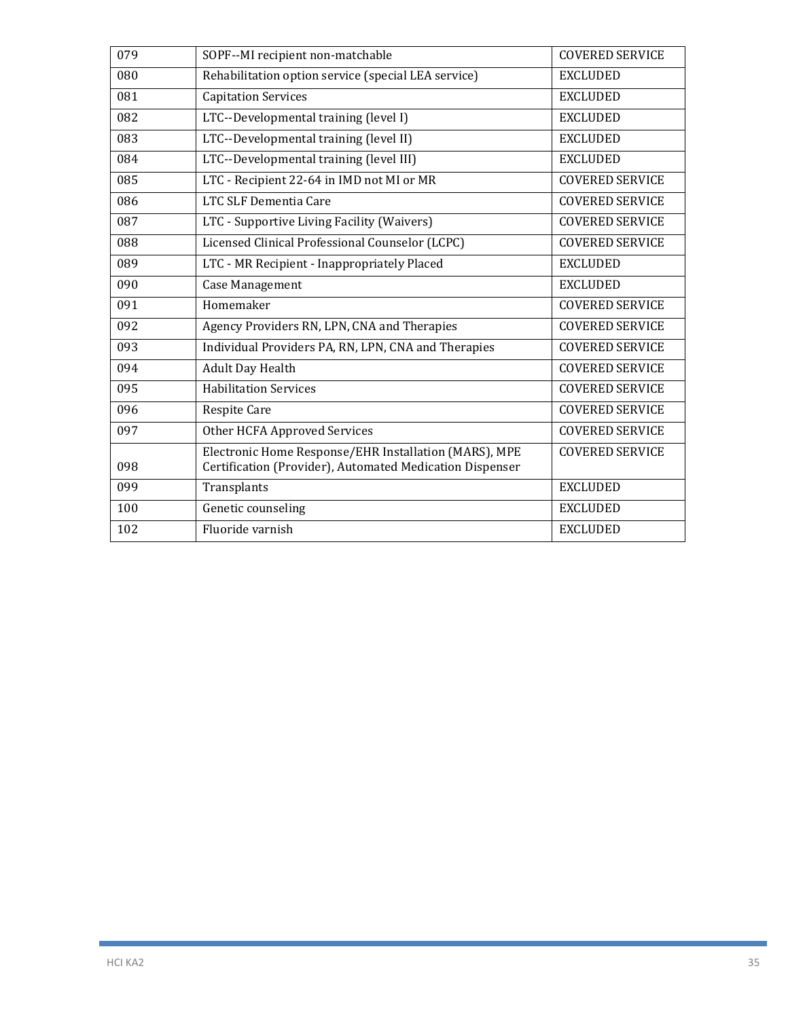| 079 | SOPF--MI recipient non-matchable                                                                                  | <b>COVERED SERVICE</b> |
|-----|-------------------------------------------------------------------------------------------------------------------|------------------------|
| 080 | Rehabilitation option service (special LEA service)                                                               | <b>EXCLUDED</b>        |
| 081 | <b>Capitation Services</b>                                                                                        | <b>EXCLUDED</b>        |
| 082 | LTC--Developmental training (level I)                                                                             | <b>EXCLUDED</b>        |
| 083 | LTC--Developmental training (level II)                                                                            | <b>EXCLUDED</b>        |
| 084 | LTC--Developmental training (level III)                                                                           | <b>EXCLUDED</b>        |
| 085 | LTC - Recipient 22-64 in IMD not MI or MR                                                                         | <b>COVERED SERVICE</b> |
| 086 | LTC SLF Dementia Care                                                                                             | <b>COVERED SERVICE</b> |
| 087 | LTC - Supportive Living Facility (Waivers)                                                                        | <b>COVERED SERVICE</b> |
| 088 | Licensed Clinical Professional Counselor (LCPC)                                                                   | <b>COVERED SERVICE</b> |
| 089 | LTC - MR Recipient - Inappropriately Placed                                                                       | <b>EXCLUDED</b>        |
| 090 | Case Management                                                                                                   | <b>EXCLUDED</b>        |
| 091 | Homemaker                                                                                                         | <b>COVERED SERVICE</b> |
| 092 | Agency Providers RN, LPN, CNA and Therapies                                                                       | <b>COVERED SERVICE</b> |
| 093 | Individual Providers PA, RN, LPN, CNA and Therapies                                                               | <b>COVERED SERVICE</b> |
| 094 | Adult Day Health                                                                                                  | <b>COVERED SERVICE</b> |
| 095 | <b>Habilitation Services</b>                                                                                      | <b>COVERED SERVICE</b> |
| 096 | <b>Respite Care</b>                                                                                               | <b>COVERED SERVICE</b> |
| 097 | Other HCFA Approved Services                                                                                      | <b>COVERED SERVICE</b> |
| 098 | Electronic Home Response/EHR Installation (MARS), MPE<br>Certification (Provider), Automated Medication Dispenser | <b>COVERED SERVICE</b> |
| 099 | Transplants                                                                                                       | <b>EXCLUDED</b>        |
| 100 | Genetic counseling                                                                                                | <b>EXCLUDED</b>        |
| 102 | Fluoride varnish                                                                                                  | <b>EXCLUDED</b>        |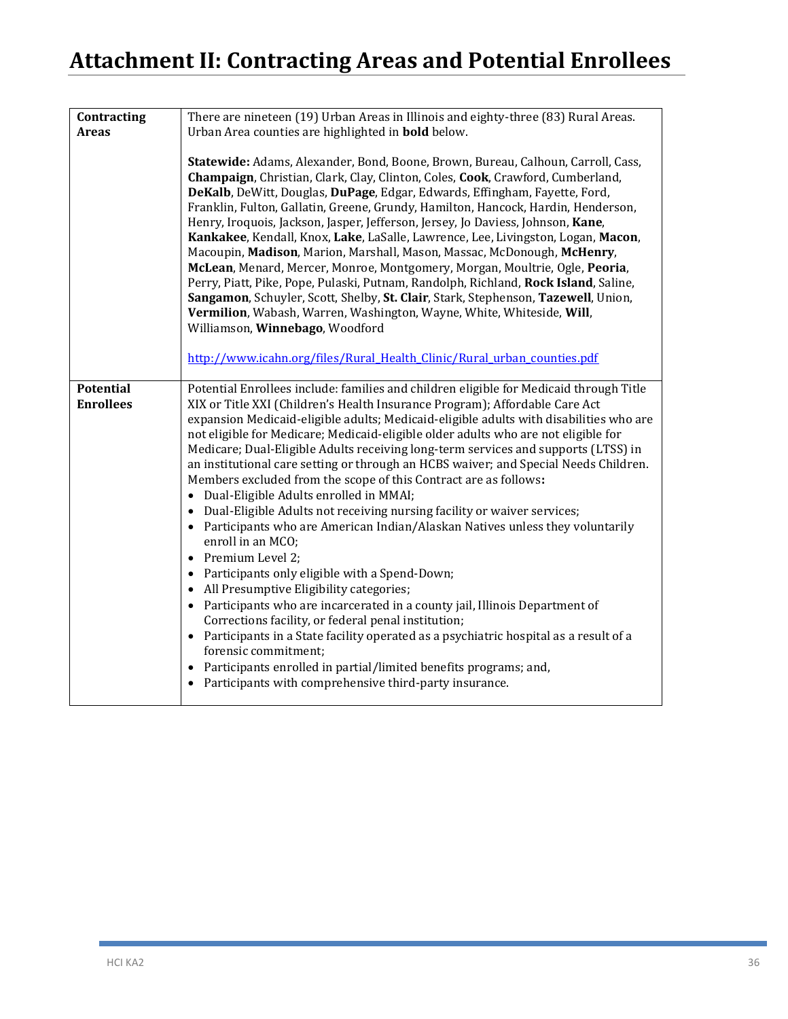# **Attachment II: Contracting Areas and Potential Enrollees**

| Contracting                          | There are nineteen (19) Urban Areas in Illinois and eighty-three (83) Rural Areas.                                                                                                                                                                                                                                                                                                                                                                                                                                                                                                                                                                                                                                                                                                                                                                                                                                                                                                                                                                                                                                                                                                                                                                                                                                                                                                               |
|--------------------------------------|--------------------------------------------------------------------------------------------------------------------------------------------------------------------------------------------------------------------------------------------------------------------------------------------------------------------------------------------------------------------------------------------------------------------------------------------------------------------------------------------------------------------------------------------------------------------------------------------------------------------------------------------------------------------------------------------------------------------------------------------------------------------------------------------------------------------------------------------------------------------------------------------------------------------------------------------------------------------------------------------------------------------------------------------------------------------------------------------------------------------------------------------------------------------------------------------------------------------------------------------------------------------------------------------------------------------------------------------------------------------------------------------------|
| <b>Areas</b>                         | Urban Area counties are highlighted in <b>bold</b> below.                                                                                                                                                                                                                                                                                                                                                                                                                                                                                                                                                                                                                                                                                                                                                                                                                                                                                                                                                                                                                                                                                                                                                                                                                                                                                                                                        |
|                                      | Statewide: Adams, Alexander, Bond, Boone, Brown, Bureau, Calhoun, Carroll, Cass,<br>Champaign, Christian, Clark, Clay, Clinton, Coles, Cook, Crawford, Cumberland,<br>DeKalb, DeWitt, Douglas, DuPage, Edgar, Edwards, Effingham, Fayette, Ford,<br>Franklin, Fulton, Gallatin, Greene, Grundy, Hamilton, Hancock, Hardin, Henderson,<br>Henry, Iroquois, Jackson, Jasper, Jefferson, Jersey, Jo Daviess, Johnson, Kane,<br>Kankakee, Kendall, Knox, Lake, LaSalle, Lawrence, Lee, Livingston, Logan, Macon,<br>Macoupin, Madison, Marion, Marshall, Mason, Massac, McDonough, McHenry,<br>McLean, Menard, Mercer, Monroe, Montgomery, Morgan, Moultrie, Ogle, Peoria,<br>Perry, Piatt, Pike, Pope, Pulaski, Putnam, Randolph, Richland, Rock Island, Saline,<br>Sangamon, Schuyler, Scott, Shelby, St. Clair, Stark, Stephenson, Tazewell, Union,<br>Vermilion, Wabash, Warren, Washington, Wayne, White, Whiteside, Will,<br>Williamson, Winnebago, Woodford                                                                                                                                                                                                                                                                                                                                                                                                                                   |
|                                      | http://www.icahn.org/files/Rural Health Clinic/Rural urban counties.pdf                                                                                                                                                                                                                                                                                                                                                                                                                                                                                                                                                                                                                                                                                                                                                                                                                                                                                                                                                                                                                                                                                                                                                                                                                                                                                                                          |
| <b>Potential</b><br><b>Enrollees</b> | Potential Enrollees include: families and children eligible for Medicaid through Title<br>XIX or Title XXI (Children's Health Insurance Program); Affordable Care Act<br>expansion Medicaid-eligible adults; Medicaid-eligible adults with disabilities who are<br>not eligible for Medicare; Medicaid-eligible older adults who are not eligible for<br>Medicare; Dual-Eligible Adults receiving long-term services and supports (LTSS) in<br>an institutional care setting or through an HCBS waiver; and Special Needs Children.<br>Members excluded from the scope of this Contract are as follows:<br>Dual-Eligible Adults enrolled in MMAI;<br>Dual-Eligible Adults not receiving nursing facility or waiver services;<br>• Participants who are American Indian/Alaskan Natives unless they voluntarily<br>enroll in an MCO;<br>Premium Level 2;<br>$\bullet$<br>Participants only eligible with a Spend-Down;<br>$\bullet$<br>• All Presumptive Eligibility categories;<br>• Participants who are incarcerated in a county jail, Illinois Department of<br>Corrections facility, or federal penal institution;<br>• Participants in a State facility operated as a psychiatric hospital as a result of a<br>forensic commitment;<br>Participants enrolled in partial/limited benefits programs; and,<br>$\bullet$<br>Participants with comprehensive third-party insurance.<br>$\bullet$ |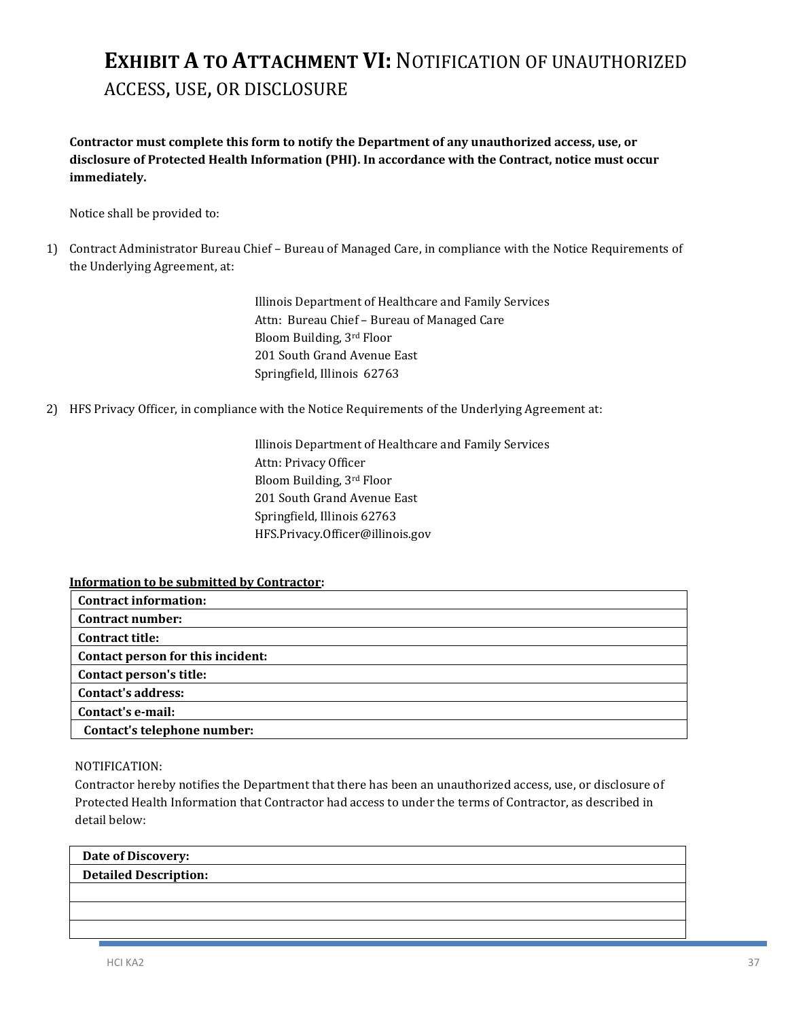## **EXHIBIT A TO ATTACHMENT VI:** NOTIFICATION OF UNAUTHORIZED ACCESS, USE, OR DISCLOSURE

**Contractor must complete this form to notify the Department of any unauthorized access, use, or disclosure of Protected Health Information (PHI). In accordance with the Contract, notice must occur immediately.** 

Notice shall be provided to:

1) Contract Administrator Bureau Chief – Bureau of Managed Care, in compliance with the Notice Requirements of the Underlying Agreement, at:

> Illinois Department of Healthcare and Family Services Attn: Bureau Chief – Bureau of Managed Care Bloom Building, 3rd Floor 201 South Grand Avenue East Springfield, Illinois 62763

2) HFS Privacy Officer, in compliance with the Notice Requirements of the Underlying Agreement at:

Illinois Department of Healthcare and Family Services Attn: Privacy Officer Bloom Building, 3rd Floor 201 South Grand Avenue East Springfield, Illinois 62763 HFS.Privacy.Officer@illinois.gov

#### **Information to be submitted by Contractor:**

| <b>Contract information:</b>      |
|-----------------------------------|
| <b>Contract number:</b>           |
| <b>Contract title:</b>            |
| Contact person for this incident: |
| Contact person's title:           |
| <b>Contact's address:</b>         |
| Contact's e-mail:                 |
| Contact's telephone number:       |

#### NOTIFICATION:

Contractor hereby notifies the Department that there has been an unauthorized access, use, or disclosure of Protected Health Information that Contractor had access to under the terms of Contractor, as described in detail below:

| Date of Discovery:           |  |
|------------------------------|--|
| <b>Detailed Description:</b> |  |
|                              |  |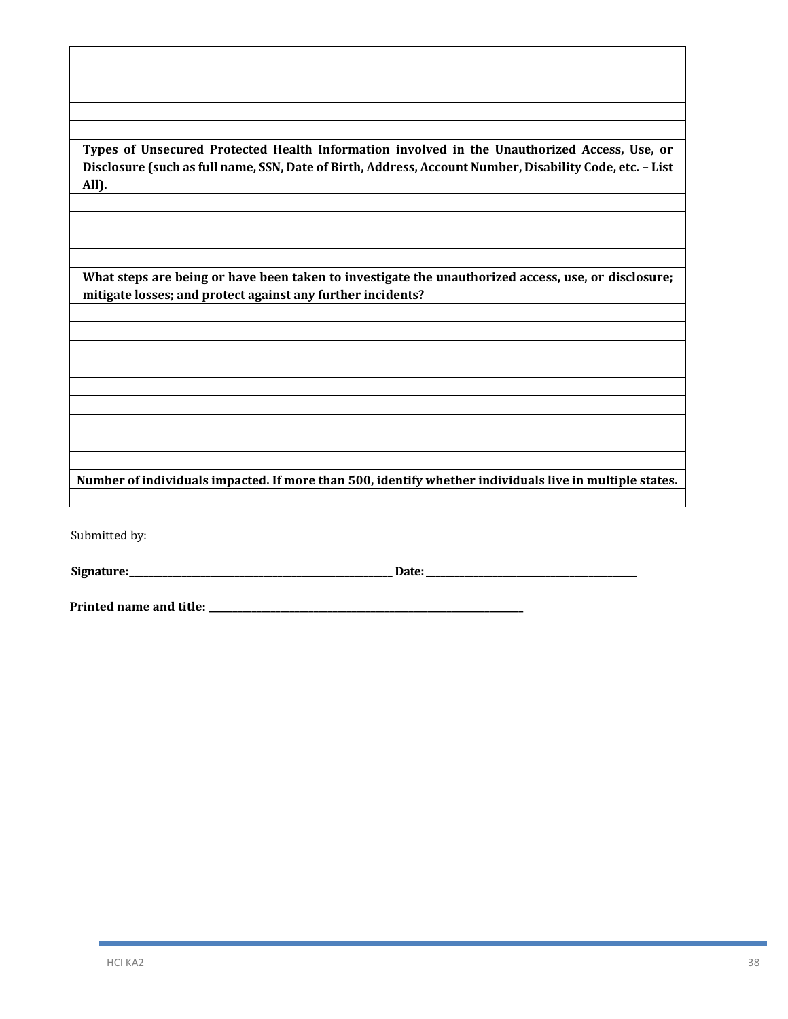**Types of Unsecured Protected Health Information involved in the Unauthorized Access, Use, or Disclosure (such as full name, SSN, Date of Birth, Address, Account Number, Disability Code, etc. – List All).**

**What steps are being or have been taken to investigate the unauthorized access, use, or disclosure; mitigate losses; and protect against any further incidents?**

**Number of individuals impacted. If more than 500, identify whether individuals live in multiple states.**

Submitted by:

**Signature:\_\_\_\_\_\_\_\_\_\_\_\_\_\_\_\_\_\_\_\_\_\_\_\_\_\_\_\_\_\_\_\_\_\_\_\_\_\_\_\_\_\_\_\_\_\_\_\_\_\_\_\_\_\_\_ Date:\_\_\_\_\_\_\_\_\_\_\_\_\_\_\_\_\_\_\_\_\_\_\_\_\_\_\_\_\_\_\_\_\_\_\_\_\_\_\_\_\_\_\_\_**

**Printed name and title: \_\_\_\_\_\_\_\_\_\_\_\_\_\_\_\_\_\_\_\_\_\_\_\_\_\_\_\_\_\_\_\_\_\_\_\_\_\_\_\_\_\_\_\_\_\_\_\_\_\_\_\_\_\_\_\_\_\_\_\_\_\_\_\_\_\_**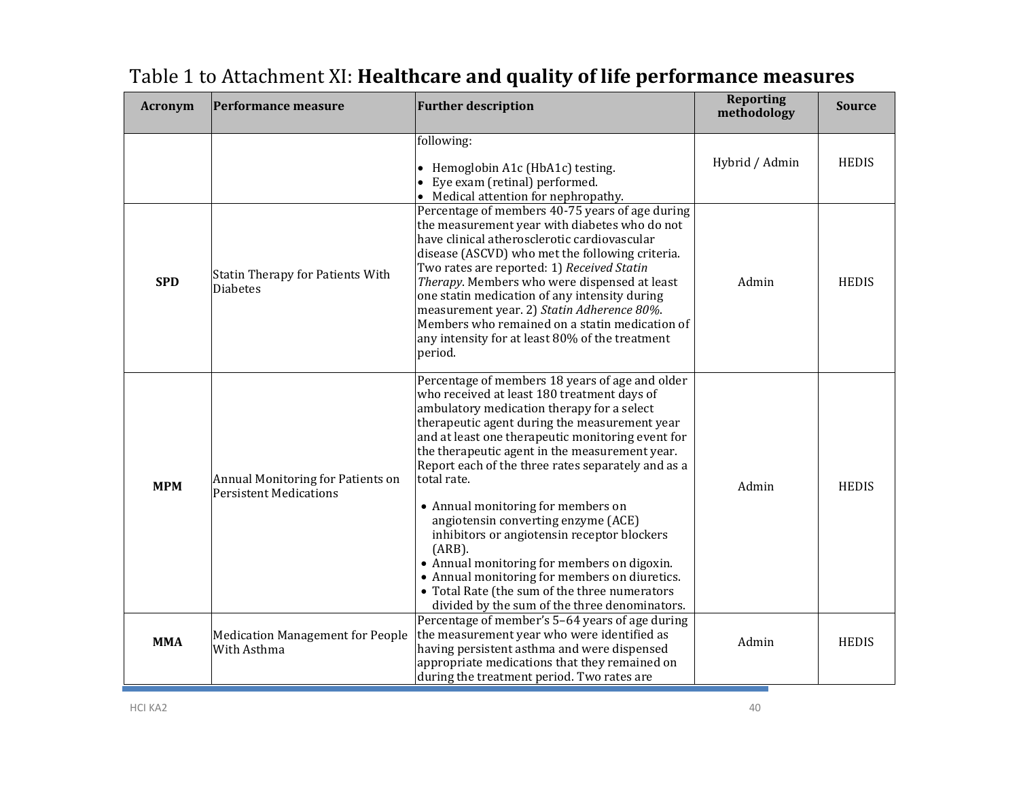| <b>Acronym</b> | <b>Performance measure</b>                                         | <b>Further description</b>                                                                                                                                                                                                                                                                                                                                                                                                                                                                                                                                                                                                                                                                                        | <b>Reporting</b><br>methodology | Source       |
|----------------|--------------------------------------------------------------------|-------------------------------------------------------------------------------------------------------------------------------------------------------------------------------------------------------------------------------------------------------------------------------------------------------------------------------------------------------------------------------------------------------------------------------------------------------------------------------------------------------------------------------------------------------------------------------------------------------------------------------------------------------------------------------------------------------------------|---------------------------------|--------------|
|                |                                                                    | following:<br>Hemoglobin A1c (HbA1c) testing.<br>$\bullet$<br>Eye exam (retinal) performed.<br>$\bullet$<br>• Medical attention for nephropathy.                                                                                                                                                                                                                                                                                                                                                                                                                                                                                                                                                                  | Hybrid / Admin                  | <b>HEDIS</b> |
| <b>SPD</b>     | <b>Statin Therapy for Patients With</b><br><b>Diabetes</b>         | Percentage of members 40-75 years of age during<br>the measurement year with diabetes who do not<br>have clinical atherosclerotic cardiovascular<br>disease (ASCVD) who met the following criteria.<br>Two rates are reported: 1) Received Statin<br>Therapy. Members who were dispensed at least<br>one statin medication of any intensity during<br>measurement year. 2) Statin Adherence 80%.<br>Members who remained on a statin medication of<br>any intensity for at least 80% of the treatment<br>period.                                                                                                                                                                                                  | Admin                           | <b>HEDIS</b> |
| <b>MPM</b>     | Annual Monitoring for Patients on<br><b>Persistent Medications</b> | Percentage of members 18 years of age and older<br>who received at least 180 treatment days of<br>ambulatory medication therapy for a select<br>therapeutic agent during the measurement year<br>and at least one therapeutic monitoring event for<br>the therapeutic agent in the measurement year.<br>Report each of the three rates separately and as a<br>total rate.<br>• Annual monitoring for members on<br>angiotensin converting enzyme (ACE)<br>inhibitors or angiotensin receptor blockers<br>(ARB).<br>• Annual monitoring for members on digoxin.<br>• Annual monitoring for members on diuretics.<br>• Total Rate (the sum of the three numerators<br>divided by the sum of the three denominators. | Admin                           | <b>HEDIS</b> |
| <b>MMA</b>     | <b>Medication Management for People</b><br>With Asthma             | Percentage of member's 5-64 years of age during<br>the measurement year who were identified as<br>having persistent asthma and were dispensed<br>appropriate medications that they remained on<br>during the treatment period. Two rates are                                                                                                                                                                                                                                                                                                                                                                                                                                                                      | Admin                           | <b>HEDIS</b> |

## Table 1 to Attachment XI: **Healthcare and quality of life performance measures**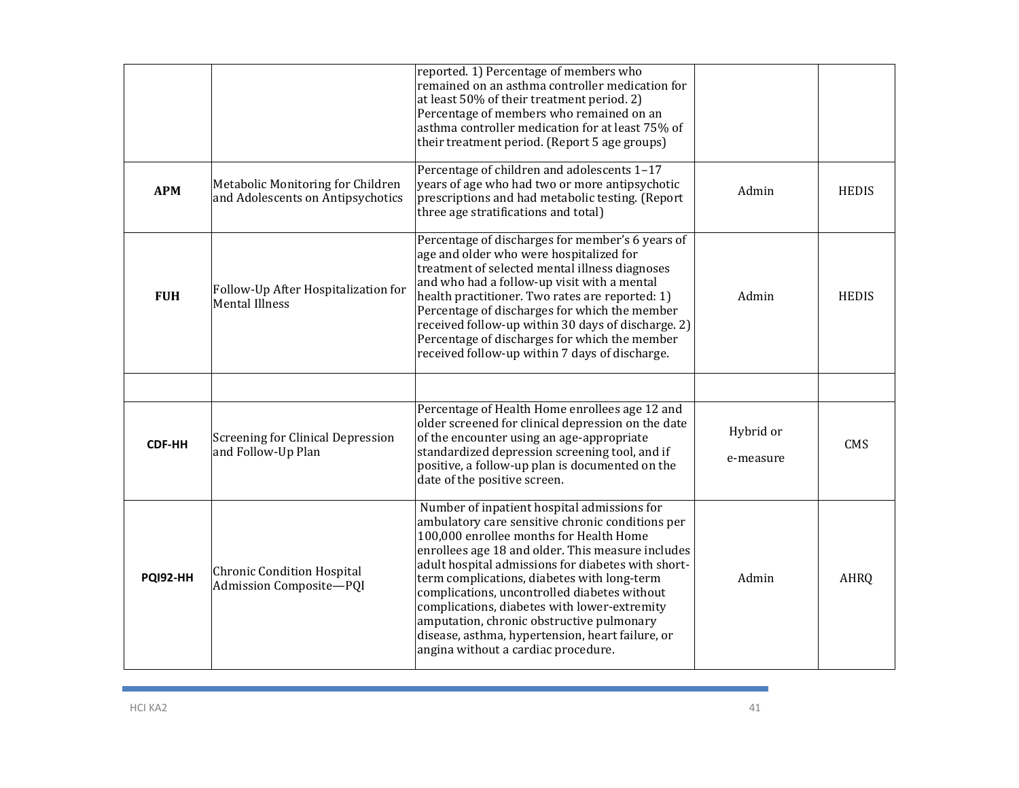|                 |                                                                        | reported. 1) Percentage of members who<br>remained on an asthma controller medication for<br>at least 50% of their treatment period. 2)<br>Percentage of members who remained on an<br>asthma controller medication for at least 75% of<br>their treatment period. (Report 5 age groups)                                                                                                                                                                                                                                                     |                        |              |
|-----------------|------------------------------------------------------------------------|----------------------------------------------------------------------------------------------------------------------------------------------------------------------------------------------------------------------------------------------------------------------------------------------------------------------------------------------------------------------------------------------------------------------------------------------------------------------------------------------------------------------------------------------|------------------------|--------------|
| <b>APM</b>      | Metabolic Monitoring for Children<br>and Adolescents on Antipsychotics | Percentage of children and adolescents 1-17<br>years of age who had two or more antipsychotic<br>prescriptions and had metabolic testing. (Report<br>three age stratifications and total)                                                                                                                                                                                                                                                                                                                                                    | Admin                  | <b>HEDIS</b> |
| <b>FUH</b>      | Follow-Up After Hospitalization for<br><b>Mental Illness</b>           | Percentage of discharges for member's 6 years of<br>age and older who were hospitalized for<br>treatment of selected mental illness diagnoses<br>and who had a follow-up visit with a mental<br>health practitioner. Two rates are reported: 1)<br>Percentage of discharges for which the member<br>received follow-up within 30 days of discharge. 2)<br>Percentage of discharges for which the member<br>received follow-up within 7 days of discharge.                                                                                    | Admin                  | <b>HEDIS</b> |
|                 |                                                                        |                                                                                                                                                                                                                                                                                                                                                                                                                                                                                                                                              |                        |              |
| <b>CDF-HH</b>   | <b>Screening for Clinical Depression</b><br>and Follow-Up Plan         | Percentage of Health Home enrollees age 12 and<br>older screened for clinical depression on the date<br>of the encounter using an age-appropriate<br>standardized depression screening tool, and if<br>positive, a follow-up plan is documented on the<br>date of the positive screen.                                                                                                                                                                                                                                                       | Hybrid or<br>e-measure | <b>CMS</b>   |
| <b>PQI92-HH</b> | <b>Chronic Condition Hospital</b><br>Admission Composite-PQI           | Number of inpatient hospital admissions for<br>ambulatory care sensitive chronic conditions per<br>100,000 enrollee months for Health Home<br>enrollees age 18 and older. This measure includes<br>adult hospital admissions for diabetes with short-<br>term complications, diabetes with long-term<br>complications, uncontrolled diabetes without<br>complications, diabetes with lower-extremity<br>amputation, chronic obstructive pulmonary<br>disease, asthma, hypertension, heart failure, or<br>angina without a cardiac procedure. | Admin                  | <b>AHRQ</b>  |

**Contract**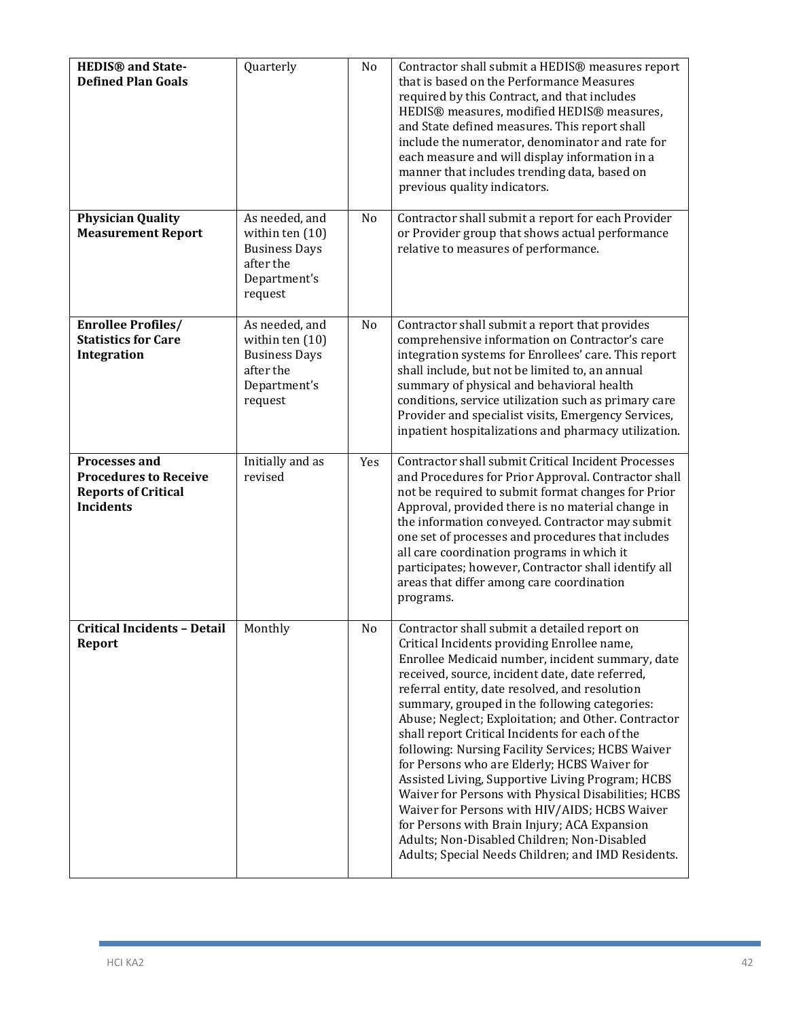| <b>HEDIS®</b> and State-<br><b>Defined Plan Goals</b>                                                  | Quarterly                                                                                           | No  | Contractor shall submit a HEDIS® measures report<br>that is based on the Performance Measures<br>required by this Contract, and that includes<br>HEDIS® measures, modified HEDIS® measures,<br>and State defined measures. This report shall<br>include the numerator, denominator and rate for<br>each measure and will display information in a<br>manner that includes trending data, based on<br>previous quality indicators.                                                                                                                                                                                                                                                                                                                                                                                                     |
|--------------------------------------------------------------------------------------------------------|-----------------------------------------------------------------------------------------------------|-----|---------------------------------------------------------------------------------------------------------------------------------------------------------------------------------------------------------------------------------------------------------------------------------------------------------------------------------------------------------------------------------------------------------------------------------------------------------------------------------------------------------------------------------------------------------------------------------------------------------------------------------------------------------------------------------------------------------------------------------------------------------------------------------------------------------------------------------------|
| <b>Physician Quality</b><br><b>Measurement Report</b>                                                  | As needed, and<br>within ten $(10)$<br><b>Business Days</b><br>after the<br>Department's<br>request | No  | Contractor shall submit a report for each Provider<br>or Provider group that shows actual performance<br>relative to measures of performance.                                                                                                                                                                                                                                                                                                                                                                                                                                                                                                                                                                                                                                                                                         |
| <b>Enrollee Profiles/</b><br><b>Statistics for Care</b><br>Integration                                 | As needed, and<br>within ten $(10)$<br><b>Business Days</b><br>after the<br>Department's<br>request | No  | Contractor shall submit a report that provides<br>comprehensive information on Contractor's care<br>integration systems for Enrollees' care. This report<br>shall include, but not be limited to, an annual<br>summary of physical and behavioral health<br>conditions, service utilization such as primary care<br>Provider and specialist visits, Emergency Services,<br>inpatient hospitalizations and pharmacy utilization.                                                                                                                                                                                                                                                                                                                                                                                                       |
| <b>Processes and</b><br><b>Procedures to Receive</b><br><b>Reports of Critical</b><br><b>Incidents</b> | Initially and as<br>revised                                                                         | Yes | Contractor shall submit Critical Incident Processes<br>and Procedures for Prior Approval. Contractor shall<br>not be required to submit format changes for Prior<br>Approval, provided there is no material change in<br>the information conveyed. Contractor may submit<br>one set of processes and procedures that includes<br>all care coordination programs in which it<br>participates; however, Contractor shall identify all<br>areas that differ among care coordination<br>programs.                                                                                                                                                                                                                                                                                                                                         |
| <b>Critical Incidents - Detail</b><br>Report                                                           | Monthly                                                                                             | No  | Contractor shall submit a detailed report on<br>Critical Incidents providing Enrollee name,<br>Enrollee Medicaid number, incident summary, date<br>received, source, incident date, date referred,<br>referral entity, date resolved, and resolution<br>summary, grouped in the following categories:<br>Abuse; Neglect; Exploitation; and Other. Contractor<br>shall report Critical Incidents for each of the<br>following: Nursing Facility Services; HCBS Waiver<br>for Persons who are Elderly; HCBS Waiver for<br>Assisted Living, Supportive Living Program; HCBS<br>Waiver for Persons with Physical Disabilities; HCBS<br>Waiver for Persons with HIV/AIDS; HCBS Waiver<br>for Persons with Brain Injury; ACA Expansion<br>Adults; Non-Disabled Children; Non-Disabled<br>Adults; Special Needs Children; and IMD Residents. |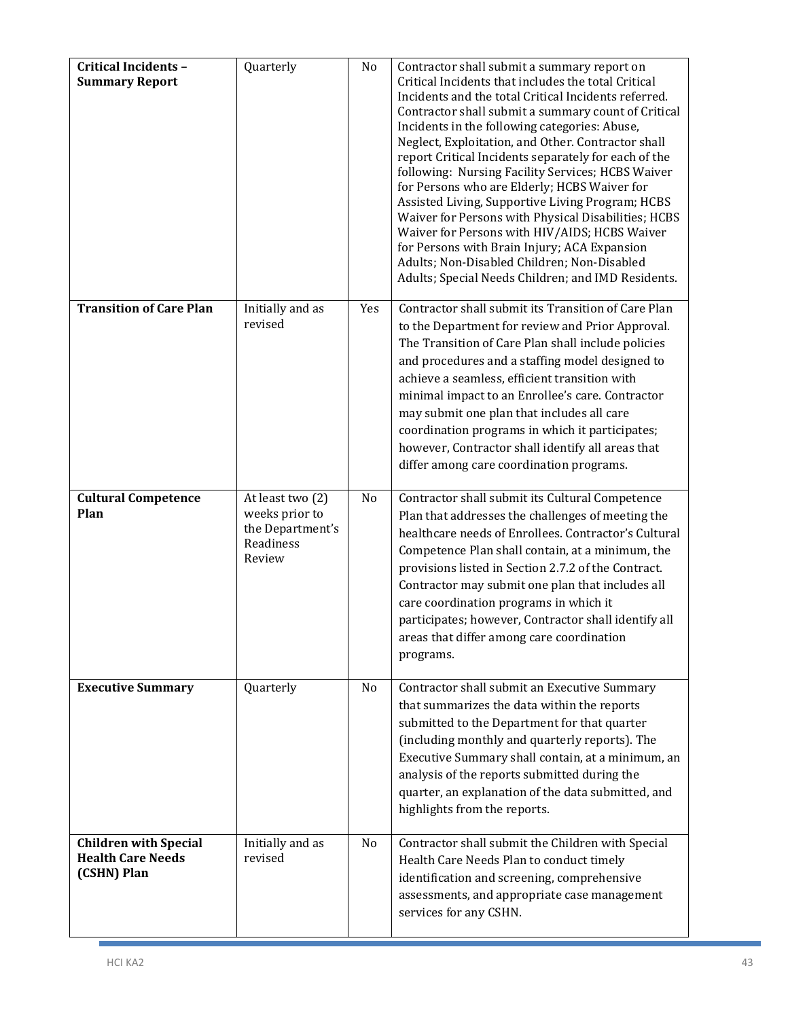| <b>Critical Incidents -</b><br><b>Summary Report</b>                    | Quarterly                                                                     | No  | Contractor shall submit a summary report on<br>Critical Incidents that includes the total Critical<br>Incidents and the total Critical Incidents referred.<br>Contractor shall submit a summary count of Critical<br>Incidents in the following categories: Abuse,<br>Neglect, Exploitation, and Other. Contractor shall<br>report Critical Incidents separately for each of the<br>following: Nursing Facility Services; HCBS Waiver<br>for Persons who are Elderly; HCBS Waiver for<br>Assisted Living, Supportive Living Program; HCBS<br>Waiver for Persons with Physical Disabilities; HCBS<br>Waiver for Persons with HIV/AIDS; HCBS Waiver<br>for Persons with Brain Injury; ACA Expansion<br>Adults; Non-Disabled Children; Non-Disabled<br>Adults; Special Needs Children; and IMD Residents. |
|-------------------------------------------------------------------------|-------------------------------------------------------------------------------|-----|--------------------------------------------------------------------------------------------------------------------------------------------------------------------------------------------------------------------------------------------------------------------------------------------------------------------------------------------------------------------------------------------------------------------------------------------------------------------------------------------------------------------------------------------------------------------------------------------------------------------------------------------------------------------------------------------------------------------------------------------------------------------------------------------------------|
| <b>Transition of Care Plan</b>                                          | Initially and as<br>revised                                                   | Yes | Contractor shall submit its Transition of Care Plan<br>to the Department for review and Prior Approval.<br>The Transition of Care Plan shall include policies<br>and procedures and a staffing model designed to<br>achieve a seamless, efficient transition with<br>minimal impact to an Enrollee's care. Contractor<br>may submit one plan that includes all care<br>coordination programs in which it participates;<br>however, Contractor shall identify all areas that<br>differ among care coordination programs.                                                                                                                                                                                                                                                                                |
| <b>Cultural Competence</b><br>Plan                                      | At least two (2)<br>weeks prior to<br>the Department's<br>Readiness<br>Review | No  | Contractor shall submit its Cultural Competence<br>Plan that addresses the challenges of meeting the<br>healthcare needs of Enrollees. Contractor's Cultural<br>Competence Plan shall contain, at a minimum, the<br>provisions listed in Section 2.7.2 of the Contract.<br>Contractor may submit one plan that includes all<br>care coordination programs in which it<br>participates; however, Contractor shall identify all<br>areas that differ among care coordination<br>programs.                                                                                                                                                                                                                                                                                                                |
| <b>Executive Summary</b>                                                | Quarterly                                                                     | No  | Contractor shall submit an Executive Summary<br>that summarizes the data within the reports<br>submitted to the Department for that quarter<br>(including monthly and quarterly reports). The<br>Executive Summary shall contain, at a minimum, an<br>analysis of the reports submitted during the<br>quarter, an explanation of the data submitted, and<br>highlights from the reports.                                                                                                                                                                                                                                                                                                                                                                                                               |
| <b>Children with Special</b><br><b>Health Care Needs</b><br>(CSHN) Plan | Initially and as<br>revised                                                   | No  | Contractor shall submit the Children with Special<br>Health Care Needs Plan to conduct timely<br>identification and screening, comprehensive<br>assessments, and appropriate case management<br>services for any CSHN.                                                                                                                                                                                                                                                                                                                                                                                                                                                                                                                                                                                 |

h.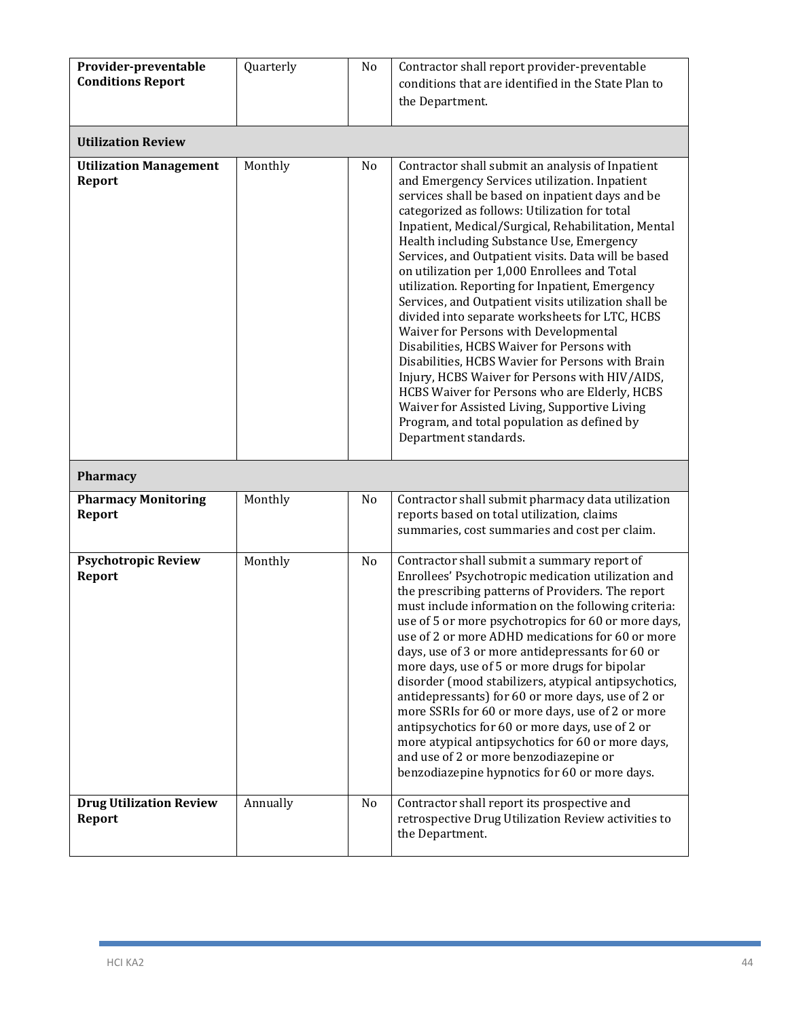| Provider-preventable<br><b>Conditions Report</b> | Quarterly | No | Contractor shall report provider-preventable<br>conditions that are identified in the State Plan to<br>the Department.                                                                                                                                                                                                                                                                                                                                                                                                                                                                                                                                                                                                                                                                                                                                                                                                                                |
|--------------------------------------------------|-----------|----|-------------------------------------------------------------------------------------------------------------------------------------------------------------------------------------------------------------------------------------------------------------------------------------------------------------------------------------------------------------------------------------------------------------------------------------------------------------------------------------------------------------------------------------------------------------------------------------------------------------------------------------------------------------------------------------------------------------------------------------------------------------------------------------------------------------------------------------------------------------------------------------------------------------------------------------------------------|
| <b>Utilization Review</b>                        |           |    |                                                                                                                                                                                                                                                                                                                                                                                                                                                                                                                                                                                                                                                                                                                                                                                                                                                                                                                                                       |
| <b>Utilization Management</b><br><b>Report</b>   | Monthly   | No | Contractor shall submit an analysis of Inpatient<br>and Emergency Services utilization. Inpatient<br>services shall be based on inpatient days and be<br>categorized as follows: Utilization for total<br>Inpatient, Medical/Surgical, Rehabilitation, Mental<br>Health including Substance Use, Emergency<br>Services, and Outpatient visits. Data will be based<br>on utilization per 1,000 Enrollees and Total<br>utilization. Reporting for Inpatient, Emergency<br>Services, and Outpatient visits utilization shall be<br>divided into separate worksheets for LTC, HCBS<br>Waiver for Persons with Developmental<br>Disabilities, HCBS Waiver for Persons with<br>Disabilities, HCBS Wavier for Persons with Brain<br>Injury, HCBS Waiver for Persons with HIV/AIDS,<br>HCBS Waiver for Persons who are Elderly, HCBS<br>Waiver for Assisted Living, Supportive Living<br>Program, and total population as defined by<br>Department standards. |
| Pharmacy                                         |           |    |                                                                                                                                                                                                                                                                                                                                                                                                                                                                                                                                                                                                                                                                                                                                                                                                                                                                                                                                                       |
| <b>Pharmacy Monitoring</b><br>Report             | Monthly   | No | Contractor shall submit pharmacy data utilization<br>reports based on total utilization, claims<br>summaries, cost summaries and cost per claim.                                                                                                                                                                                                                                                                                                                                                                                                                                                                                                                                                                                                                                                                                                                                                                                                      |
| <b>Psychotropic Review</b><br><b>Report</b>      | Monthly   | No | Contractor shall submit a summary report of<br>Enrollees' Psychotropic medication utilization and<br>the prescribing patterns of Providers. The report<br>must include information on the following criteria:<br>use of 5 or more psychotropics for 60 or more days,<br>use of 2 or more ADHD medications for 60 or more<br>days, use of 3 or more antidepressants for 60 or<br>more days, use of 5 or more drugs for bipolar<br>disorder (mood stabilizers, atypical antipsychotics,<br>antidepressants) for 60 or more days, use of 2 or<br>more SSRIs for 60 or more days, use of 2 or more<br>antipsychotics for 60 or more days, use of 2 or<br>more atypical antipsychotics for 60 or more days,<br>and use of 2 or more benzodiazepine or<br>benzodiazepine hypnotics for 60 or more days.                                                                                                                                                     |
| <b>Drug Utilization Review</b><br><b>Report</b>  | Annually  | No | Contractor shall report its prospective and<br>retrospective Drug Utilization Review activities to<br>the Department.                                                                                                                                                                                                                                                                                                                                                                                                                                                                                                                                                                                                                                                                                                                                                                                                                                 |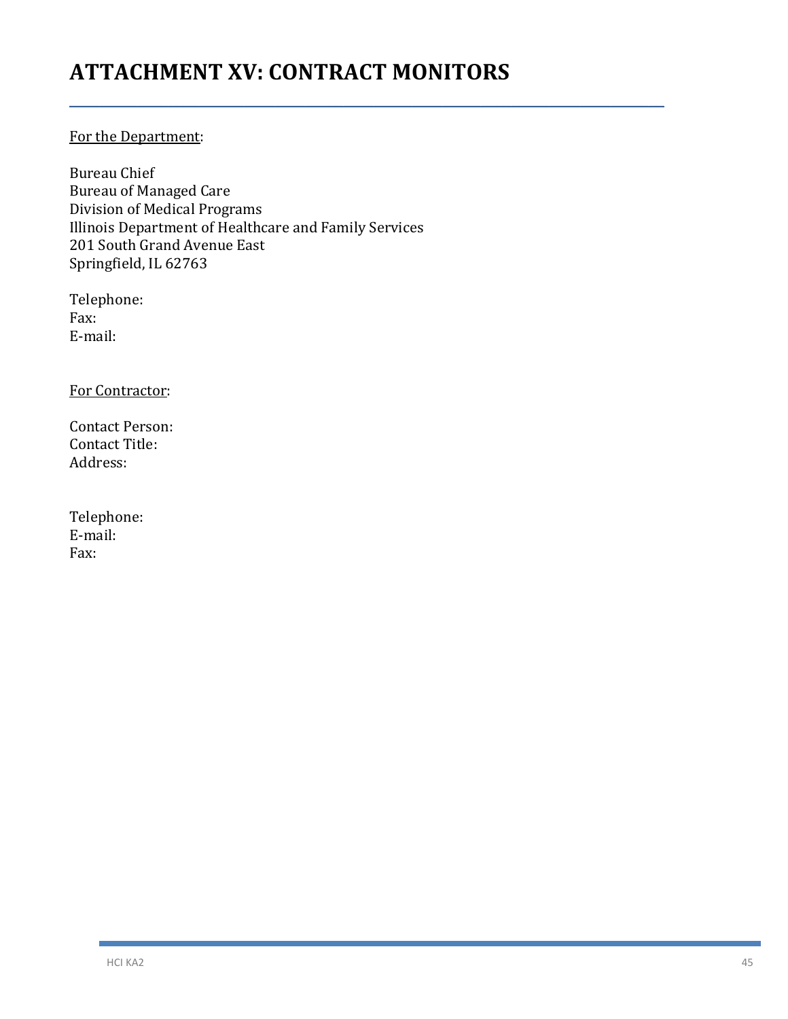## **ATTACHMENT XV: CONTRACT MONITORS**

\_\_\_\_\_\_\_\_\_\_\_\_\_\_\_\_\_\_\_\_\_\_\_\_\_\_\_\_\_\_\_\_\_\_\_\_\_\_\_\_\_\_\_\_\_\_\_\_\_\_\_\_\_\_\_\_\_\_\_\_\_\_\_\_\_\_\_\_\_\_\_\_\_\_\_\_\_\_

### For the Department:

Bureau Chief Bureau of Managed Care Division of Medical Programs Illinois Department of Healthcare and Family Services 201 South Grand Avenue East Springfield, IL 62763

Telephone: Fax: E-mail:

For Contractor:

Contact Person: Contact Title: Address:

| Telephone: |
|------------|
| E-mail:    |
| Fax:       |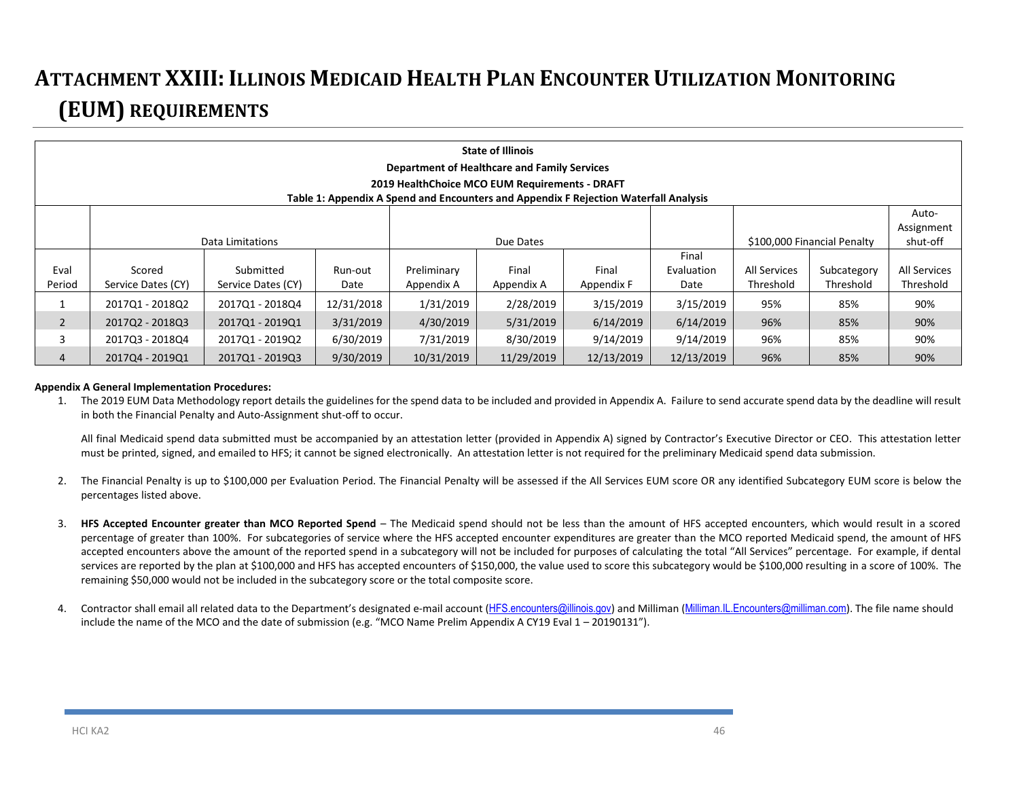# **ATTACHMENT XXIII: ILLINOIS MEDICAID HEALTH PLAN ENCOUNTER UTILIZATION MONITORING (EUM) REQUIREMENTS**

|                | <b>State of Illinois</b><br><b>Department of Healthcare and Family Services</b>               |                    |            |             |            |            |            |                     |                             |                     |
|----------------|-----------------------------------------------------------------------------------------------|--------------------|------------|-------------|------------|------------|------------|---------------------|-----------------------------|---------------------|
|                | 2019 HealthChoice MCO EUM Requirements - DRAFT                                                |                    |            |             |            |            |            |                     |                             |                     |
|                | Table 1: Appendix A Spend and Encounters and Appendix F Rejection Waterfall Analysis<br>Auto- |                    |            |             |            |            |            |                     |                             |                     |
|                |                                                                                               |                    |            |             |            |            |            |                     |                             | Assignment          |
|                |                                                                                               | Data Limitations   |            |             | Due Dates  |            |            |                     | \$100,000 Financial Penalty | shut-off            |
|                |                                                                                               |                    |            |             |            |            | Final      |                     |                             |                     |
| Eval           | Scored                                                                                        | Submitted          | Run-out    | Preliminary | Final      | Final      | Evaluation | <b>All Services</b> | Subcategory                 | <b>All Services</b> |
| Period         | Service Dates (CY)                                                                            | Service Dates (CY) | Date       | Appendix A  | Appendix A | Appendix F | Date       | Threshold           | Threshold                   | Threshold           |
|                | 201701 - 201802                                                                               | 2017Q1 - 2018Q4    | 12/31/2018 | 1/31/2019   | 2/28/2019  | 3/15/2019  | 3/15/2019  | 95%                 | 85%                         | 90%                 |
| $\overline{2}$ | 2017Q2 - 2018Q3                                                                               | 2017Q1 - 2019Q1    | 3/31/2019  | 4/30/2019   | 5/31/2019  | 6/14/2019  | 6/14/2019  | 96%                 | 85%                         | 90%                 |
| 3              | 2017Q3 - 2018Q4                                                                               | 2017Q1 - 2019Q2    | 6/30/2019  | 7/31/2019   | 8/30/2019  | 9/14/2019  | 9/14/2019  | 96%                 | 85%                         | 90%                 |
| 4              | 201704 - 201901                                                                               | 2017Q1 - 2019Q3    | 9/30/2019  | 10/31/2019  | 11/29/2019 | 12/13/2019 | 12/13/2019 | 96%                 | 85%                         | 90%                 |

#### **Appendix A General Implementation Procedures:**

1. The 2019 EUM Data Methodology report details the guidelines for the spend data to be included and provided in Appendix A. Failure to send accurate spend data by the deadline will result in both the Financial Penalty and Auto-Assignment shut-off to occur.

All final Medicaid spend data submitted must be accompanied by an attestation letter (provided in Appendix A) signed by Contractor's Executive Director or CEO. This attestation letter must be printed, signed, and emailed to HFS; it cannot be signed electronically. An attestation letter is not required for the preliminary Medicaid spend data submission.

- 2. The Financial Penalty is up to \$100,000 per Evaluation Period. The Financial Penalty will be assessed if the All Services EUM score OR any identified Subcategory EUM score is below the percentages listed above.
- 3. **HFS Accepted Encounter greater than MCO Reported Spend** The Medicaid spend should not be less than the amount of HFS accepted encounters, which would result in a scored percentage of greater than 100%. For subcategories of service where the HFS accepted encounter expenditures are greater than the MCO reported Medicaid spend, the amount of HFS accepted encounters above the amount of the reported spend in a subcategory will not be included for purposes of calculating the total "All Services" percentage. For example, if dental services are reported by the plan at \$100,000 and HFS has accepted encounters of \$150,000, the value used to score this subcategory would be \$100,000 resulting in a score of 100%. The remaining \$50,000 would not be included in the subcategory score or the total composite score.
- 4. Contractor shall email all related data to the Department's designated e-mail account ([HFS.encounters@illinois.gov](mailto:HFS.encounters@illinois.gov)) and Milliman (Milliman.IL.Encounters@milliman.com). The file name should include the name of the MCO and the date of submission (e.g. "MCO Name Prelim Appendix A CY19 Eval 1 – 20190131").